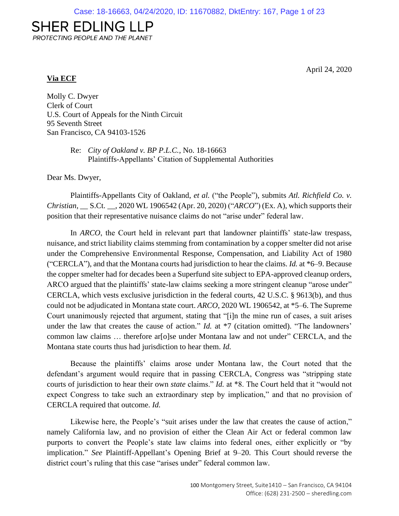# SHER EDLING LLP

PROTECTING PEOPLE AND THE PLANET

# **Via ECF**

April 24, 2020

Molly C. Dwyer Clerk of Court U.S. Court of Appeals for the Ninth Circuit 95 Seventh Street San Francisco, CA 94103-1526

> Re: *City of Oakland v. BP P.L.C.*, No. 18-16663 Plaintiffs-Appellants' Citation of Supplemental Authorities

Dear Ms. Dwyer,

Plaintiffs-Appellants City of Oakland, *et al.* ("the People"), submits *Atl. Richfield Co. v. Christian*, S.Ct. , 2020 WL 1906542 (Apr. 20, 2020) ("*ARCO*") (Ex. A), which supports their position that their representative nuisance claims do not "arise under" federal law.

In *ARCO*, the Court held in relevant part that landowner plaintiffs' state-law trespass, nuisance, and strict liability claims stemming from contamination by a copper smelter did not arise under the Comprehensive Environmental Response, Compensation, and Liability Act of 1980 ("CERCLA"), and that the Montana courts had jurisdiction to hear the claims. *Id.* at \*6–9. Because the copper smelter had for decades been a Superfund site subject to EPA-approved cleanup orders, ARCO argued that the plaintiffs' state-law claims seeking a more stringent cleanup "arose under" CERCLA, which vests exclusive jurisdiction in the federal courts, 42 U.S.C. § 9613(b), and thus could not be adjudicated in Montana state court. *ARCO*, 2020 WL 1906542, at \*5–6. The Supreme Court unanimously rejected that argument, stating that "[i]n the mine run of cases, a suit arises under the law that creates the cause of action." *Id.* at \*7 (citation omitted). "The landowners' common law claims … therefore ar[o]se under Montana law and not under" CERCLA, and the Montana state courts thus had jurisdiction to hear them. *Id.*

Because the plaintiffs' claims arose under Montana law, the Court noted that the defendant's argument would require that in passing CERCLA, Congress was "stripping state courts of jurisdiction to hear their own *state* claims." *Id.* at \*8. The Court held that it "would not expect Congress to take such an extraordinary step by implication," and that no provision of CERCLA required that outcome. *Id.*

Likewise here, the People's "suit arises under the law that creates the cause of action," namely California law, and no provision of either the Clean Air Act or federal common law purports to convert the People's state law claims into federal ones, either explicitly or "by implication." *See* Plaintiff-Appellant's Opening Brief at 9–20. This Court should reverse the district court's ruling that this case "arises under" federal common law.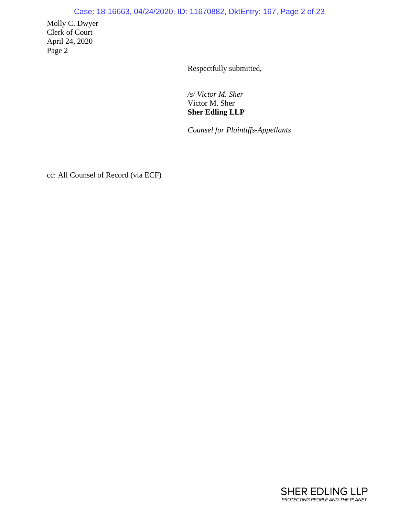Molly C. Dwyer Clerk of Court April 24, 2020 Page 2

Respectfully submitted,

*/s/ Victor M. Sher* 

Victor M. Sher **Sher Edling LLP**

*Counsel for Plaintiffs-Appellants*

cc: All Counsel of Record (via ECF)

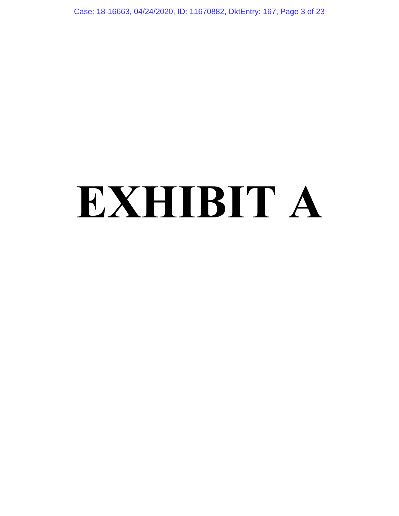Case: 18-16663, 04/24/2020, ID: 11670882, DktEntry: 167, Page 3 of 23

# **EXHIBIT A**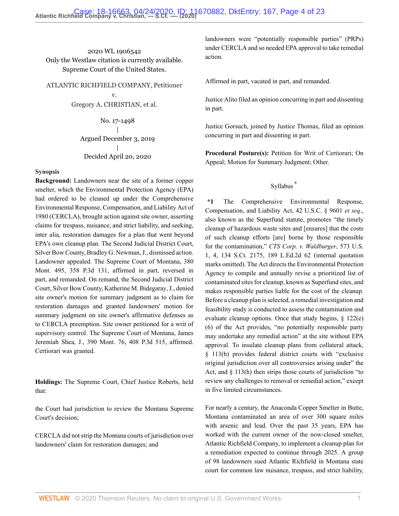2020 WL 1906542 Only the Westlaw citation is currently available. Supreme Court of the United States.

ATLANTIC RICHFIELD COMPANY, Petitioner v. Gregory A. CHRISTIAN, et al.

> No. 17-1498 | Argued December 3, 2019 | Decided April 20, 2020

#### **Synopsis**

**Background:** Landowners near the site of a former copper smelter, which the Environmental Protection Agency (EPA) had ordered to be cleaned up under the Comprehensive Environmental Response, Compensation, and Liability Act of 1980 (CERCLA), brought action against site owner, asserting claims for trespass, nuisance, and strict liability, and seeking, inter alia, restoration damages for a plan that went beyond EPA's own cleanup plan. The Second Judicial District Court, Silver Bow County, [Bradley G. Newman](http://www.westlaw.com/Link/Document/FullText?findType=h&pubNum=176284&cite=0396311901&originatingDoc=Idfe0d0cc828311ea8939c1d72268a30f&refType=RQ&originationContext=document&vr=3.0&rs=cblt1.0&transitionType=DocumentItem&contextData=(sc.History*oc.Default)), J., dismissed action. Landowner appealed. The Supreme Court of Montana, [380](http://www.westlaw.com/Link/Document/FullText?findType=Y&serNum=2037060914&pubNum=0004645&originatingDoc=Idfe0d0cc828311ea8939c1d72268a30f&refType=RP&originationContext=document&vr=3.0&rs=cblt1.0&transitionType=DocumentItem&contextData=(sc.History*oc.Default)) [Mont. 495, 358 P.3d 131,](http://www.westlaw.com/Link/Document/FullText?findType=Y&serNum=2037060914&pubNum=0004645&originatingDoc=Idfe0d0cc828311ea8939c1d72268a30f&refType=RP&originationContext=document&vr=3.0&rs=cblt1.0&transitionType=DocumentItem&contextData=(sc.History*oc.Default)) affirmed in part, reversed in part, and remanded. On remand, the Second Judicial District Court, Silver Bow County, [Katherine M. Bidegaray,](http://www.westlaw.com/Link/Document/FullText?findType=h&pubNum=176284&cite=0211391502&originatingDoc=Idfe0d0cc828311ea8939c1d72268a30f&refType=RQ&originationContext=document&vr=3.0&rs=cblt1.0&transitionType=DocumentItem&contextData=(sc.History*oc.Default)) J., denied site owner's motion for summary judgment as to claim for restoration damages and granted landowners' motion for summary judgment on site owner's affirmative defenses as to CERCLA preemption. Site owner petitioned for a writ of supervisory control. The Supreme Court of Montana, [James](http://www.westlaw.com/Link/Document/FullText?findType=h&pubNum=176284&cite=0341828501&originatingDoc=Idfe0d0cc828311ea8939c1d72268a30f&refType=RQ&originationContext=document&vr=3.0&rs=cblt1.0&transitionType=DocumentItem&contextData=(sc.History*oc.Default)) [Jeremiah Shea,](http://www.westlaw.com/Link/Document/FullText?findType=h&pubNum=176284&cite=0341828501&originatingDoc=Idfe0d0cc828311ea8939c1d72268a30f&refType=RQ&originationContext=document&vr=3.0&rs=cblt1.0&transitionType=DocumentItem&contextData=(sc.History*oc.Default)) J., [390 Mont. 76, 408 P.3d 515,](http://www.westlaw.com/Link/Document/FullText?findType=Y&serNum=2043501510&pubNum=0004645&originatingDoc=Idfe0d0cc828311ea8939c1d72268a30f&refType=RP&originationContext=document&vr=3.0&rs=cblt1.0&transitionType=DocumentItem&contextData=(sc.History*oc.Default)) affirmed. Certiorari was granted.

**Holdings:** The Supreme Court, Chief Justice [Roberts,](http://www.westlaw.com/Link/Document/FullText?findType=h&pubNum=176284&cite=0258116001&originatingDoc=Idfe0d0cc828311ea8939c1d72268a30f&refType=RQ&originationContext=document&vr=3.0&rs=cblt1.0&transitionType=DocumentItem&contextData=(sc.History*oc.Default)) held that:

the Court had jurisdiction to review the Montana Supreme Court's decision;

CERCLA did not strip the Montana courts of jurisdiction over landowners' claim for restoration damages; and

landowners were "potentially responsible parties" (PRPs) under CERCLA and so needed EPA approval to take remedial action.

Affirmed in part, vacated in part, and remanded.

Justice [Alito](http://www.westlaw.com/Link/Document/FullText?findType=h&pubNum=176284&cite=0153052401&originatingDoc=Idfe0d0cc828311ea8939c1d72268a30f&refType=RQ&originationContext=document&vr=3.0&rs=cblt1.0&transitionType=DocumentItem&contextData=(sc.History*oc.Default)) filed an opinion concurring in part and dissenting in part.

Justice [Gorsuch](http://www.westlaw.com/Link/Document/FullText?findType=h&pubNum=176284&cite=0183411701&originatingDoc=Idfe0d0cc828311ea8939c1d72268a30f&refType=RQ&originationContext=document&vr=3.0&rs=cblt1.0&transitionType=DocumentItem&contextData=(sc.History*oc.Default)), joined by Justice [Thomas](http://www.westlaw.com/Link/Document/FullText?findType=h&pubNum=176284&cite=0216654601&originatingDoc=Idfe0d0cc828311ea8939c1d72268a30f&refType=RQ&originationContext=document&vr=3.0&rs=cblt1.0&transitionType=DocumentItem&contextData=(sc.History*oc.Default)), filed an opinion concurring in part and dissenting in part.

**Procedural Posture(s):** Petition for Writ of Certiorari; On Appeal; Motion for Summary Judgment; Other.

# <span id="page-3-0"></span>Syllabus [\\*](#page-20-0)

**\*1** The Comprehensive Environmental Response, Compensation, and Liability Act, [42 U.S.C. § 9601](http://www.westlaw.com/Link/Document/FullText?findType=L&pubNum=1000546&cite=42USCAS9601&originatingDoc=Idfe0d0cc828311ea8939c1d72268a30f&refType=LQ&originationContext=document&vr=3.0&rs=cblt1.0&transitionType=DocumentItem&contextData=(sc.History*oc.Default)) *et seq*., also known as the Superfund statute, promotes "the timely cleanup of hazardous waste sites and [ensures] that the costs of such cleanup efforts [are] borne by those responsible for the contamination," *[CTS Corp. v. Waldburger](http://www.westlaw.com/Link/Document/FullText?findType=Y&serNum=2033546853&pubNum=0000780&originatingDoc=Idfe0d0cc828311ea8939c1d72268a30f&refType=RP&fi=co_pp_sp_780_4&originationContext=document&vr=3.0&rs=cblt1.0&transitionType=DocumentItem&contextData=(sc.History*oc.Default)#co_pp_sp_780_4)*, 573 U.S. [1, 4, 134 S.Ct. 2175, 189 L.Ed.2d 62](http://www.westlaw.com/Link/Document/FullText?findType=Y&serNum=2033546853&pubNum=0000780&originatingDoc=Idfe0d0cc828311ea8939c1d72268a30f&refType=RP&fi=co_pp_sp_780_4&originationContext=document&vr=3.0&rs=cblt1.0&transitionType=DocumentItem&contextData=(sc.History*oc.Default)#co_pp_sp_780_4) (internal quotation marks omitted). The Act directs the Environmental Protection Agency to compile and annually revise a prioritized list of contaminated sites for cleanup, known as Superfund sites, and makes responsible parties liable for the cost of the cleanup. Before a cleanup plan is selected, a remedial investigation and feasibility study is conducted to assess the contamination and evaluate cleanup options. Once that study begins, § 122(e) (6) of the Act provides, "no potentially responsible party may undertake any remedial action" at the site without EPA approval. To insulate cleanup plans from collateral attack, § 113(b) provides federal district courts with "exclusive original jurisdiction over all controversies arising under" the Act, and § 113(h) then strips those courts of jurisdiction "to review any challenges to removal or remedial action," except in five limited circumstances.

For nearly a century, the Anaconda Copper Smelter in Butte, Montana contaminated an area of over 300 square miles with arsenic and lead. Over the past 35 years, EPA has worked with the current owner of the now-closed smelter, Atlantic Richfield Company, to implement a cleanup plan for a remediation expected to continue through 2025. A group of 98 landowners sued Atlantic Richfield in Montana state court for common law nuisance, trespass, and strict liability,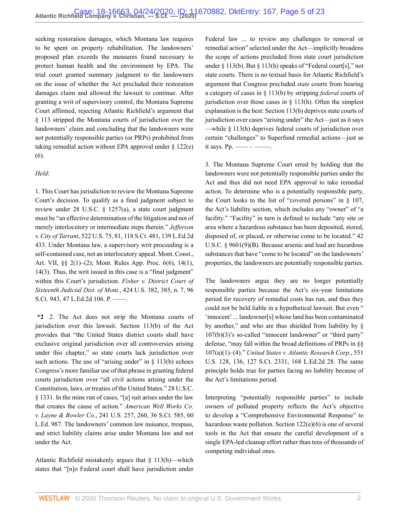seeking restoration damages, which Montana law requires to be spent on property rehabilitation. The landowners' proposed plan exceeds the measures found necessary to protect human health and the environment by EPA. The trial court granted summary judgment to the landowners on the issue of whether the Act precluded their restoration damages claim and allowed the lawsuit to continue. After granting a writ of supervisory control, the Montana Supreme Court affirmed, rejecting Atlantic Richfield's argument that § 113 stripped the Montana courts of jurisdiction over the landowners' claim and concluding that the landowners were not potentially responsible parties (or PRPs) prohibited from taking remedial action without EPA approval under  $\S$  122(e) (6).

#### *Held*:

1. This Court has jurisdiction to review the Montana Supreme Court's decision. To qualify as a final judgment subject to review under [28 U.S.C. § 1257\(a\)](http://www.westlaw.com/Link/Document/FullText?findType=L&pubNum=1000546&cite=28USCAS1257&originatingDoc=Idfe0d0cc828311ea8939c1d72268a30f&refType=RB&originationContext=document&vr=3.0&rs=cblt1.0&transitionType=DocumentItem&contextData=(sc.History*oc.Default)#co_pp_8b3b0000958a4), a state court judgment must be "an effective determination of the litigation and not of merely interlocutory or intermediate steps therein." *[Jefferson](http://www.westlaw.com/Link/Document/FullText?findType=Y&serNum=1997238905&pubNum=0000780&originatingDoc=Idfe0d0cc828311ea8939c1d72268a30f&refType=RP&fi=co_pp_sp_780_81&originationContext=document&vr=3.0&rs=cblt1.0&transitionType=DocumentItem&contextData=(sc.History*oc.Default)#co_pp_sp_780_81) v. City of Tarrant*[, 522 U.S. 75, 81, 118 S.Ct. 481, 139 L.Ed.2d](http://www.westlaw.com/Link/Document/FullText?findType=Y&serNum=1997238905&pubNum=0000780&originatingDoc=Idfe0d0cc828311ea8939c1d72268a30f&refType=RP&fi=co_pp_sp_780_81&originationContext=document&vr=3.0&rs=cblt1.0&transitionType=DocumentItem&contextData=(sc.History*oc.Default)#co_pp_sp_780_81) [433](http://www.westlaw.com/Link/Document/FullText?findType=Y&serNum=1997238905&pubNum=0000780&originatingDoc=Idfe0d0cc828311ea8939c1d72268a30f&refType=RP&fi=co_pp_sp_780_81&originationContext=document&vr=3.0&rs=cblt1.0&transitionType=DocumentItem&contextData=(sc.History*oc.Default)#co_pp_sp_780_81). Under Montana law, a supervisory writ proceeding is a self-contained case, not an interlocutory appeal. [Mont. Const.,](http://www.westlaw.com/Link/Document/FullText?findType=L&pubNum=1002028&cite=MTCNSTART7S2&originatingDoc=Idfe0d0cc828311ea8939c1d72268a30f&refType=LQ&originationContext=document&vr=3.0&rs=cblt1.0&transitionType=DocumentItem&contextData=(sc.History*oc.Default)) [Art. VII, §§ 2\(](http://www.westlaw.com/Link/Document/FullText?findType=L&pubNum=1002028&cite=MTCNSTART7S2&originatingDoc=Idfe0d0cc828311ea8939c1d72268a30f&refType=LQ&originationContext=document&vr=3.0&rs=cblt1.0&transitionType=DocumentItem&contextData=(sc.History*oc.Default))1)–(2); [Mont. Rules App. Proc. 6\(6\),](http://www.westlaw.com/Link/Document/FullText?findType=L&pubNum=1006806&cite=MTRRAPR6&originatingDoc=Idfe0d0cc828311ea8939c1d72268a30f&refType=LQ&originationContext=document&vr=3.0&rs=cblt1.0&transitionType=DocumentItem&contextData=(sc.History*oc.Default)) [14\(1\),](http://www.westlaw.com/Link/Document/FullText?findType=L&pubNum=1006806&cite=MTRRAPR14&originatingDoc=Idfe0d0cc828311ea8939c1d72268a30f&refType=LQ&originationContext=document&vr=3.0&rs=cblt1.0&transitionType=DocumentItem&contextData=(sc.History*oc.Default)) [14\(3\).](http://www.westlaw.com/Link/Document/FullText?findType=L&pubNum=1006806&cite=MTRRAPR14&originatingDoc=Idfe0d0cc828311ea8939c1d72268a30f&refType=LQ&originationContext=document&vr=3.0&rs=cblt1.0&transitionType=DocumentItem&contextData=(sc.History*oc.Default)) Thus, the writ issued in this case is a "final judgment" within this Court's jurisdiction. *[Fisher v. District Court of](http://www.westlaw.com/Link/Document/FullText?findType=Y&serNum=1976142319&pubNum=0000780&originatingDoc=Idfe0d0cc828311ea8939c1d72268a30f&refType=RP&fi=co_pp_sp_780_385&originationContext=document&vr=3.0&rs=cblt1.0&transitionType=DocumentItem&contextData=(sc.History*oc.Default)#co_pp_sp_780_385) Sixteenth Judicial Dist. of Mont.*[, 424 U.S. 382, 385, n. 7, 96](http://www.westlaw.com/Link/Document/FullText?findType=Y&serNum=1976142319&pubNum=0000780&originatingDoc=Idfe0d0cc828311ea8939c1d72268a30f&refType=RP&fi=co_pp_sp_780_385&originationContext=document&vr=3.0&rs=cblt1.0&transitionType=DocumentItem&contextData=(sc.History*oc.Default)#co_pp_sp_780_385) [S.Ct. 943, 47 L.Ed.2d 106.](http://www.westlaw.com/Link/Document/FullText?findType=Y&serNum=1976142319&pubNum=0000780&originatingDoc=Idfe0d0cc828311ea8939c1d72268a30f&refType=RP&fi=co_pp_sp_780_385&originationContext=document&vr=3.0&rs=cblt1.0&transitionType=DocumentItem&contextData=(sc.History*oc.Default)#co_pp_sp_780_385) P. —

**\*2** 2. The Act does not strip the Montana courts of jurisdiction over this lawsuit. Section 113(b) of the Act provides that "the United States district courts shall have exclusive original jurisdiction over all controversies arising under this chapter," so state courts lack jurisdiction over such actions. The use of "arising under" in  $\S$  113(b) echoes Congress's more familiar use of that phrase in granting federal courts jurisdiction over "all civil actions arising under the Constitution, laws, or treaties of the United States." [28 U.S.C.](http://www.westlaw.com/Link/Document/FullText?findType=L&pubNum=1000546&cite=28USCAS1331&originatingDoc=Idfe0d0cc828311ea8939c1d72268a30f&refType=LQ&originationContext=document&vr=3.0&rs=cblt1.0&transitionType=DocumentItem&contextData=(sc.History*oc.Default)) [§ 1331](http://www.westlaw.com/Link/Document/FullText?findType=L&pubNum=1000546&cite=28USCAS1331&originatingDoc=Idfe0d0cc828311ea8939c1d72268a30f&refType=LQ&originationContext=document&vr=3.0&rs=cblt1.0&transitionType=DocumentItem&contextData=(sc.History*oc.Default)). In the mine run of cases, "[a] suit arises under the law that creates the cause of action." *[American Well Works Co.](http://www.westlaw.com/Link/Document/FullText?findType=Y&serNum=1916100418&pubNum=0000780&originatingDoc=Idfe0d0cc828311ea8939c1d72268a30f&refType=RP&fi=co_pp_sp_780_260&originationContext=document&vr=3.0&rs=cblt1.0&transitionType=DocumentItem&contextData=(sc.History*oc.Default)#co_pp_sp_780_260) v. Layne & Bowler Co.*[, 241 U.S. 257, 260, 36 S.Ct. 585, 60](http://www.westlaw.com/Link/Document/FullText?findType=Y&serNum=1916100418&pubNum=0000780&originatingDoc=Idfe0d0cc828311ea8939c1d72268a30f&refType=RP&fi=co_pp_sp_780_260&originationContext=document&vr=3.0&rs=cblt1.0&transitionType=DocumentItem&contextData=(sc.History*oc.Default)#co_pp_sp_780_260) [L.Ed. 987.](http://www.westlaw.com/Link/Document/FullText?findType=Y&serNum=1916100418&pubNum=0000780&originatingDoc=Idfe0d0cc828311ea8939c1d72268a30f&refType=RP&fi=co_pp_sp_780_260&originationContext=document&vr=3.0&rs=cblt1.0&transitionType=DocumentItem&contextData=(sc.History*oc.Default)#co_pp_sp_780_260) The landowners' common law nuisance, trespass, and strict liability claims arise under Montana law and not under the Act.

Atlantic Richfield mistakenly argues that § 113(h)—which states that "[n]o Federal court shall have jurisdiction under Federal law ... to review any challenges to removal or remedial action" selected under the Act—implicitly broadens the scope of actions precluded from state court jurisdiction under § 113(b). But § 113(h) speaks of "Federal court[s]," not state courts. There is no textual basis for Atlantic Richfield's argument that Congress precluded *state* courts from hearing a category of cases in § 113(b) by stripping *federal* courts of jurisdiction over those cases in  $\S$  113(h). Often the simplest explanation is the best: Section 113(b) deprives state courts of jurisdiction over cases "arising under" the Act—just as it says —while § 113(h) deprives federal courts of jurisdiction over certain "challenges" to Superfund remedial actions—just as it says. Pp.  $\frac{\qquad \qquad }{\qquad \qquad }$ 

3. The Montana Supreme Court erred by holding that the landowners were not potentially responsible parties under the Act and thus did not need EPA approval to take remedial action. To determine who is a potentially responsible party, the Court looks to the list of "covered persons" in § 107, the Act's liability section, which includes any "owner" of "a facility." "Facility" in turn is defined to include "any site or area where a hazardous substance has been deposited, stored, disposed of, or placed, or otherwise come to be located." [42](http://www.westlaw.com/Link/Document/FullText?findType=L&pubNum=1000546&cite=42USCAS9601&originatingDoc=Idfe0d0cc828311ea8939c1d72268a30f&refType=RB&originationContext=document&vr=3.0&rs=cblt1.0&transitionType=DocumentItem&contextData=(sc.History*oc.Default)#co_pp_e5e400002dc26) [U.S.C. § 9601\(9\)\(B\)](http://www.westlaw.com/Link/Document/FullText?findType=L&pubNum=1000546&cite=42USCAS9601&originatingDoc=Idfe0d0cc828311ea8939c1d72268a30f&refType=RB&originationContext=document&vr=3.0&rs=cblt1.0&transitionType=DocumentItem&contextData=(sc.History*oc.Default)#co_pp_e5e400002dc26). Because arsenic and lead are hazardous substances that have "come to be located" on the landowners' properties, the landowners are potentially responsible parties.

The landowners argue they are no longer potentially responsible parties because the Act's six-year limitations period for recovery of remedial costs has run, and thus they could not be held liable in a hypothetical lawsuit. But even " 'innocent' ... landowner[s] whose land has been contaminated by another," and who are thus shielded from liability by § 107(b)(3)'s so-called "innocent landowner" or "third party" defense, "may fall within the broad definitions of PRPs in §§ 107(a)(1)–(4)." *[United States v. Atlantic Research Corp.](http://www.westlaw.com/Link/Document/FullText?findType=Y&serNum=2012447172&pubNum=0000780&originatingDoc=Idfe0d0cc828311ea8939c1d72268a30f&refType=RP&fi=co_pp_sp_780_136&originationContext=document&vr=3.0&rs=cblt1.0&transitionType=DocumentItem&contextData=(sc.History*oc.Default)#co_pp_sp_780_136)*, 551 [U.S. 128, 136, 127 S.Ct. 2331, 168 L.Ed.2d 28](http://www.westlaw.com/Link/Document/FullText?findType=Y&serNum=2012447172&pubNum=0000780&originatingDoc=Idfe0d0cc828311ea8939c1d72268a30f&refType=RP&fi=co_pp_sp_780_136&originationContext=document&vr=3.0&rs=cblt1.0&transitionType=DocumentItem&contextData=(sc.History*oc.Default)#co_pp_sp_780_136). The same principle holds true for parties facing no liability because of the Act's limitations period.

Interpreting "potentially responsible parties" to include owners of polluted property reflects the Act's objective to develop a "Comprehensive Environmental Response" to hazardous waste pollution. Section 122(e)(6) is one of several tools in the Act that ensure the careful development of a single EPA-led cleanup effort rather than tens of thousands of competing individual ones.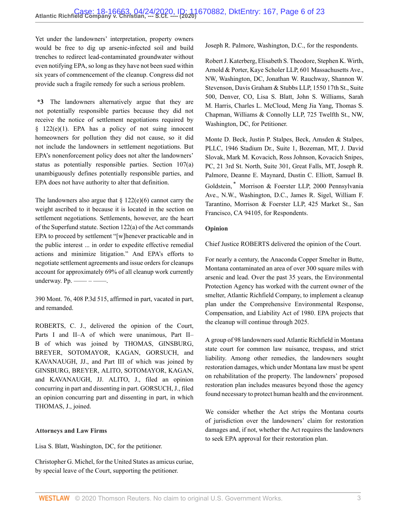Yet under the landowners' interpretation, property owners would be free to dig up arsenic-infected soil and build trenches to redirect lead-contaminated groundwater without even notifying EPA, so long as they have not been sued within six years of commencement of the cleanup. Congress did not provide such a fragile remedy for such a serious problem.

**\*3** The landowners alternatively argue that they are not potentially responsible parties because they did not receive the notice of settlement negotiations required by § 122(e)(1). EPA has a policy of not suing innocent homeowners for pollution they did not cause, so it did not include the landowners in settlement negotiations. But EPA's nonenforcement policy does not alter the landowners' status as potentially responsible parties. Section 107(a) unambiguously defines potentially responsible parties, and EPA does not have authority to alter that definition.

The landowners also argue that  $\S 122(e)(6)$  cannot carry the weight ascribed to it because it is located in the section on settlement negotiations. Settlements, however, are the heart of the Superfund statute. Section 122(a) of the Act commands EPA to proceed by settlement "[w]henever practicable and in the public interest ... in order to expedite effective remedial actions and minimize litigation." And EPA's efforts to negotiate settlement agreements and issue orders for cleanups account for approximately 69% of all cleanup work currently underway. Pp. -

[390 Mont. 76, 408 P.3d 515](http://www.westlaw.com/Link/Document/FullText?findType=Y&serNum=2043501510&pubNum=0004645&originatingDoc=Idfe0d0cc828311ea8939c1d72268a30f&refType=RP&originationContext=document&vr=3.0&rs=cblt1.0&transitionType=DocumentItem&contextData=(sc.History*oc.Default)), affirmed in part, vacated in part, and remanded.

[ROBERTS](http://www.westlaw.com/Link/Document/FullText?findType=h&pubNum=176284&cite=0258116001&originatingDoc=Idfe0d0cc828311ea8939c1d72268a30f&refType=RQ&originationContext=document&vr=3.0&rs=cblt1.0&transitionType=DocumentItem&contextData=(sc.History*oc.Default)), C. J., delivered the opinion of the Court, Parts I and II–A of which were unanimous, Part II– B of which was joined by [THOMAS](http://www.westlaw.com/Link/Document/FullText?findType=h&pubNum=176284&cite=0216654601&originatingDoc=Idfe0d0cc828311ea8939c1d72268a30f&refType=RQ&originationContext=document&vr=3.0&rs=cblt1.0&transitionType=DocumentItem&contextData=(sc.History*oc.Default)), [GINSBURG](http://www.westlaw.com/Link/Document/FullText?findType=h&pubNum=176284&cite=0224420501&originatingDoc=Idfe0d0cc828311ea8939c1d72268a30f&refType=RQ&originationContext=document&vr=3.0&rs=cblt1.0&transitionType=DocumentItem&contextData=(sc.History*oc.Default)), [BREYER](http://www.westlaw.com/Link/Document/FullText?findType=h&pubNum=176284&cite=0254766801&originatingDoc=Idfe0d0cc828311ea8939c1d72268a30f&refType=RQ&originationContext=document&vr=3.0&rs=cblt1.0&transitionType=DocumentItem&contextData=(sc.History*oc.Default)), [SOTOMAYOR](http://www.westlaw.com/Link/Document/FullText?findType=h&pubNum=176284&cite=0145172701&originatingDoc=Idfe0d0cc828311ea8939c1d72268a30f&refType=RQ&originationContext=document&vr=3.0&rs=cblt1.0&transitionType=DocumentItem&contextData=(sc.History*oc.Default)), [KAGAN](http://www.westlaw.com/Link/Document/FullText?findType=h&pubNum=176284&cite=0301239401&originatingDoc=Idfe0d0cc828311ea8939c1d72268a30f&refType=RQ&originationContext=document&vr=3.0&rs=cblt1.0&transitionType=DocumentItem&contextData=(sc.History*oc.Default)), [GORSUCH,](http://www.westlaw.com/Link/Document/FullText?findType=h&pubNum=176284&cite=0183411701&originatingDoc=Idfe0d0cc828311ea8939c1d72268a30f&refType=RQ&originationContext=document&vr=3.0&rs=cblt1.0&transitionType=DocumentItem&contextData=(sc.History*oc.Default)) and [KAVANAUGH](http://www.westlaw.com/Link/Document/FullText?findType=h&pubNum=176284&cite=0364335801&originatingDoc=Idfe0d0cc828311ea8939c1d72268a30f&refType=RQ&originationContext=document&vr=3.0&rs=cblt1.0&transitionType=DocumentItem&contextData=(sc.History*oc.Default)), JJ., and Part III of which was joined by [GINSBURG](http://www.westlaw.com/Link/Document/FullText?findType=h&pubNum=176284&cite=0224420501&originatingDoc=Idfe0d0cc828311ea8939c1d72268a30f&refType=RQ&originationContext=document&vr=3.0&rs=cblt1.0&transitionType=DocumentItem&contextData=(sc.History*oc.Default)), [BREYER,](http://www.westlaw.com/Link/Document/FullText?findType=h&pubNum=176284&cite=0254766801&originatingDoc=Idfe0d0cc828311ea8939c1d72268a30f&refType=RQ&originationContext=document&vr=3.0&rs=cblt1.0&transitionType=DocumentItem&contextData=(sc.History*oc.Default)) [ALITO](http://www.westlaw.com/Link/Document/FullText?findType=h&pubNum=176284&cite=0153052401&originatingDoc=Idfe0d0cc828311ea8939c1d72268a30f&refType=RQ&originationContext=document&vr=3.0&rs=cblt1.0&transitionType=DocumentItem&contextData=(sc.History*oc.Default)), [SOTOMAYOR,](http://www.westlaw.com/Link/Document/FullText?findType=h&pubNum=176284&cite=0145172701&originatingDoc=Idfe0d0cc828311ea8939c1d72268a30f&refType=RQ&originationContext=document&vr=3.0&rs=cblt1.0&transitionType=DocumentItem&contextData=(sc.History*oc.Default)) [KAGAN](http://www.westlaw.com/Link/Document/FullText?findType=h&pubNum=176284&cite=0301239401&originatingDoc=Idfe0d0cc828311ea8939c1d72268a30f&refType=RQ&originationContext=document&vr=3.0&rs=cblt1.0&transitionType=DocumentItem&contextData=(sc.History*oc.Default)), and [KAVANAUGH,](http://www.westlaw.com/Link/Document/FullText?findType=h&pubNum=176284&cite=0364335801&originatingDoc=Idfe0d0cc828311ea8939c1d72268a30f&refType=RQ&originationContext=document&vr=3.0&rs=cblt1.0&transitionType=DocumentItem&contextData=(sc.History*oc.Default)) JJ. [ALITO,](http://www.westlaw.com/Link/Document/FullText?findType=h&pubNum=176284&cite=0153052401&originatingDoc=Idfe0d0cc828311ea8939c1d72268a30f&refType=RQ&originationContext=document&vr=3.0&rs=cblt1.0&transitionType=DocumentItem&contextData=(sc.History*oc.Default)) J., filed an opinion concurring in part and dissenting in part. [GORSUCH](http://www.westlaw.com/Link/Document/FullText?findType=h&pubNum=176284&cite=0183411701&originatingDoc=Idfe0d0cc828311ea8939c1d72268a30f&refType=RQ&originationContext=document&vr=3.0&rs=cblt1.0&transitionType=DocumentItem&contextData=(sc.History*oc.Default)), J., filed an opinion concurring part and dissenting in part, in which [THOMAS](http://www.westlaw.com/Link/Document/FullText?findType=h&pubNum=176284&cite=0216654601&originatingDoc=Idfe0d0cc828311ea8939c1d72268a30f&refType=RQ&originationContext=document&vr=3.0&rs=cblt1.0&transitionType=DocumentItem&contextData=(sc.History*oc.Default)), J., joined.

#### **Attorneys and Law Firms**

[Lisa S. Blatt,](http://www.westlaw.com/Link/Document/FullText?findType=h&pubNum=176284&cite=0252224801&originatingDoc=Idfe0d0cc828311ea8939c1d72268a30f&refType=RQ&originationContext=document&vr=3.0&rs=cblt1.0&transitionType=DocumentItem&contextData=(sc.History*oc.Default)) Washington, DC, for the petitioner.

[Christopher G. Michel,](http://www.westlaw.com/Link/Document/FullText?findType=h&pubNum=176284&cite=0500375999&originatingDoc=Idfe0d0cc828311ea8939c1d72268a30f&refType=RQ&originationContext=document&vr=3.0&rs=cblt1.0&transitionType=DocumentItem&contextData=(sc.History*oc.Default)) for the United States as amicus curiae, by special leave of the Court, supporting the petitioner.

[Joseph R. Palmore,](http://www.westlaw.com/Link/Document/FullText?findType=h&pubNum=176284&cite=0329058601&originatingDoc=Idfe0d0cc828311ea8939c1d72268a30f&refType=RQ&originationContext=document&vr=3.0&rs=cblt1.0&transitionType=DocumentItem&contextData=(sc.History*oc.Default)) Washington, D.C., for the respondents.

[Robert J. Katerberg,](http://www.westlaw.com/Link/Document/FullText?findType=h&pubNum=176284&cite=0319508701&originatingDoc=Idfe0d0cc828311ea8939c1d72268a30f&refType=RQ&originationContext=document&vr=3.0&rs=cblt1.0&transitionType=DocumentItem&contextData=(sc.History*oc.Default)) [Elisabeth S. Theodore](http://www.westlaw.com/Link/Document/FullText?findType=h&pubNum=176284&cite=0488641301&originatingDoc=Idfe0d0cc828311ea8939c1d72268a30f&refType=RQ&originationContext=document&vr=3.0&rs=cblt1.0&transitionType=DocumentItem&contextData=(sc.History*oc.Default)), [Stephen K. Wirth,](http://www.westlaw.com/Link/Document/FullText?findType=h&pubNum=176284&cite=0501502299&originatingDoc=Idfe0d0cc828311ea8939c1d72268a30f&refType=RQ&originationContext=document&vr=3.0&rs=cblt1.0&transitionType=DocumentItem&contextData=(sc.History*oc.Default)) Arnold & Porter, Kaye Scholer LLP, 601 Massachusetts Ave., NW, Washington, DC, [Jonathan W. Rauchway](http://www.westlaw.com/Link/Document/FullText?findType=h&pubNum=176284&cite=0261779501&originatingDoc=Idfe0d0cc828311ea8939c1d72268a30f&refType=RQ&originationContext=document&vr=3.0&rs=cblt1.0&transitionType=DocumentItem&contextData=(sc.History*oc.Default)), [Shannon W.](http://www.westlaw.com/Link/Document/FullText?findType=h&pubNum=176284&cite=0344416201&originatingDoc=Idfe0d0cc828311ea8939c1d72268a30f&refType=RQ&originationContext=document&vr=3.0&rs=cblt1.0&transitionType=DocumentItem&contextData=(sc.History*oc.Default)) [Stevenson](http://www.westlaw.com/Link/Document/FullText?findType=h&pubNum=176284&cite=0344416201&originatingDoc=Idfe0d0cc828311ea8939c1d72268a30f&refType=RQ&originationContext=document&vr=3.0&rs=cblt1.0&transitionType=DocumentItem&contextData=(sc.History*oc.Default)), Davis Graham & Stubbs LLP, 1550 17th St., Suite 500, Denver, CO, [Lisa S. Blatt](http://www.westlaw.com/Link/Document/FullText?findType=h&pubNum=176284&cite=0252224801&originatingDoc=Idfe0d0cc828311ea8939c1d72268a30f&refType=RQ&originationContext=document&vr=3.0&rs=cblt1.0&transitionType=DocumentItem&contextData=(sc.History*oc.Default)), [John S. Williams](http://www.westlaw.com/Link/Document/FullText?findType=h&pubNum=176284&cite=0366955001&originatingDoc=Idfe0d0cc828311ea8939c1d72268a30f&refType=RQ&originationContext=document&vr=3.0&rs=cblt1.0&transitionType=DocumentItem&contextData=(sc.History*oc.Default)), [Sarah](http://www.westlaw.com/Link/Document/FullText?findType=h&pubNum=176284&cite=0472137101&originatingDoc=Idfe0d0cc828311ea8939c1d72268a30f&refType=RQ&originationContext=document&vr=3.0&rs=cblt1.0&transitionType=DocumentItem&contextData=(sc.History*oc.Default)) [M. Harris](http://www.westlaw.com/Link/Document/FullText?findType=h&pubNum=176284&cite=0472137101&originatingDoc=Idfe0d0cc828311ea8939c1d72268a30f&refType=RQ&originationContext=document&vr=3.0&rs=cblt1.0&transitionType=DocumentItem&contextData=(sc.History*oc.Default)), [Charles L. McCloud,](http://www.westlaw.com/Link/Document/FullText?findType=h&pubNum=176284&cite=0501810399&originatingDoc=Idfe0d0cc828311ea8939c1d72268a30f&refType=RQ&originationContext=document&vr=3.0&rs=cblt1.0&transitionType=DocumentItem&contextData=(sc.History*oc.Default)) [Meng Jia Yang](http://www.westlaw.com/Link/Document/FullText?findType=h&pubNum=176284&cite=0510141101&originatingDoc=Idfe0d0cc828311ea8939c1d72268a30f&refType=RQ&originationContext=document&vr=3.0&rs=cblt1.0&transitionType=DocumentItem&contextData=(sc.History*oc.Default)), [Thomas S.](http://www.westlaw.com/Link/Document/FullText?findType=h&pubNum=176284&cite=0510141701&originatingDoc=Idfe0d0cc828311ea8939c1d72268a30f&refType=RQ&originationContext=document&vr=3.0&rs=cblt1.0&transitionType=DocumentItem&contextData=(sc.History*oc.Default)) [Chapman](http://www.westlaw.com/Link/Document/FullText?findType=h&pubNum=176284&cite=0510141701&originatingDoc=Idfe0d0cc828311ea8939c1d72268a30f&refType=RQ&originationContext=document&vr=3.0&rs=cblt1.0&transitionType=DocumentItem&contextData=(sc.History*oc.Default)), Williams & Connolly LLP, 725 Twelfth St., NW, Washington, DC, for Petitioner.

<span id="page-5-0"></span>[Monte D. Beck](http://www.westlaw.com/Link/Document/FullText?findType=h&pubNum=176284&cite=0304282301&originatingDoc=Idfe0d0cc828311ea8939c1d72268a30f&refType=RQ&originationContext=document&vr=3.0&rs=cblt1.0&transitionType=DocumentItem&contextData=(sc.History*oc.Default)), [Justin P. Stalpes](http://www.westlaw.com/Link/Document/FullText?findType=h&pubNum=176284&cite=0427704601&originatingDoc=Idfe0d0cc828311ea8939c1d72268a30f&refType=RQ&originationContext=document&vr=3.0&rs=cblt1.0&transitionType=DocumentItem&contextData=(sc.History*oc.Default)), Beck, Amsden & Stalpes, PLLC, 1946 Stadium Dr., Suite 1, Bozeman, MT, [J. David](http://www.westlaw.com/Link/Document/FullText?findType=h&pubNum=176284&cite=0153811601&originatingDoc=Idfe0d0cc828311ea8939c1d72268a30f&refType=RQ&originationContext=document&vr=3.0&rs=cblt1.0&transitionType=DocumentItem&contextData=(sc.History*oc.Default)) [Slovak,](http://www.westlaw.com/Link/Document/FullText?findType=h&pubNum=176284&cite=0153811601&originatingDoc=Idfe0d0cc828311ea8939c1d72268a30f&refType=RQ&originationContext=document&vr=3.0&rs=cblt1.0&transitionType=DocumentItem&contextData=(sc.History*oc.Default)) [Mark M. Kovacich,](http://www.westlaw.com/Link/Document/FullText?findType=h&pubNum=176284&cite=0403377801&originatingDoc=Idfe0d0cc828311ea8939c1d72268a30f&refType=RQ&originationContext=document&vr=3.0&rs=cblt1.0&transitionType=DocumentItem&contextData=(sc.History*oc.Default)) [Ross Johnson](http://www.westlaw.com/Link/Document/FullText?findType=h&pubNum=176284&cite=0469526001&originatingDoc=Idfe0d0cc828311ea8939c1d72268a30f&refType=RQ&originationContext=document&vr=3.0&rs=cblt1.0&transitionType=DocumentItem&contextData=(sc.History*oc.Default)), Kovacich Snipes, PC, 21 3rd St. North, Suite 301, Great Falls, MT, [Joseph R.](http://www.westlaw.com/Link/Document/FullText?findType=h&pubNum=176284&cite=0329058601&originatingDoc=Idfe0d0cc828311ea8939c1d72268a30f&refType=RQ&originationContext=document&vr=3.0&rs=cblt1.0&transitionType=DocumentItem&contextData=(sc.History*oc.Default)) [Palmore](http://www.westlaw.com/Link/Document/FullText?findType=h&pubNum=176284&cite=0329058601&originatingDoc=Idfe0d0cc828311ea8939c1d72268a30f&refType=RQ&originationContext=document&vr=3.0&rs=cblt1.0&transitionType=DocumentItem&contextData=(sc.History*oc.Default)), [Deanne E. Maynard](http://www.westlaw.com/Link/Document/FullText?findType=h&pubNum=176284&cite=0324932001&originatingDoc=Idfe0d0cc828311ea8939c1d72268a30f&refType=RQ&originationContext=document&vr=3.0&rs=cblt1.0&transitionType=DocumentItem&contextData=(sc.History*oc.Default)), [Dustin C. Elliott,](http://www.westlaw.com/Link/Document/FullText?findType=h&pubNum=176284&cite=0498072199&originatingDoc=Idfe0d0cc828311ea8939c1d72268a30f&refType=RQ&originationContext=document&vr=3.0&rs=cblt1.0&transitionType=DocumentItem&contextData=(sc.History*oc.Default)) Samuel B. Goldstein, [\\*](#page-20-1) Morrison & Foerster LLP, 2000 Pennsylvania Ave., N.W., Washington, D.C., [James R. Sigel](http://www.westlaw.com/Link/Document/FullText?findType=h&pubNum=176284&cite=0497958099&originatingDoc=Idfe0d0cc828311ea8939c1d72268a30f&refType=RQ&originationContext=document&vr=3.0&rs=cblt1.0&transitionType=DocumentItem&contextData=(sc.History*oc.Default)), [William F.](http://www.westlaw.com/Link/Document/FullText?findType=h&pubNum=176284&cite=0100195701&originatingDoc=Idfe0d0cc828311ea8939c1d72268a30f&refType=RQ&originationContext=document&vr=3.0&rs=cblt1.0&transitionType=DocumentItem&contextData=(sc.History*oc.Default)) [Tarantino](http://www.westlaw.com/Link/Document/FullText?findType=h&pubNum=176284&cite=0100195701&originatingDoc=Idfe0d0cc828311ea8939c1d72268a30f&refType=RQ&originationContext=document&vr=3.0&rs=cblt1.0&transitionType=DocumentItem&contextData=(sc.History*oc.Default)), Morrison & Foerster LLP, 425 Market St., San Francisco, CA 94105, for Respondents.

#### **Opinion**

Chief Justice [ROBERTS](http://www.westlaw.com/Link/Document/FullText?findType=h&pubNum=176284&cite=0258116001&originatingDoc=Idfe0d0cc828311ea8939c1d72268a30f&refType=RQ&originationContext=document&vr=3.0&rs=cblt1.0&transitionType=DocumentItem&contextData=(sc.History*oc.Default)) delivered the opinion of the Court.

For nearly a century, the Anaconda [Copper](http://www.westlaw.com/Link/Document/FullText?entityType=gdrug&entityId=I0a8c01580ccd11deb055de4196f001f3&originationContext=document&transitionType=DocumentItem&contextData=(sc.Default)&vr=3.0&rs=cblt1.0) Smelter in Butte, Montana contaminated an area of over 300 square miles with arsenic and lead. Over the past 35 years, the Environmental Protection Agency has worked with the current owner of the smelter, Atlantic Richfield Company, to implement a cleanup plan under the Comprehensive Environmental Response, Compensation, and Liability Act of 1980. EPA projects that the cleanup will continue through 2025.

A group of 98 landowners sued Atlantic Richfield in Montana state court for common law nuisance, trespass, and strict liability. Among other remedies, the landowners sought restoration damages, which under Montana law must be spent on rehabilitation of the property. The landowners' proposed restoration plan includes measures beyond those the agency found necessary to protect human health and the environment.

We consider whether the Act strips the Montana courts of jurisdiction over the landowners' claim for restoration damages and, if not, whether the Act requires the landowners to seek EPA approval for their restoration plan.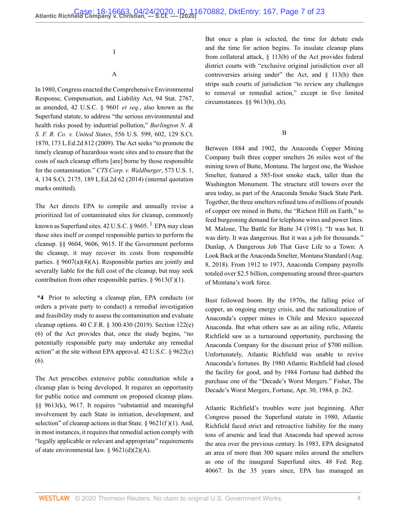I

A

In 1980, Congress enacted the Comprehensive Environmental Response, Compensation, and Liability Act, 94 Stat. 2767, as amended, [42 U.S.C. § 9601](http://www.westlaw.com/Link/Document/FullText?findType=L&pubNum=1000546&cite=42USCAS9601&originatingDoc=Idfe0d0cc828311ea8939c1d72268a30f&refType=LQ&originationContext=document&vr=3.0&rs=cblt1.0&transitionType=DocumentItem&contextData=(sc.History*oc.Default)) *et seq.*, also known as the Superfund statute, to address "the serious environmental and health risks posed by industrial pollution," *[Burlington N. &](http://www.westlaw.com/Link/Document/FullText?findType=Y&serNum=2018732558&pubNum=0000780&originatingDoc=Idfe0d0cc828311ea8939c1d72268a30f&refType=RP&fi=co_pp_sp_780_602&originationContext=document&vr=3.0&rs=cblt1.0&transitionType=DocumentItem&contextData=(sc.History*oc.Default)#co_pp_sp_780_602) S. F. R. Co. v. United States*[, 556 U.S. 599, 602, 129 S.Ct.](http://www.westlaw.com/Link/Document/FullText?findType=Y&serNum=2018732558&pubNum=0000780&originatingDoc=Idfe0d0cc828311ea8939c1d72268a30f&refType=RP&fi=co_pp_sp_780_602&originationContext=document&vr=3.0&rs=cblt1.0&transitionType=DocumentItem&contextData=(sc.History*oc.Default)#co_pp_sp_780_602) [1870, 173 L.Ed.2d 812 \(2009\)](http://www.westlaw.com/Link/Document/FullText?findType=Y&serNum=2018732558&pubNum=0000780&originatingDoc=Idfe0d0cc828311ea8939c1d72268a30f&refType=RP&fi=co_pp_sp_780_602&originationContext=document&vr=3.0&rs=cblt1.0&transitionType=DocumentItem&contextData=(sc.History*oc.Default)#co_pp_sp_780_602). The Act seeks "to promote the timely cleanup of hazardous waste sites and to ensure that the costs of such cleanup efforts [are] borne by those responsible for the contamination." *[CTS Corp. v. Waldburger](http://www.westlaw.com/Link/Document/FullText?findType=Y&serNum=2033546853&pubNum=0000780&originatingDoc=Idfe0d0cc828311ea8939c1d72268a30f&refType=RP&fi=co_pp_sp_780_4&originationContext=document&vr=3.0&rs=cblt1.0&transitionType=DocumentItem&contextData=(sc.History*oc.Default)#co_pp_sp_780_4)*, 573 U.S. 1, [4, 134 S.Ct. 2175, 189 L.Ed.2d 62 \(2014\)](http://www.westlaw.com/Link/Document/FullText?findType=Y&serNum=2033546853&pubNum=0000780&originatingDoc=Idfe0d0cc828311ea8939c1d72268a30f&refType=RP&fi=co_pp_sp_780_4&originationContext=document&vr=3.0&rs=cblt1.0&transitionType=DocumentItem&contextData=(sc.History*oc.Default)#co_pp_sp_780_4) (internal quotation marks omitted).

The Act directs EPA to compile and annually revise a prioritized list of contaminated sites for cleanup, commonly known as Superfund sites.  $42$  U.S.C.  $\S~9605.$ <sup>[1](#page-20-2)</sup> EPA may clean those sites itself or compel responsible parties to perform the cleanup. §§ 9604, 9606, 9615. If the Government performs the cleanup, it may recover its costs from responsible parties.  $\S 9607(a)(4)(A)$ . Responsible parties are jointly and severally liable for the full cost of the cleanup, but may seek contribution from other responsible parties.  $\S 9613(f)(1)$ .

**\*4** Prior to selecting a cleanup plan, EPA conducts (or orders a private party to conduct) a remedial investigation and feasibility study to assess the contamination and evaluate cleanup options. [40 C.F.R. § 300.430 \(2019\)](http://www.westlaw.com/Link/Document/FullText?findType=L&pubNum=1000547&cite=40CFRS300.430&originatingDoc=Idfe0d0cc828311ea8939c1d72268a30f&refType=LQ&originationContext=document&vr=3.0&rs=cblt1.0&transitionType=DocumentItem&contextData=(sc.History*oc.Default)). Section 122(e) (6) of the Act provides that, once the study begins, "no potentially responsible party may undertake any remedial action" at the site without EPA approval. [42 U.S.C. § 9622\(e\)](http://www.westlaw.com/Link/Document/FullText?findType=L&pubNum=1000546&cite=42USCAS9622&originatingDoc=Idfe0d0cc828311ea8939c1d72268a30f&refType=RB&originationContext=document&vr=3.0&rs=cblt1.0&transitionType=DocumentItem&contextData=(sc.History*oc.Default)#co_pp_71db000052462) [\(6\).](http://www.westlaw.com/Link/Document/FullText?findType=L&pubNum=1000546&cite=42USCAS9622&originatingDoc=Idfe0d0cc828311ea8939c1d72268a30f&refType=RB&originationContext=document&vr=3.0&rs=cblt1.0&transitionType=DocumentItem&contextData=(sc.History*oc.Default)#co_pp_71db000052462)

The Act prescribes extensive public consultation while a cleanup plan is being developed. It requires an opportunity for public notice and comment on proposed cleanup plans. §§ 9613(k), 9617. It requires "substantial and meaningful involvement by each State in initiation, development, and selection" of cleanup actions in that State.  $\S 9621(f)(1)$ . And, in most instances, it requires that remedial action comply with "legally applicable or relevant and appropriate" requirements of state environmental law. §  $9621(d)(2)(A)$ .

But once a plan is selected, the time for debate ends and the time for action begins. To insulate cleanup plans from collateral attack, § 113(b) of the Act provides federal district courts with "exclusive original jurisdiction over all controversies arising under" the Act, and  $\S$  113(h) then strips such courts of jurisdiction "to review any challenges to removal or remedial action," except in five limited circumstances. §§ 9613(b), (h).

B

<span id="page-6-0"></span>Between 1884 and 1902, the Anaconda [Copper](http://www.westlaw.com/Link/Document/FullText?entityType=gdrug&entityId=I0a8c01580ccd11deb055de4196f001f3&originationContext=document&transitionType=DocumentItem&contextData=(sc.Default)&vr=3.0&rs=cblt1.0) Mining Company built three [copper](http://www.westlaw.com/Link/Document/FullText?entityType=gdrug&entityId=I0a8c01580ccd11deb055de4196f001f3&originationContext=document&transitionType=DocumentItem&contextData=(sc.Default)&vr=3.0&rs=cblt1.0) smelters 26 miles west of the mining town of Butte, Montana. The largest one, the Washoe Smelter, featured a 585-foot smoke stack, taller than the Washington Monument. The structure still towers over the area today, as part of the Anaconda Smoke Stack State Park. Together, the three smelters refined tens of millions of pounds of [copper](http://www.westlaw.com/Link/Document/FullText?entityType=gdrug&entityId=I0a8c01580ccd11deb055de4196f001f3&originationContext=document&transitionType=DocumentItem&contextData=(sc.Default)&vr=3.0&rs=cblt1.0) ore mined in Butte, the "Richest Hill on Earth," to feed burgeoning demand for telephone wires and power lines. M. Malone, The Battle for Butte 34 (1981). "It was hot. It was dirty. It was dangerous. But it was a job for thousands." Dunlap, A Dangerous Job That Gave Life to a Town: A Look Back at the Anaconda Smelter, Montana Standard (Aug. 8, 2018). From 1912 to 1973, Anaconda Company payrolls totaled over \$2.5 billion, compensating around three-quarters of Montana's work force.

Bust followed boom. By the 1970s, the falling price of [copper](http://www.westlaw.com/Link/Document/FullText?entityType=gdrug&entityId=I0a8c01580ccd11deb055de4196f001f3&originationContext=document&transitionType=DocumentItem&contextData=(sc.Default)&vr=3.0&rs=cblt1.0), an ongoing energy crisis, and the nationalization of Anaconda's [copper](http://www.westlaw.com/Link/Document/FullText?entityType=gdrug&entityId=I0a8c01580ccd11deb055de4196f001f3&originationContext=document&transitionType=DocumentItem&contextData=(sc.Default)&vr=3.0&rs=cblt1.0) mines in Chile and Mexico squeezed Anaconda. But what others saw as an ailing relic, Atlantic Richfield saw as a turnaround opportunity, purchasing the Anaconda Company for the discount price of \$700 million. Unfortunately, Atlantic Richfield was unable to revive Anaconda's fortunes. By 1980 Atlantic Richfield had closed the facility for good, and by 1984 Fortune had dubbed the purchase one of the "Decade's Worst Mergers." Fisher, The Decade's Worst Mergers, Fortune, Apr. 30, 1984, p. 262.

Atlantic Richfield's troubles were just beginning. After Congress passed the Superfund statute in 1980, Atlantic Richfield faced strict and retroactive liability for the many tons of arsenic and lead that Anaconda had spewed across the area over the previous century. In 1983, EPA designated an area of more than 300 square miles around the smelters as one of the inaugural Superfund sites. [48 Fed. Reg.](http://www.westlaw.com/Link/Document/FullText?findType=Y&pubNum=0001037&cite=48FR40667&originatingDoc=Idfe0d0cc828311ea8939c1d72268a30f&refType=FR&originationContext=document&vr=3.0&rs=cblt1.0&transitionType=DocumentItem&contextData=(sc.History*oc.Default)) [40667](http://www.westlaw.com/Link/Document/FullText?findType=Y&pubNum=0001037&cite=48FR40667&originatingDoc=Idfe0d0cc828311ea8939c1d72268a30f&refType=FR&originationContext=document&vr=3.0&rs=cblt1.0&transitionType=DocumentItem&contextData=(sc.History*oc.Default)). In the 35 years since, EPA has managed an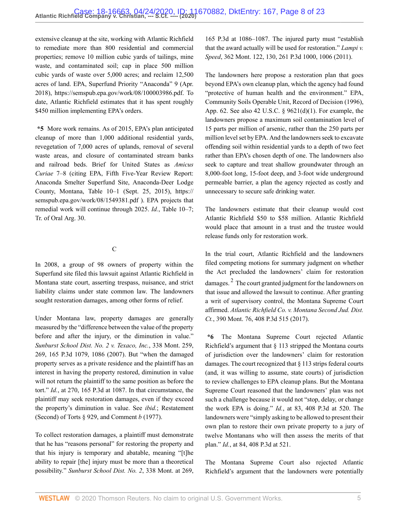extensive cleanup at the site, working with Atlantic Richfield to remediate more than 800 residential and commercial properties; remove 10 million cubic yards of tailings, mine waste, and contaminated soil; cap in place 500 million cubic yards of waste over 5,000 acres; and reclaim 12,500 acres of land. EPA, Superfund Priority "Anaconda" 9 (Apr. 2018), https://semspub.epa.gov/work/08/100003986.pdf. To date, Atlantic Richfield estimates that it has spent roughly \$450 million implementing EPA's orders.

**\*5** More work remains. As of 2015, EPA's plan anticipated cleanup of more than 1,000 additional residential yards, revegetation of 7,000 acres of uplands, removal of several waste areas, and closure of contaminated stream banks and railroad beds. Brief for United States as *Amicus Curiae* 7–8 (citing EPA, Fifth Five-Year Review Report: Anaconda Smelter Superfund Site, Anaconda-Deer Lodge County, Montana, Table 10–1 (Sept. 25, 2015), https:// semspub.epa.gov/work/08/1549381.pdf ). EPA projects that remedial work will continue through 2025. *Id.*, Table 10–7; Tr. of Oral Arg. 30.

C

In 2008, a group of 98 owners of property within the Superfund site filed this lawsuit against Atlantic Richfield in Montana state court, asserting trespass, nuisance, and strict liability claims under state common law. The landowners sought restoration damages, among other forms of relief.

Under Montana law, property damages are generally measured by the "difference between the value of the property before and after the injury, or the diminution in value." *[Sunburst School Dist. No. 2 v. Texaco, Inc.](http://www.westlaw.com/Link/Document/FullText?findType=Y&serNum=2012853205&pubNum=0004645&originatingDoc=Idfe0d0cc828311ea8939c1d72268a30f&refType=RP&fi=co_pp_sp_4645_1086&originationContext=document&vr=3.0&rs=cblt1.0&transitionType=DocumentItem&contextData=(sc.History*oc.Default)#co_pp_sp_4645_1086)*, 338 Mont. 259, [269, 165 P.3d 1079, 1086 \(2007\)](http://www.westlaw.com/Link/Document/FullText?findType=Y&serNum=2012853205&pubNum=0004645&originatingDoc=Idfe0d0cc828311ea8939c1d72268a30f&refType=RP&fi=co_pp_sp_4645_1086&originationContext=document&vr=3.0&rs=cblt1.0&transitionType=DocumentItem&contextData=(sc.History*oc.Default)#co_pp_sp_4645_1086). But "when the damaged property serves as a private residence and the plaintiff has an interest in having the property restored, diminution in value will not return the plaintiff to the same position as before the tort." *Id.*[, at 270, 165 P.3d at 1087](http://www.westlaw.com/Link/Document/FullText?findType=Y&serNum=2012853205&pubNum=0004645&originatingDoc=Idfe0d0cc828311ea8939c1d72268a30f&refType=RP&fi=co_pp_sp_4645_1087&originationContext=document&vr=3.0&rs=cblt1.0&transitionType=DocumentItem&contextData=(sc.History*oc.Default)#co_pp_sp_4645_1087). In that circumstance, the plaintiff may seek restoration damages, even if they exceed the property's diminution in value. See *[ibid.](http://www.westlaw.com/Link/Document/FullText?findType=Y&serNum=2012853205&pubNum=0000561&originatingDoc=Idfe0d0cc828311ea8939c1d72268a30f&refType=RP&originationContext=document&vr=3.0&rs=cblt1.0&transitionType=DocumentItem&contextData=(sc.History*oc.Default))*; [Restatement](http://www.westlaw.com/Link/Document/FullText?findType=Y&serNum=0290694879&pubNum=0101577&originatingDoc=Idfe0d0cc828311ea8939c1d72268a30f&refType=TS&originationContext=document&vr=3.0&rs=cblt1.0&transitionType=DocumentItem&contextData=(sc.History*oc.Default)) [\(Second\) of Torts § 929,](http://www.westlaw.com/Link/Document/FullText?findType=Y&serNum=0290694879&pubNum=0101577&originatingDoc=Idfe0d0cc828311ea8939c1d72268a30f&refType=TS&originationContext=document&vr=3.0&rs=cblt1.0&transitionType=DocumentItem&contextData=(sc.History*oc.Default)) and Comment *b* (1977).

To collect restoration damages, a plaintiff must demonstrate that he has "reasons personal" for restoring the property and that his injury is temporary and abatable, meaning "[t]he ability to repair [the] injury must be more than a theoretical possibility." *[Sunburst School Dist. No. 2](http://www.westlaw.com/Link/Document/FullText?findType=Y&serNum=2012853205&pubNum=0004645&originatingDoc=Idfe0d0cc828311ea8939c1d72268a30f&refType=RP&fi=co_pp_sp_4645_1086&originationContext=document&vr=3.0&rs=cblt1.0&transitionType=DocumentItem&contextData=(sc.History*oc.Default)#co_pp_sp_4645_1086)*, 338 Mont. at 269,

[165 P.3d at 1086–1087.](http://www.westlaw.com/Link/Document/FullText?findType=Y&serNum=2012853205&pubNum=0004645&originatingDoc=Idfe0d0cc828311ea8939c1d72268a30f&refType=RP&fi=co_pp_sp_4645_1086&originationContext=document&vr=3.0&rs=cblt1.0&transitionType=DocumentItem&contextData=(sc.History*oc.Default)#co_pp_sp_4645_1086) The injured party must "establish that the award actually will be used for restoration." *[Lampi v.](http://www.westlaw.com/Link/Document/FullText?findType=Y&serNum=2026169158&pubNum=0004645&originatingDoc=Idfe0d0cc828311ea8939c1d72268a30f&refType=RP&fi=co_pp_sp_4645_1006&originationContext=document&vr=3.0&rs=cblt1.0&transitionType=DocumentItem&contextData=(sc.History*oc.Default)#co_pp_sp_4645_1006) Speed*[, 362 Mont. 122, 130, 261 P.3d 1000, 1006 \(2011\).](http://www.westlaw.com/Link/Document/FullText?findType=Y&serNum=2026169158&pubNum=0004645&originatingDoc=Idfe0d0cc828311ea8939c1d72268a30f&refType=RP&fi=co_pp_sp_4645_1006&originationContext=document&vr=3.0&rs=cblt1.0&transitionType=DocumentItem&contextData=(sc.History*oc.Default)#co_pp_sp_4645_1006)

The landowners here propose a restoration plan that goes beyond EPA's own cleanup plan, which the agency had found "protective of human health and the environment." EPA, Community Soils Operable Unit, Record of Decision (1996), App. 62. See also [42 U.S.C. § 9621\(d\)\(1\)](http://www.westlaw.com/Link/Document/FullText?findType=L&pubNum=1000546&cite=42USCAS9621&originatingDoc=Idfe0d0cc828311ea8939c1d72268a30f&refType=RB&originationContext=document&vr=3.0&rs=cblt1.0&transitionType=DocumentItem&contextData=(sc.History*oc.Default)#co_pp_e07e0000a9f57). For example, the landowners propose a maximum soil contamination level of 15 parts per million of arsenic, rather than the 250 parts per million level set by EPA. And the landowners seek to excavate offending soil within residential yards to a depth of two feet rather than EPA's chosen depth of one. The landowners also seek to capture and treat shallow groundwater through an 8,000-foot long, 15-foot deep, and 3-foot wide underground permeable barrier, a plan the agency rejected as costly and unnecessary to secure safe drinking water.

The landowners estimate that their cleanup would cost Atlantic Richfield \$50 to \$58 million. Atlantic Richfield would place that amount in a trust and the trustee would release funds only for restoration work.

<span id="page-7-0"></span>In the trial court, Atlantic Richfield and the landowners filed competing motions for summary judgment on whether the Act precluded the landowners' claim for restoration damages.<sup>[2](#page-20-3)</sup> The court granted judgment for the landowners on that issue and allowed the lawsuit to continue. After granting a writ of supervisory control, the Montana Supreme Court affirmed. *[Atlantic Richfield Co. v. Montana Second Jud. Dist.](http://www.westlaw.com/Link/Document/FullText?findType=Y&serNum=2043501510&pubNum=0004645&originatingDoc=Idfe0d0cc828311ea8939c1d72268a30f&refType=RP&originationContext=document&vr=3.0&rs=cblt1.0&transitionType=DocumentItem&contextData=(sc.History*oc.Default)) Ct.*[, 390 Mont. 76, 408 P.3d 515 \(2017\)](http://www.westlaw.com/Link/Document/FullText?findType=Y&serNum=2043501510&pubNum=0004645&originatingDoc=Idfe0d0cc828311ea8939c1d72268a30f&refType=RP&originationContext=document&vr=3.0&rs=cblt1.0&transitionType=DocumentItem&contextData=(sc.History*oc.Default)).

**\*6** The Montana Supreme Court rejected Atlantic Richfield's argument that  $\S$  113 stripped the Montana courts of jurisdiction over the landowners' claim for restoration damages. The court recognized that § 113 strips federal courts (and, it was willing to assume, state courts) of jurisdiction to review challenges to EPA cleanup plans. But the Montana Supreme Court reasoned that the landowners' plan was not such a challenge because it would not "stop, delay, or change the work EPA is doing." *Id.*[, at 83, 408 P.3d at 520.](http://www.westlaw.com/Link/Document/FullText?findType=Y&serNum=2043501510&pubNum=0004645&originatingDoc=Idfe0d0cc828311ea8939c1d72268a30f&refType=RP&fi=co_pp_sp_4645_520&originationContext=document&vr=3.0&rs=cblt1.0&transitionType=DocumentItem&contextData=(sc.History*oc.Default)#co_pp_sp_4645_520) The landowners were "simply asking to be allowed to present their own plan to restore their own private property to a jury of twelve Montanans who will then assess the merits of that plan." *Id.*[, at 84, 408 P.3d at 521.](http://www.westlaw.com/Link/Document/FullText?findType=Y&serNum=2043501510&pubNum=0004645&originatingDoc=Idfe0d0cc828311ea8939c1d72268a30f&refType=RP&fi=co_pp_sp_4645_521&originationContext=document&vr=3.0&rs=cblt1.0&transitionType=DocumentItem&contextData=(sc.History*oc.Default)#co_pp_sp_4645_521)

The Montana Supreme Court also rejected Atlantic Richfield's argument that the landowners were potentially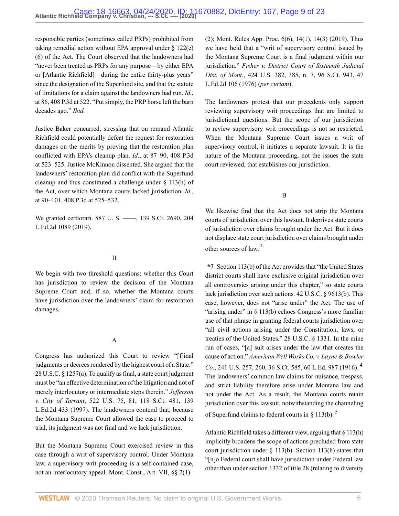responsible parties (sometimes called PRPs) prohibited from taking remedial action without EPA approval under  $\S 122(e)$ (6) of the Act. The Court observed that the landowners had "never been treated as PRPs for any purpose—by either EPA or [Atlantic Richfield]—during the entire thirty-plus years" since the designation of the Superfund site, and that the statute of limitations for a claim against the landowners had run. *[Id.](http://www.westlaw.com/Link/Document/FullText?findType=Y&serNum=2043501510&pubNum=0004645&originatingDoc=Idfe0d0cc828311ea8939c1d72268a30f&refType=RP&fi=co_pp_sp_4645_522&originationContext=document&vr=3.0&rs=cblt1.0&transitionType=DocumentItem&contextData=(sc.History*oc.Default)#co_pp_sp_4645_522)*, [at 86, 408 P.3d at 522](http://www.westlaw.com/Link/Document/FullText?findType=Y&serNum=2043501510&pubNum=0004645&originatingDoc=Idfe0d0cc828311ea8939c1d72268a30f&refType=RP&fi=co_pp_sp_4645_522&originationContext=document&vr=3.0&rs=cblt1.0&transitionType=DocumentItem&contextData=(sc.History*oc.Default)#co_pp_sp_4645_522). "Put simply, the PRP horse left the barn decades ago." *[Ibid.](http://www.westlaw.com/Link/Document/FullText?findType=Y&serNum=2043501510&pubNum=0000561&originatingDoc=Idfe0d0cc828311ea8939c1d72268a30f&refType=RP&originationContext=document&vr=3.0&rs=cblt1.0&transitionType=DocumentItem&contextData=(sc.History*oc.Default))*

Justice Baker concurred, stressing that on remand Atlantic Richfield could potentially defeat the request for restoration damages on the merits by proving that the restoration plan conflicted with EPA's cleanup plan. *Id.*[, at 87–90, 408 P.3d](http://www.westlaw.com/Link/Document/FullText?findType=Y&serNum=2043501510&pubNum=0004645&originatingDoc=Idfe0d0cc828311ea8939c1d72268a30f&refType=RP&fi=co_pp_sp_4645_523&originationContext=document&vr=3.0&rs=cblt1.0&transitionType=DocumentItem&contextData=(sc.History*oc.Default)#co_pp_sp_4645_523) [at 523–525.](http://www.westlaw.com/Link/Document/FullText?findType=Y&serNum=2043501510&pubNum=0004645&originatingDoc=Idfe0d0cc828311ea8939c1d72268a30f&refType=RP&fi=co_pp_sp_4645_523&originationContext=document&vr=3.0&rs=cblt1.0&transitionType=DocumentItem&contextData=(sc.History*oc.Default)#co_pp_sp_4645_523) Justice McKinnon dissented. She argued that the landowners' restoration plan did conflict with the Superfund cleanup and thus constituted a challenge under § 113(h) of the Act, over which Montana courts lacked jurisdiction. *[Id.](http://www.westlaw.com/Link/Document/FullText?findType=Y&serNum=2043501510&pubNum=0004645&originatingDoc=Idfe0d0cc828311ea8939c1d72268a30f&refType=RP&fi=co_pp_sp_4645_525&originationContext=document&vr=3.0&rs=cblt1.0&transitionType=DocumentItem&contextData=(sc.History*oc.Default)#co_pp_sp_4645_525)*, [at 90–101, 408 P.3d at 525–532](http://www.westlaw.com/Link/Document/FullText?findType=Y&serNum=2043501510&pubNum=0004645&originatingDoc=Idfe0d0cc828311ea8939c1d72268a30f&refType=RP&fi=co_pp_sp_4645_525&originationContext=document&vr=3.0&rs=cblt1.0&transitionType=DocumentItem&contextData=(sc.History*oc.Default)#co_pp_sp_4645_525).

We granted certiorari. [587 U. S. ––––, 139 S.Ct. 2690, 204](http://www.westlaw.com/Link/Document/FullText?findType=Y&serNum=2044446680&pubNum=0000780&originatingDoc=Idfe0d0cc828311ea8939c1d72268a30f&refType=RP&originationContext=document&vr=3.0&rs=cblt1.0&transitionType=DocumentItem&contextData=(sc.History*oc.Default)) [L.Ed.2d 1089 \(2019\).](http://www.westlaw.com/Link/Document/FullText?findType=Y&serNum=2044446680&pubNum=0000780&originatingDoc=Idfe0d0cc828311ea8939c1d72268a30f&refType=RP&originationContext=document&vr=3.0&rs=cblt1.0&transitionType=DocumentItem&contextData=(sc.History*oc.Default))

#### II

We begin with two threshold questions: whether this Court has jurisdiction to review the decision of the Montana Supreme Court and, if so, whether the Montana courts have jurisdiction over the landowners' claim for restoration damages.

#### A

Congress has authorized this Court to review "[f]inal judgments or decrees rendered by the highest court of a State." [28 U.S.C. § 1257\(a\)](http://www.westlaw.com/Link/Document/FullText?findType=L&pubNum=1000546&cite=28USCAS1257&originatingDoc=Idfe0d0cc828311ea8939c1d72268a30f&refType=RB&originationContext=document&vr=3.0&rs=cblt1.0&transitionType=DocumentItem&contextData=(sc.History*oc.Default)#co_pp_8b3b0000958a4). To qualify as final, a state court judgment must be "an effective determination of the litigation and not of merely interlocutory or intermediate steps therein." *[Jefferson](http://www.westlaw.com/Link/Document/FullText?findType=Y&serNum=1997238905&pubNum=0000780&originatingDoc=Idfe0d0cc828311ea8939c1d72268a30f&refType=RP&fi=co_pp_sp_780_81&originationContext=document&vr=3.0&rs=cblt1.0&transitionType=DocumentItem&contextData=(sc.History*oc.Default)#co_pp_sp_780_81) v. City of Tarrant*[, 522 U.S. 75, 81, 118 S.Ct. 481, 139](http://www.westlaw.com/Link/Document/FullText?findType=Y&serNum=1997238905&pubNum=0000780&originatingDoc=Idfe0d0cc828311ea8939c1d72268a30f&refType=RP&fi=co_pp_sp_780_81&originationContext=document&vr=3.0&rs=cblt1.0&transitionType=DocumentItem&contextData=(sc.History*oc.Default)#co_pp_sp_780_81) [L.Ed.2d 433 \(1997\).](http://www.westlaw.com/Link/Document/FullText?findType=Y&serNum=1997238905&pubNum=0000780&originatingDoc=Idfe0d0cc828311ea8939c1d72268a30f&refType=RP&fi=co_pp_sp_780_81&originationContext=document&vr=3.0&rs=cblt1.0&transitionType=DocumentItem&contextData=(sc.History*oc.Default)#co_pp_sp_780_81) The landowners contend that, because the Montana Supreme Court allowed the case to proceed to trial, its judgment was not final and we lack jurisdiction.

But the Montana Supreme Court exercised review in this case through a writ of supervisory control. Under Montana law, a supervisory writ proceeding is a self-contained case, not an interlocutory appeal. [Mont. Const., Art. VII, §§ 2](http://www.westlaw.com/Link/Document/FullText?findType=L&pubNum=1002028&cite=MTCNSTART7S2&originatingDoc=Idfe0d0cc828311ea8939c1d72268a30f&refType=LQ&originationContext=document&vr=3.0&rs=cblt1.0&transitionType=DocumentItem&contextData=(sc.History*oc.Default))(1)– (2); [Mont. Rules App. Proc. 6\(6\),](http://www.westlaw.com/Link/Document/FullText?findType=L&pubNum=1006806&cite=MTRRAPR6&originatingDoc=Idfe0d0cc828311ea8939c1d72268a30f&refType=LQ&originationContext=document&vr=3.0&rs=cblt1.0&transitionType=DocumentItem&contextData=(sc.History*oc.Default)) [14\(1\), 14\(3\)](http://www.westlaw.com/Link/Document/FullText?findType=L&pubNum=1006806&cite=MTRRAPR14&originatingDoc=Idfe0d0cc828311ea8939c1d72268a30f&refType=LQ&originationContext=document&vr=3.0&rs=cblt1.0&transitionType=DocumentItem&contextData=(sc.History*oc.Default)) (2019). Thus we have held that a "writ of supervisory control issued by the Montana Supreme Court is a final judgment within our jurisdiction." *[Fisher v. District Court of Sixteenth Judicial](http://www.westlaw.com/Link/Document/FullText?findType=Y&serNum=1976142319&pubNum=0000780&originatingDoc=Idfe0d0cc828311ea8939c1d72268a30f&refType=RP&fi=co_pp_sp_780_385&originationContext=document&vr=3.0&rs=cblt1.0&transitionType=DocumentItem&contextData=(sc.History*oc.Default)#co_pp_sp_780_385) Dist. of Mont.*[, 424 U.S. 382, 385, n. 7, 96 S.Ct. 943, 47](http://www.westlaw.com/Link/Document/FullText?findType=Y&serNum=1976142319&pubNum=0000780&originatingDoc=Idfe0d0cc828311ea8939c1d72268a30f&refType=RP&fi=co_pp_sp_780_385&originationContext=document&vr=3.0&rs=cblt1.0&transitionType=DocumentItem&contextData=(sc.History*oc.Default)#co_pp_sp_780_385) [L.Ed.2d 106 \(1976\)](http://www.westlaw.com/Link/Document/FullText?findType=Y&serNum=1976142319&pubNum=0000780&originatingDoc=Idfe0d0cc828311ea8939c1d72268a30f&refType=RP&fi=co_pp_sp_780_385&originationContext=document&vr=3.0&rs=cblt1.0&transitionType=DocumentItem&contextData=(sc.History*oc.Default)#co_pp_sp_780_385) (*per curiam*).

The landowners protest that our precedents only support reviewing supervisory writ proceedings that are limited to jurisdictional questions. But the scope of our jurisdiction to review supervisory writ proceedings is not so restricted. When the Montana Supreme Court issues a writ of supervisory control, it initiates a separate lawsuit. It is the nature of the Montana proceeding, not the issues the state court reviewed, that establishes our jurisdiction.

<span id="page-8-0"></span>B

We likewise find that the Act does not strip the Montana courts of jurisdiction over this lawsuit. It deprives state courts of jurisdiction over claims brought under the Act. But it does not displace state court jurisdiction over claims brought under other sources of law. [3](#page-20-4)

**\*7** Section 113(b) of the Act provides that "the United States district courts shall have exclusive original jurisdiction over all controversies arising under this chapter," so state courts lack jurisdiction over such actions. [42 U.S.C. § 9613\(b\).](http://www.westlaw.com/Link/Document/FullText?findType=L&pubNum=1000546&cite=42USCAS9613&originatingDoc=Idfe0d0cc828311ea8939c1d72268a30f&refType=RB&originationContext=document&vr=3.0&rs=cblt1.0&transitionType=DocumentItem&contextData=(sc.History*oc.Default)#co_pp_a83b000018c76) This case, however, does not "arise under" the Act. The use of "arising under" in § 113(b) echoes Congress's more familiar use of that phrase in granting federal courts jurisdiction over "all civil actions arising under the Constitution, laws, or treaties of the United States." [28 U.S.C. § 1331.](http://www.westlaw.com/Link/Document/FullText?findType=L&pubNum=1000546&cite=28USCAS1331&originatingDoc=Idfe0d0cc828311ea8939c1d72268a30f&refType=LQ&originationContext=document&vr=3.0&rs=cblt1.0&transitionType=DocumentItem&contextData=(sc.History*oc.Default)) In the mine run of cases, "[a] suit arises under the law that creates the cause of action." *[American Well Works Co. v. Layne & Bowler](http://www.westlaw.com/Link/Document/FullText?findType=Y&serNum=1916100418&pubNum=0000780&originatingDoc=Idfe0d0cc828311ea8939c1d72268a30f&refType=RP&fi=co_pp_sp_780_260&originationContext=document&vr=3.0&rs=cblt1.0&transitionType=DocumentItem&contextData=(sc.History*oc.Default)#co_pp_sp_780_260) Co.*[, 241 U.S. 257, 260, 36 S.Ct. 585, 60 L.Ed. 987 \(1916\)](http://www.westlaw.com/Link/Document/FullText?findType=Y&serNum=1916100418&pubNum=0000780&originatingDoc=Idfe0d0cc828311ea8939c1d72268a30f&refType=RP&fi=co_pp_sp_780_260&originationContext=document&vr=3.0&rs=cblt1.0&transitionType=DocumentItem&contextData=(sc.History*oc.Default)#co_pp_sp_780_260). [4](#page-21-0) The landowners' common law claims for nuisance, trespass, and strict liability therefore arise under Montana law and not under the Act. As a result, the Montana courts retain jurisdiction over this lawsuit, notwithstanding the channeling of Superfund claims to federal courts in  $\S$  113(b).<sup>[5](#page-21-1)</sup>

<span id="page-8-2"></span><span id="page-8-1"></span>Atlantic Richfield takes a different view, arguing that § 113(h) implicitly broadens the scope of actions precluded from state court jurisdiction under § 113(b). Section 113(h) states that "[n]o Federal court shall have jurisdiction under Federal law other than under section 1332 of title 28 (relating to diversity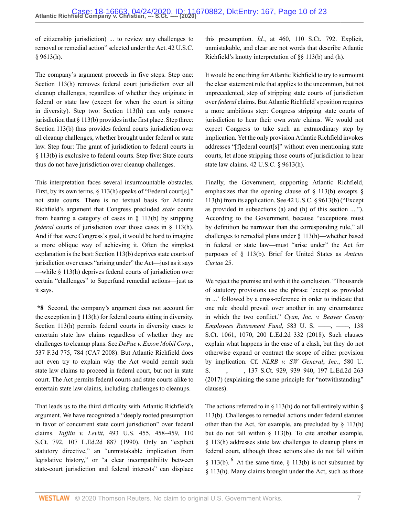of citizenship jurisdiction) ... to review any challenges to removal or remedial action" selected under the Act. [42 U.S.C.](http://www.westlaw.com/Link/Document/FullText?findType=L&pubNum=1000546&cite=42USCAS9613&originatingDoc=Idfe0d0cc828311ea8939c1d72268a30f&refType=RB&originationContext=document&vr=3.0&rs=cblt1.0&transitionType=DocumentItem&contextData=(sc.History*oc.Default)#co_pp_f383000077b35) [§ 9613\(h\)](http://www.westlaw.com/Link/Document/FullText?findType=L&pubNum=1000546&cite=42USCAS9613&originatingDoc=Idfe0d0cc828311ea8939c1d72268a30f&refType=RB&originationContext=document&vr=3.0&rs=cblt1.0&transitionType=DocumentItem&contextData=(sc.History*oc.Default)#co_pp_f383000077b35).

The company's argument proceeds in five steps. Step one: Section 113(h) removes federal court jurisdiction over all cleanup challenges, regardless of whether they originate in federal or state law (except for when the court is sitting in diversity). Step two: Section 113(h) can only remove jurisdiction that  $\S 113(b)$  provides in the first place. Step three: Section 113(b) thus provides federal courts jurisdiction over all cleanup challenges, whether brought under federal or state law. Step four: The grant of jurisdiction to federal courts in § 113(b) is exclusive to federal courts. Step five: State courts thus do not have jurisdiction over cleanup challenges.

This interpretation faces several insurmountable obstacles. First, by its own terms, § 113(h) speaks of "Federal court[s]," not state courts. There is no textual basis for Atlantic Richfield's argument that Congress precluded *state* courts from hearing a category of cases in  $\S$  113(b) by stripping *federal* courts of jurisdiction over those cases in § 113(h). And if that were Congress's goal, it would be hard to imagine a more oblique way of achieving it. Often the simplest explanation is the best: Section 113(b) deprives state courts of jurisdiction over cases "arising under" the Act—just as it says —while § 113(h) deprives federal courts of jurisdiction over certain "challenges" to Superfund remedial actions—just as it says.

**\*8** Second, the company's argument does not account for the exception in  $\S 113(h)$  for federal courts sitting in diversity. Section 113(h) permits federal courts in diversity cases to entertain state law claims regardless of whether they are challenges to cleanup plans. See *[DePue v. Exxon Mobil Corp.](http://www.westlaw.com/Link/Document/FullText?findType=Y&serNum=2016723110&pubNum=0000506&originatingDoc=Idfe0d0cc828311ea8939c1d72268a30f&refType=RP&fi=co_pp_sp_506_784&originationContext=document&vr=3.0&rs=cblt1.0&transitionType=DocumentItem&contextData=(sc.History*oc.Default)#co_pp_sp_506_784)*, [537 F.3d 775, 784 \(CA7 2008\).](http://www.westlaw.com/Link/Document/FullText?findType=Y&serNum=2016723110&pubNum=0000506&originatingDoc=Idfe0d0cc828311ea8939c1d72268a30f&refType=RP&fi=co_pp_sp_506_784&originationContext=document&vr=3.0&rs=cblt1.0&transitionType=DocumentItem&contextData=(sc.History*oc.Default)#co_pp_sp_506_784) But Atlantic Richfield does not even try to explain why the Act would permit such state law claims to proceed in federal court, but not in state court. The Act permits federal courts and state courts alike to entertain state law claims, including challenges to cleanups.

That leads us to the third difficulty with Atlantic Richfield's argument. We have recognized a "deeply rooted presumption in favor of concurrent state court jurisdiction" over federal claims. *Tafflin v. Levitt*[, 493 U.S. 455, 458–459, 110](http://www.westlaw.com/Link/Document/FullText?findType=Y&serNum=1990023718&pubNum=0000780&originatingDoc=Idfe0d0cc828311ea8939c1d72268a30f&refType=RP&fi=co_pp_sp_780_458&originationContext=document&vr=3.0&rs=cblt1.0&transitionType=DocumentItem&contextData=(sc.History*oc.Default)#co_pp_sp_780_458) [S.Ct. 792, 107 L.Ed.2d 887 \(1990\).](http://www.westlaw.com/Link/Document/FullText?findType=Y&serNum=1990023718&pubNum=0000780&originatingDoc=Idfe0d0cc828311ea8939c1d72268a30f&refType=RP&fi=co_pp_sp_780_458&originationContext=document&vr=3.0&rs=cblt1.0&transitionType=DocumentItem&contextData=(sc.History*oc.Default)#co_pp_sp_780_458) Only an "explicit statutory directive," an "unmistakable implication from legislative history," or "a clear incompatibility between state-court jurisdiction and federal interests" can displace this presumption. *Id.*[, at 460, 110 S.Ct. 792.](http://www.westlaw.com/Link/Document/FullText?findType=Y&serNum=1990023718&pubNum=0000708&originatingDoc=Idfe0d0cc828311ea8939c1d72268a30f&refType=RP&originationContext=document&vr=3.0&rs=cblt1.0&transitionType=DocumentItem&contextData=(sc.History*oc.Default)) Explicit, unmistakable, and clear are not words that describe Atlantic Richfield's knotty interpretation of §§ 113(b) and (h).

It would be one thing for Atlantic Richfield to try to surmount the clear statement rule that applies to the uncommon, but not unprecedented, step of stripping state courts of jurisdiction over *federal* claims. But Atlantic Richfield's position requires a more ambitious step: Congress stripping state courts of jurisdiction to hear their own *state* claims. We would not expect Congress to take such an extraordinary step by implication. Yet the only provision Atlantic Richfield invokes addresses "[f]ederal court[s]" without even mentioning state courts, let alone stripping those courts of jurisdiction to hear state law claims. [42 U.S.C. § 9613\(h\).](http://www.westlaw.com/Link/Document/FullText?findType=L&pubNum=1000546&cite=42USCAS9613&originatingDoc=Idfe0d0cc828311ea8939c1d72268a30f&refType=RB&originationContext=document&vr=3.0&rs=cblt1.0&transitionType=DocumentItem&contextData=(sc.History*oc.Default)#co_pp_f383000077b35)

Finally, the Government, supporting Atlantic Richfield, emphasizes that the opening clause of  $\S$  113(b) excepts  $\S$ 113(h) from its application. See [42 U.S.C. § 9613\(b\)](http://www.westlaw.com/Link/Document/FullText?findType=L&pubNum=1000546&cite=42USCAS9613&originatingDoc=Idfe0d0cc828311ea8939c1d72268a30f&refType=RB&originationContext=document&vr=3.0&rs=cblt1.0&transitionType=DocumentItem&contextData=(sc.History*oc.Default)#co_pp_a83b000018c76) ("Except as provided in subsections (a) and (h) of this section ...."). According to the Government, because "exceptions must by definition be narrower than the corresponding rule," all challenges to remedial plans under § 113(h)—whether based in federal or state law—must "arise under" the Act for purposes of § 113(b). Brief for United States as *Amicus Curiae* 25.

We reject the premise and with it the conclusion. "Thousands of statutory provisions use the phrase 'except as provided in ...' followed by a cross-reference in order to indicate that one rule should prevail over another in any circumstance in which the two conflict." *Cyan*, *Inc. v. [Beaver County](http://www.westlaw.com/Link/Document/FullText?findType=Y&serNum=2044092153&pubNum=0000780&originatingDoc=Idfe0d0cc828311ea8939c1d72268a30f&refType=RP&originationContext=document&vr=3.0&rs=cblt1.0&transitionType=DocumentItem&contextData=(sc.History*oc.Default)) Employees Retirement Fund*, 583 U. S. —–, —–, 138 [S.Ct. 1061, 1070, 200 L.Ed.2d 332 \(2018\)](http://www.westlaw.com/Link/Document/FullText?findType=Y&serNum=2044092153&pubNum=0000780&originatingDoc=Idfe0d0cc828311ea8939c1d72268a30f&refType=RP&originationContext=document&vr=3.0&rs=cblt1.0&transitionType=DocumentItem&contextData=(sc.History*oc.Default)). Such clauses explain what happens in the case of a clash, but they do not otherwise expand or contract the scope of either provision by implication. Cf. *NLRB v. [SW General](http://www.westlaw.com/Link/Document/FullText?findType=Y&serNum=2041261863&pubNum=0000780&originatingDoc=Idfe0d0cc828311ea8939c1d72268a30f&refType=RP&originationContext=document&vr=3.0&rs=cblt1.0&transitionType=DocumentItem&contextData=(sc.History*oc.Default))*, *Inc.*, 580 U. [S. ––––, ––––, 137 S.Ct. 929, 939–940, 197 L.Ed.2d 263](http://www.westlaw.com/Link/Document/FullText?findType=Y&serNum=2041261863&pubNum=0000780&originatingDoc=Idfe0d0cc828311ea8939c1d72268a30f&refType=RP&originationContext=document&vr=3.0&rs=cblt1.0&transitionType=DocumentItem&contextData=(sc.History*oc.Default)) [\(2017\)](http://www.westlaw.com/Link/Document/FullText?findType=Y&serNum=2041261863&pubNum=0000780&originatingDoc=Idfe0d0cc828311ea8939c1d72268a30f&refType=RP&originationContext=document&vr=3.0&rs=cblt1.0&transitionType=DocumentItem&contextData=(sc.History*oc.Default)) (explaining the same principle for "notwithstanding" clauses).

<span id="page-9-0"></span>The actions referred to in  $\S$  113(h) do not fall entirely within  $\S$ 113(b). Challenges to remedial actions under federal statutes other than the Act, for example, are precluded by  $\S$  113(h) but do not fall within § 113(b). To cite another example, § 113(h) addresses state law challenges to cleanup plans in federal court, although those actions also do not fall within  $\S$  113(b). <sup>[6](#page-21-2)</sup> At the same time,  $\S$  113(b) is not subsumed by § 113(h). Many claims brought under the Act, such as those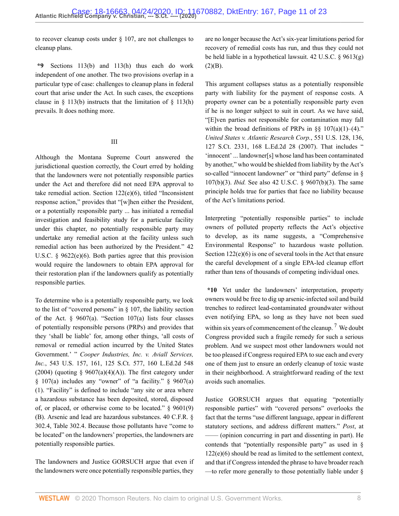to recover cleanup costs under § 107, are not challenges to cleanup plans.

**\*9** Sections 113(b) and 113(h) thus each do work independent of one another. The two provisions overlap in a particular type of case: challenges to cleanup plans in federal court that arise under the Act. In such cases, the exceptions clause in  $\S$  113(b) instructs that the limitation of  $\S$  113(h) prevails. It does nothing more.

#### III

Although the Montana Supreme Court answered the jurisdictional question correctly, the Court erred by holding that the landowners were not potentially responsible parties under the Act and therefore did not need EPA approval to take remedial action. Section 122(e)(6), titled "Inconsistent response action," provides that "[w]hen either the President, or a potentially responsible party ... has initiated a remedial investigation and feasibility study for a particular facility under this chapter, no potentially responsible party may undertake any remedial action at the facility unless such remedial action has been authorized by the President." [42](http://www.westlaw.com/Link/Document/FullText?findType=L&pubNum=1000546&cite=42USCAS9622&originatingDoc=Idfe0d0cc828311ea8939c1d72268a30f&refType=RB&originationContext=document&vr=3.0&rs=cblt1.0&transitionType=DocumentItem&contextData=(sc.History*oc.Default)#co_pp_71db000052462) [U.S.C. § 9622\(e\)\(6\)](http://www.westlaw.com/Link/Document/FullText?findType=L&pubNum=1000546&cite=42USCAS9622&originatingDoc=Idfe0d0cc828311ea8939c1d72268a30f&refType=RB&originationContext=document&vr=3.0&rs=cblt1.0&transitionType=DocumentItem&contextData=(sc.History*oc.Default)#co_pp_71db000052462). Both parties agree that this provision would require the landowners to obtain EPA approval for their restoration plan if the landowners qualify as potentially responsible parties.

To determine who is a potentially responsible party, we look to the list of "covered persons" in § 107, the liability section of the Act. § 9607(a). "Section 107(a) lists four classes of potentially responsible persons (PRPs) and provides that they 'shall be liable' for, among other things, 'all costs of removal or remedial action incurred by the United States Government.' " *[Cooper Industries, Inc. v. Aviall Services,](http://www.westlaw.com/Link/Document/FullText?findType=Y&serNum=2005746190&pubNum=0000780&originatingDoc=Idfe0d0cc828311ea8939c1d72268a30f&refType=RP&fi=co_pp_sp_780_161&originationContext=document&vr=3.0&rs=cblt1.0&transitionType=DocumentItem&contextData=(sc.History*oc.Default)#co_pp_sp_780_161) Inc.*[, 543 U.S. 157, 161, 125 S.Ct. 577, 160 L.Ed.2d 548](http://www.westlaw.com/Link/Document/FullText?findType=Y&serNum=2005746190&pubNum=0000780&originatingDoc=Idfe0d0cc828311ea8939c1d72268a30f&refType=RP&fi=co_pp_sp_780_161&originationContext=document&vr=3.0&rs=cblt1.0&transitionType=DocumentItem&contextData=(sc.History*oc.Default)#co_pp_sp_780_161) [\(2004\)](http://www.westlaw.com/Link/Document/FullText?findType=Y&serNum=2005746190&pubNum=0000780&originatingDoc=Idfe0d0cc828311ea8939c1d72268a30f&refType=RP&fi=co_pp_sp_780_161&originationContext=document&vr=3.0&rs=cblt1.0&transitionType=DocumentItem&contextData=(sc.History*oc.Default)#co_pp_sp_780_161) (quoting §  $9607(a)(4)(A)$ ). The first category under  $\frac{107(a)}{a}$  includes any "owner" of "a facility."  $\frac{107(a)}{a}$ (1). "Facility" is defined to include "any site or area where a hazardous substance has been deposited, stored, disposed of, or placed, or otherwise come to be located." [§ 9601\(9\)](http://www.westlaw.com/Link/Document/FullText?findType=L&pubNum=1000546&cite=42USCAS9601&originatingDoc=Idfe0d0cc828311ea8939c1d72268a30f&refType=RB&originationContext=document&vr=3.0&rs=cblt1.0&transitionType=DocumentItem&contextData=(sc.History*oc.Default)#co_pp_e5e400002dc26) [\(B\)](http://www.westlaw.com/Link/Document/FullText?findType=L&pubNum=1000546&cite=42USCAS9601&originatingDoc=Idfe0d0cc828311ea8939c1d72268a30f&refType=RB&originationContext=document&vr=3.0&rs=cblt1.0&transitionType=DocumentItem&contextData=(sc.History*oc.Default)#co_pp_e5e400002dc26). Arsenic and lead are hazardous substances. [40 C.F.R. §](http://www.westlaw.com/Link/Document/FullText?findType=L&pubNum=1000547&cite=40CFRS302.4&originatingDoc=Idfe0d0cc828311ea8939c1d72268a30f&refType=LQ&originationContext=document&vr=3.0&rs=cblt1.0&transitionType=DocumentItem&contextData=(sc.History*oc.Default)) [302.4](http://www.westlaw.com/Link/Document/FullText?findType=L&pubNum=1000547&cite=40CFRS302.4&originatingDoc=Idfe0d0cc828311ea8939c1d72268a30f&refType=LQ&originationContext=document&vr=3.0&rs=cblt1.0&transitionType=DocumentItem&contextData=(sc.History*oc.Default)), Table 302.4. Because those pollutants have "come to be located" on the landowners' properties, the landowners are potentially responsible parties.

The landowners and Justice GORSUCH argue that even if the landowners were once potentially responsible parties, they

are no longer because the Act's six-year limitations period for recovery of remedial costs has run, and thus they could not be held liable in a hypothetical lawsuit. [42 U.S.C. § 9613\(g\)](http://www.westlaw.com/Link/Document/FullText?findType=L&pubNum=1000546&cite=42USCAS9613&originatingDoc=Idfe0d0cc828311ea8939c1d72268a30f&refType=RB&originationContext=document&vr=3.0&rs=cblt1.0&transitionType=DocumentItem&contextData=(sc.History*oc.Default)#co_pp_cc8d0000e2bb5)  $(2)(B)$ .

This argument collapses status as a potentially responsible party with liability for the payment of response costs. A property owner can be a potentially responsible party even if he is no longer subject to suit in court. As we have said, "[E]ven parties not responsible for contamination may fall within the broad definitions of PRPs in §§  $107(a)(1)–(4)$ ." *[United States v. Atlantic Research Corp.](http://www.westlaw.com/Link/Document/FullText?findType=Y&serNum=2012447172&pubNum=0000780&originatingDoc=Idfe0d0cc828311ea8939c1d72268a30f&refType=RP&fi=co_pp_sp_780_136&originationContext=document&vr=3.0&rs=cblt1.0&transitionType=DocumentItem&contextData=(sc.History*oc.Default)#co_pp_sp_780_136)*, 551 U.S. 128, 136, [127 S.Ct. 2331, 168 L.Ed.2d 28 \(2007\)](http://www.westlaw.com/Link/Document/FullText?findType=Y&serNum=2012447172&pubNum=0000780&originatingDoc=Idfe0d0cc828311ea8939c1d72268a30f&refType=RP&fi=co_pp_sp_780_136&originationContext=document&vr=3.0&rs=cblt1.0&transitionType=DocumentItem&contextData=(sc.History*oc.Default)#co_pp_sp_780_136). That includes " 'innocent' ... landowner[s] whose land has been contaminated by another," who would be shielded from liability by the Act's so-called "innocent landowner" or "third party" defense in  $\delta$ 107(b)(3). *[Ibid.](http://www.westlaw.com/Link/Document/FullText?findType=Y&serNum=2012447172&pubNum=0000780&originatingDoc=Idfe0d0cc828311ea8939c1d72268a30f&refType=RP&originationContext=document&vr=3.0&rs=cblt1.0&transitionType=DocumentItem&contextData=(sc.History*oc.Default))* See also [42 U.S.C. § 9607\(b\)\(3\).](http://www.westlaw.com/Link/Document/FullText?findType=L&pubNum=1000546&cite=42USCAS9607&originatingDoc=Idfe0d0cc828311ea8939c1d72268a30f&refType=RB&originationContext=document&vr=3.0&rs=cblt1.0&transitionType=DocumentItem&contextData=(sc.History*oc.Default)#co_pp_d801000002763) The same principle holds true for parties that face no liability because of the Act's limitations period.

Interpreting "potentially responsible parties" to include owners of polluted property reflects the Act's objective to develop, as its name suggests, a "Comprehensive Environmental Response" to hazardous waste pollution. Section  $122(e)(6)$  is one of several tools in the Act that ensure the careful development of a single EPA-led cleanup effort rather than tens of thousands of competing individual ones.

<span id="page-10-0"></span>**\*10** Yet under the landowners' interpretation, property owners would be free to dig up arsenic-infected soil and build trenches to redirect lead-contaminated groundwater without even notifying EPA, so long as they have not been sued within six years of commencement of the cleanup.  $^7$  $^7$  We doubt Congress provided such a fragile remedy for such a serious problem. And we suspect most other landowners would not be too pleased if Congress required EPA to sue each and every one of them just to ensure an orderly cleanup of toxic waste in their neighborhood. A straightforward reading of the text avoids such anomalies.

Justice GORSUCH argues that equating "potentially responsible parties" with "covered persons" overlooks the fact that the terms "use different language, appear in different statutory sections, and address different matters." *Post*, at –––– (opinion concurring in part and dissenting in part). He contends that "potentially responsible party" as used in § 122(e)(6) should be read as limited to the settlement context, and that if Congress intended the phrase to have broader reach —to refer more generally to those potentially liable under  $\S$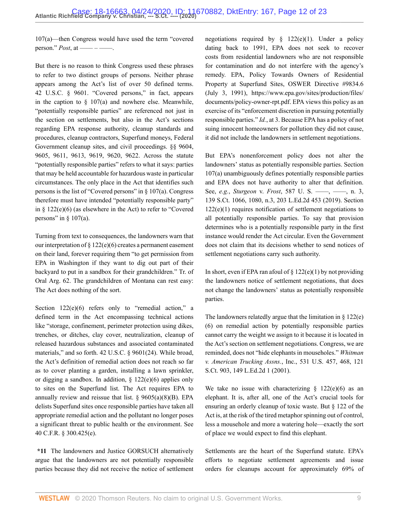107(a)—then Congress would have used the term "covered person."  $Post$ , at —— $--$ 

But there is no reason to think Congress used these phrases to refer to two distinct groups of persons. Neither phrase appears among the Act's list of over 50 defined terms. [42 U.S.C. § 9601.](http://www.westlaw.com/Link/Document/FullText?findType=L&pubNum=1000546&cite=42USCAS9601&originatingDoc=Idfe0d0cc828311ea8939c1d72268a30f&refType=LQ&originationContext=document&vr=3.0&rs=cblt1.0&transitionType=DocumentItem&contextData=(sc.History*oc.Default)) "Covered persons," in fact, appears in the caption to  $\S$  107(a) and nowhere else. Meanwhile, "potentially responsible parties" are referenced not just in the section on settlements, but also in the Act's sections regarding EPA response authority, cleanup standards and procedures, cleanup contractors, Superfund moneys, Federal Government cleanup sites, and civil proceedings. [§§ 9604](http://www.westlaw.com/Link/Document/FullText?findType=L&pubNum=1000546&cite=42USCAS9604&originatingDoc=Idfe0d0cc828311ea8939c1d72268a30f&refType=LQ&originationContext=document&vr=3.0&rs=cblt1.0&transitionType=DocumentItem&contextData=(sc.History*oc.Default)), [9605](http://www.westlaw.com/Link/Document/FullText?findType=L&pubNum=1000546&cite=42USCAS9605&originatingDoc=Idfe0d0cc828311ea8939c1d72268a30f&refType=LQ&originationContext=document&vr=3.0&rs=cblt1.0&transitionType=DocumentItem&contextData=(sc.History*oc.Default)), [9611](http://www.westlaw.com/Link/Document/FullText?findType=L&pubNum=1000546&cite=42USCAS9611&originatingDoc=Idfe0d0cc828311ea8939c1d72268a30f&refType=LQ&originationContext=document&vr=3.0&rs=cblt1.0&transitionType=DocumentItem&contextData=(sc.History*oc.Default)), [9613](http://www.westlaw.com/Link/Document/FullText?findType=L&pubNum=1000546&cite=42USCAS9613&originatingDoc=Idfe0d0cc828311ea8939c1d72268a30f&refType=LQ&originationContext=document&vr=3.0&rs=cblt1.0&transitionType=DocumentItem&contextData=(sc.History*oc.Default)), [9619](http://www.westlaw.com/Link/Document/FullText?findType=L&pubNum=1000546&cite=42USCAS9619&originatingDoc=Idfe0d0cc828311ea8939c1d72268a30f&refType=LQ&originationContext=document&vr=3.0&rs=cblt1.0&transitionType=DocumentItem&contextData=(sc.History*oc.Default)), [9620,](http://www.westlaw.com/Link/Document/FullText?findType=L&pubNum=1000546&cite=42USCAS9620&originatingDoc=Idfe0d0cc828311ea8939c1d72268a30f&refType=LQ&originationContext=document&vr=3.0&rs=cblt1.0&transitionType=DocumentItem&contextData=(sc.History*oc.Default)) [9622.](http://www.westlaw.com/Link/Document/FullText?findType=L&pubNum=1000546&cite=42USCAS9622&originatingDoc=Idfe0d0cc828311ea8939c1d72268a30f&refType=LQ&originationContext=document&vr=3.0&rs=cblt1.0&transitionType=DocumentItem&contextData=(sc.History*oc.Default)) Across the statute "potentially responsible parties" refers to what it says: parties that may be held accountable for hazardous waste in particular circumstances. The only place in the Act that identifies such persons is the list of "Covered persons" in § 107(a). Congress therefore must have intended "potentially responsible party" in § 122(e)(6) (as elsewhere in the Act) to refer to "Covered persons" in  $\S$  107(a).

Turning from text to consequences, the landowners warn that our interpretation of § 122(e)(6) creates a permanent easement on their land, forever requiring them "to get permission from EPA in Washington if they want to dig out part of their backyard to put in a sandbox for their grandchildren." Tr. of Oral Arg. 62. The grandchildren of Montana can rest easy: The Act does nothing of the sort.

Section  $122(e)(6)$  refers only to "remedial action," a defined term in the Act encompassing technical actions like "storage, confinement, perimeter protection using dikes, trenches, or ditches, clay cover, neutralization, cleanup of released hazardous substances and associated contaminated materials," and so forth. [42 U.S.C. § 9601\(24\).](http://www.westlaw.com/Link/Document/FullText?findType=L&pubNum=1000546&cite=42USCAS9601&originatingDoc=Idfe0d0cc828311ea8939c1d72268a30f&refType=RB&originationContext=document&vr=3.0&rs=cblt1.0&transitionType=DocumentItem&contextData=(sc.History*oc.Default)#co_pp_c2240000c3cf6) While broad, the Act's definition of remedial action does not reach so far as to cover planting a garden, installing a lawn sprinkler, or digging a sandbox. In addition,  $\S$  122(e)(6) applies only to sites on the Superfund list. The Act requires EPA to annually review and reissue that list.  $\S 9605(a)(8)(B)$ . EPA delists Superfund sites once responsible parties have taken all appropriate remedial action and the pollutant no longer poses a significant threat to public health or the environment. See [40 C.F.R. § 300.425\(e\).](http://www.westlaw.com/Link/Document/FullText?findType=L&pubNum=1000547&cite=40CFRS300.425&originatingDoc=Idfe0d0cc828311ea8939c1d72268a30f&refType=RB&originationContext=document&vr=3.0&rs=cblt1.0&transitionType=DocumentItem&contextData=(sc.History*oc.Default)#co_pp_7fdd00001ca15)

**\*11** The landowners and Justice GORSUCH alternatively argue that the landowners are not potentially responsible parties because they did not receive the notice of settlement negotiations required by  $\S$  122(e)(1). Under a policy dating back to 1991, EPA does not seek to recover costs from residential landowners who are not responsible for contamination and do not interfere with the agency's remedy. EPA, Policy Towards Owners of Residential Property at Superfund Sites, OSWER Directive #9834.6 (July 3, 1991), https://www.epa.gov/sites/production/files/ documents/policy-owner-rpt.pdf. EPA views this policy as an exercise of its "enforcement discretion in pursuing potentially responsible parties." *Id.*, at 3. Because EPA has a policy of not suing innocent homeowners for pollution they did not cause, it did not include the landowners in settlement negotiations.

But EPA's nonenforcement policy does not alter the landowners' status as potentially responsible parties. Section 107(a) unambiguously defines potentially responsible parties and EPA does not have authority to alter that definition. See, *e.g.*, *Sturgeon* v. *Frost*[, 587 U. S. ––––, ––––, n. 3,](http://www.westlaw.com/Link/Document/FullText?findType=Y&serNum=2047849859&pubNum=0000708&originatingDoc=Idfe0d0cc828311ea8939c1d72268a30f&refType=RP&fi=co_pp_sp_708_1080&originationContext=document&vr=3.0&rs=cblt1.0&transitionType=DocumentItem&contextData=(sc.History*oc.Default)#co_pp_sp_708_1080) [139 S.Ct. 1066, 1080, n.3, 203 L.Ed.2d 453 \(2019\).](http://www.westlaw.com/Link/Document/FullText?findType=Y&serNum=2047849859&pubNum=0000708&originatingDoc=Idfe0d0cc828311ea8939c1d72268a30f&refType=RP&fi=co_pp_sp_708_1080&originationContext=document&vr=3.0&rs=cblt1.0&transitionType=DocumentItem&contextData=(sc.History*oc.Default)#co_pp_sp_708_1080) Section 122(e)(1) requires notification of settlement negotiations to all potentially responsible parties. To say that provision determines who is a potentially responsible party in the first instance would render the Act circular. Even the Government does not claim that its decisions whether to send notices of settlement negotiations carry such authority.

In short, even if EPA ran afoul of  $\S 122(e)(1)$  by not providing the landowners notice of settlement negotiations, that does not change the landowners' status as potentially responsible parties.

The landowners relatedly argue that the limitation in  $\S 122(e)$ (6) on remedial action by potentially responsible parties cannot carry the weight we assign to it because it is located in the Act's section on settlement negotiations. Congress, we are reminded, does not "hide elephants in mouseholes." *[Whitman](http://www.westlaw.com/Link/Document/FullText?findType=Y&serNum=2001175402&pubNum=0000780&originatingDoc=Idfe0d0cc828311ea8939c1d72268a30f&refType=RP&fi=co_pp_sp_780_468&originationContext=document&vr=3.0&rs=cblt1.0&transitionType=DocumentItem&contextData=(sc.History*oc.Default)#co_pp_sp_780_468) v. American Trucking Assns.*[, Inc., 531 U.S. 457, 468, 121](http://www.westlaw.com/Link/Document/FullText?findType=Y&serNum=2001175402&pubNum=0000780&originatingDoc=Idfe0d0cc828311ea8939c1d72268a30f&refType=RP&fi=co_pp_sp_780_468&originationContext=document&vr=3.0&rs=cblt1.0&transitionType=DocumentItem&contextData=(sc.History*oc.Default)#co_pp_sp_780_468) [S.Ct. 903, 149 L.Ed.2d 1 \(2001\).](http://www.westlaw.com/Link/Document/FullText?findType=Y&serNum=2001175402&pubNum=0000780&originatingDoc=Idfe0d0cc828311ea8939c1d72268a30f&refType=RP&fi=co_pp_sp_780_468&originationContext=document&vr=3.0&rs=cblt1.0&transitionType=DocumentItem&contextData=(sc.History*oc.Default)#co_pp_sp_780_468)

We take no issue with characterizing  $\frac{122(e)(6)}{2}$  as an elephant. It is, after all, one of the Act's crucial tools for ensuring an orderly cleanup of toxic waste. But § 122 of the Act is, at the risk of the tired metaphor spinning out of control, less a mousehole and more a watering hole—exactly the sort of place we would expect to find this elephant.

Settlements are the heart of the Superfund statute. EPA's efforts to negotiate settlement agreements and issue orders for cleanups account for approximately 69% of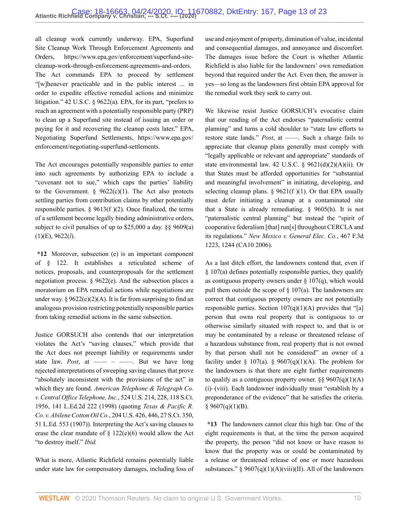all cleanup work currently underway. EPA, Superfund Site Cleanup Work Through Enforcement Agreements and Orders, https://www.epa.gov/enforcement/superfund-sitecleanup-work-through-enforcement-agreements-and-orders. The Act commands EPA to proceed by settlement "[w]henever practicable and in the public interest ... in order to expedite effective remedial actions and minimize litigation." [42 U.S.C. § 9622\(a\).](http://www.westlaw.com/Link/Document/FullText?findType=L&pubNum=1000546&cite=42USCAS9622&originatingDoc=Idfe0d0cc828311ea8939c1d72268a30f&refType=RB&originationContext=document&vr=3.0&rs=cblt1.0&transitionType=DocumentItem&contextData=(sc.History*oc.Default)#co_pp_8b3b0000958a4) EPA, for its part, "prefers to reach an agreement with a potentially responsible party (PRP) to clean up a Superfund site instead of issuing an order or paying for it and recovering the cleanup costs later." EPA, Negotiating Superfund Settlements, https://www.epa.gov/ enforcement/negotiating-superfund-settlements.

The Act encourages potentially responsible parties to enter into such agreements by authorizing EPA to include a "covenant not to sue," which caps the parties' liability to the Government.  $\S$  9622(c)(1). The Act also protects settling parties from contribution claims by other potentially responsible parties. [§ 9613\(f \)\(2\)](http://www.westlaw.com/Link/Document/FullText?findType=L&pubNum=1000546&cite=42USCAS9613&originatingDoc=Idfe0d0cc828311ea8939c1d72268a30f&refType=LQ&originationContext=document&vr=3.0&rs=cblt1.0&transitionType=DocumentItem&contextData=(sc.History*oc.Default)). Once finalized, the terms of a settlement become legally binding administrative orders, subject to civil penalties of up to \$25,000 a day. [§§ 9609\(a\)](http://www.westlaw.com/Link/Document/FullText?findType=L&pubNum=1000546&cite=42USCAS9609&originatingDoc=Idfe0d0cc828311ea8939c1d72268a30f&refType=RB&originationContext=document&vr=3.0&rs=cblt1.0&transitionType=DocumentItem&contextData=(sc.History*oc.Default)#co_pp_5afb00006e6d3) [\(1\)\(E\)](http://www.westlaw.com/Link/Document/FullText?findType=L&pubNum=1000546&cite=42USCAS9609&originatingDoc=Idfe0d0cc828311ea8939c1d72268a30f&refType=RB&originationContext=document&vr=3.0&rs=cblt1.0&transitionType=DocumentItem&contextData=(sc.History*oc.Default)#co_pp_5afb00006e6d3), [9622\(](http://www.westlaw.com/Link/Document/FullText?findType=L&pubNum=1000546&cite=42USCAS9622&originatingDoc=Idfe0d0cc828311ea8939c1d72268a30f&refType=RB&originationContext=document&vr=3.0&rs=cblt1.0&transitionType=DocumentItem&contextData=(sc.History*oc.Default)#co_pp_3cd1000064020)*l*).

**\*12** Moreover, subsection (e) is an important component of § 122. It establishes a reticulated scheme of notices, proposals, and counterproposals for the settlement negotiation process. [§ 9622\(e\)](http://www.westlaw.com/Link/Document/FullText?findType=L&pubNum=1000546&cite=42USCAS9622&originatingDoc=Idfe0d0cc828311ea8939c1d72268a30f&refType=RB&originationContext=document&vr=3.0&rs=cblt1.0&transitionType=DocumentItem&contextData=(sc.History*oc.Default)#co_pp_7fdd00001ca15). And the subsection places a moratorium on EPA remedial actions while negotiations are under way.  $\S 9622(e)(2)(A)$ . It is far from surprising to find an analogous provision restricting potentially responsible parties from taking remedial actions in the same subsection.

Justice GORSUCH also contends that our interpretation violates the Act's "saving clauses," which provide that the Act does not preempt liability or requirements under state law. *Post*, at  $\frac{1}{2}$  – – –  $\frac{1}{2}$ . But we have long rejected interpretations of sweeping saving clauses that prove "absolutely inconsistent with the provisions of the act" in which they are found. *[American Telephone & Telegraph Co.](http://www.westlaw.com/Link/Document/FullText?findType=Y&serNum=1998125692&pubNum=0000780&originatingDoc=Idfe0d0cc828311ea8939c1d72268a30f&refType=RP&fi=co_pp_sp_780_228&originationContext=document&vr=3.0&rs=cblt1.0&transitionType=DocumentItem&contextData=(sc.History*oc.Default)#co_pp_sp_780_228) [v. Central Office Telephone, Inc.](http://www.westlaw.com/Link/Document/FullText?findType=Y&serNum=1998125692&pubNum=0000780&originatingDoc=Idfe0d0cc828311ea8939c1d72268a30f&refType=RP&fi=co_pp_sp_780_228&originationContext=document&vr=3.0&rs=cblt1.0&transitionType=DocumentItem&contextData=(sc.History*oc.Default)#co_pp_sp_780_228)*, 524 U.S. 214, 228, 118 S.Ct. [1956, 141 L.Ed.2d 222 \(1998\)](http://www.westlaw.com/Link/Document/FullText?findType=Y&serNum=1998125692&pubNum=0000780&originatingDoc=Idfe0d0cc828311ea8939c1d72268a30f&refType=RP&fi=co_pp_sp_780_228&originationContext=document&vr=3.0&rs=cblt1.0&transitionType=DocumentItem&contextData=(sc.History*oc.Default)#co_pp_sp_780_228) (quoting *[Texas & Pacific R.](http://www.westlaw.com/Link/Document/FullText?findType=Y&serNum=1907100384&pubNum=0000780&originatingDoc=Idfe0d0cc828311ea8939c1d72268a30f&refType=RP&fi=co_pp_sp_780_446&originationContext=document&vr=3.0&rs=cblt1.0&transitionType=DocumentItem&contextData=(sc.History*oc.Default)#co_pp_sp_780_446) Co. v. Abilene Cotton Oil Co.*[, 204 U.S. 426, 446, 27 S.Ct. 350,](http://www.westlaw.com/Link/Document/FullText?findType=Y&serNum=1907100384&pubNum=0000780&originatingDoc=Idfe0d0cc828311ea8939c1d72268a30f&refType=RP&fi=co_pp_sp_780_446&originationContext=document&vr=3.0&rs=cblt1.0&transitionType=DocumentItem&contextData=(sc.History*oc.Default)#co_pp_sp_780_446) [51 L.Ed. 553 \(1907\)\)](http://www.westlaw.com/Link/Document/FullText?findType=Y&serNum=1907100384&pubNum=0000780&originatingDoc=Idfe0d0cc828311ea8939c1d72268a30f&refType=RP&fi=co_pp_sp_780_446&originationContext=document&vr=3.0&rs=cblt1.0&transitionType=DocumentItem&contextData=(sc.History*oc.Default)#co_pp_sp_780_446). Interpreting the Act's saving clauses to erase the clear mandate of  $\S$  122(e)(6) would allow the Act "to destroy itself." *[Ibid.](http://www.westlaw.com/Link/Document/FullText?findType=Y&serNum=1998125692&pubNum=0000780&originatingDoc=Idfe0d0cc828311ea8939c1d72268a30f&refType=RP&originationContext=document&vr=3.0&rs=cblt1.0&transitionType=DocumentItem&contextData=(sc.History*oc.Default))*

What is more, Atlantic Richfield remains potentially liable under state law for compensatory damages, including loss of use and enjoyment of property, diminution of value, incidental and consequential damages, and annoyance and discomfort. The damages issue before the Court is whether Atlantic Richfield is also liable for the landowners' own remediation beyond that required under the Act. Even then, the answer is yes—so long as the landowners first obtain EPA approval for the remedial work they seek to carry out.

We likewise resist Justice GORSUCH's evocative claim that our reading of the Act endorses "paternalistic central planning" and turns a cold shoulder to "state law efforts to restore state lands." *Post*, at ——. Such a charge fails to appreciate that cleanup plans generally must comply with "legally applicable or relevant and appropriate" standards of state environmental law. [42 U.S.C. § 9621\(d\)\(2\)\(A\)\(ii\)](http://www.westlaw.com/Link/Document/FullText?findType=L&pubNum=1000546&cite=42USCAS9621&originatingDoc=Idfe0d0cc828311ea8939c1d72268a30f&refType=RB&originationContext=document&vr=3.0&rs=cblt1.0&transitionType=DocumentItem&contextData=(sc.History*oc.Default)#co_pp_f4150000c4854). Or that States must be afforded opportunities for "substantial and meaningful involvement" in initiating, developing, and selecting cleanup plans.  $\S$  9621(f)(1). Or that EPA usually must defer initiating a cleanup at a contaminated site that a State is already remediating. [§ 9605\(h\)](http://www.westlaw.com/Link/Document/FullText?findType=L&pubNum=1000546&cite=42USCAS9605&originatingDoc=Idfe0d0cc828311ea8939c1d72268a30f&refType=RB&originationContext=document&vr=3.0&rs=cblt1.0&transitionType=DocumentItem&contextData=(sc.History*oc.Default)#co_pp_f383000077b35). It is not "paternalistic central planning" but instead the "spirit of cooperative federalism [that] run[s] throughout CERCLA and its regulations." *[New Mexico v. General Elec. Co.](http://www.westlaw.com/Link/Document/FullText?findType=Y&serNum=2010555722&pubNum=0000506&originatingDoc=Idfe0d0cc828311ea8939c1d72268a30f&refType=RP&fi=co_pp_sp_506_1244&originationContext=document&vr=3.0&rs=cblt1.0&transitionType=DocumentItem&contextData=(sc.History*oc.Default)#co_pp_sp_506_1244)*, 467 F.3d [1223, 1244 \(CA10 2006\).](http://www.westlaw.com/Link/Document/FullText?findType=Y&serNum=2010555722&pubNum=0000506&originatingDoc=Idfe0d0cc828311ea8939c1d72268a30f&refType=RP&fi=co_pp_sp_506_1244&originationContext=document&vr=3.0&rs=cblt1.0&transitionType=DocumentItem&contextData=(sc.History*oc.Default)#co_pp_sp_506_1244)

As a last ditch effort, the landowners contend that, even if § 107(a) defines potentially responsible parties, they qualify as contiguous property owners under  $\S$  107(q), which would pull them outside the scope of  $\S$  107(a). The landowners are correct that contiguous property owners are not potentially responsible parties. Section  $107(q)(1)(A)$  provides that "[a] person that owns real property that is contiguous to or otherwise similarly situated with respect to, and that is or may be contaminated by a release or threatened release of a hazardous substance from, real property that is not owned by that person shall not be considered" an owner of a facility under § 107(a). [§ 9607\(q\)\(1\)\(A\).](http://www.westlaw.com/Link/Document/FullText?findType=L&pubNum=1000546&cite=42USCAS9607&originatingDoc=Idfe0d0cc828311ea8939c1d72268a30f&refType=RB&originationContext=document&vr=3.0&rs=cblt1.0&transitionType=DocumentItem&contextData=(sc.History*oc.Default)#co_pp_285c0000a6020) The problem for the landowners is that there are eight further requirements to qualify as a contiguous property owner.  $\S\S 9607(q)(1)(A)$ [\(i\)–\(viii\)](http://www.westlaw.com/Link/Document/FullText?findType=L&pubNum=1000546&cite=42USCAS9607&originatingDoc=Idfe0d0cc828311ea8939c1d72268a30f&refType=RB&originationContext=document&vr=3.0&rs=cblt1.0&transitionType=DocumentItem&contextData=(sc.History*oc.Default)#co_pp_689100009b603). Each landowner individually must "establish by a preponderance of the evidence" that he satisfies the criteria.  $§$  9607(q)(1)(B).

**\*13** The landowners cannot clear this high bar. One of the eight requirements is that, at the time the person acquired the property, the person "did not know or have reason to know that the property was or could be contaminated by a release or threatened release of one or more hazardous substances." §  $9607(q)(1)(A)(viii)(II)$ . All of the landowners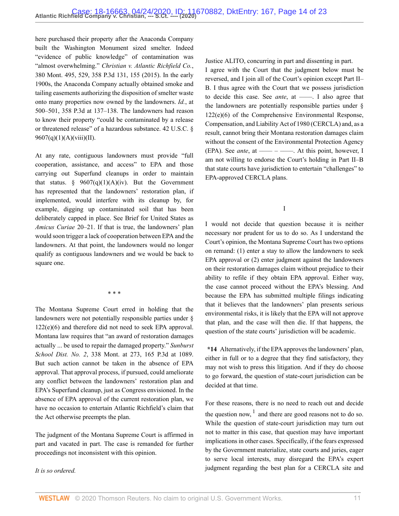here purchased their property after the Anaconda Company built the Washington Monument sized smelter. Indeed "evidence of public knowledge" of contamination was "almost overwhelming." *[Christian v. Atlantic Richfield Co.](http://www.westlaw.com/Link/Document/FullText?findType=Y&serNum=2037060914&pubNum=0004645&originatingDoc=Idfe0d0cc828311ea8939c1d72268a30f&refType=RP&fi=co_pp_sp_4645_155&originationContext=document&vr=3.0&rs=cblt1.0&transitionType=DocumentItem&contextData=(sc.History*oc.Default)#co_pp_sp_4645_155)*, [380 Mont. 495, 529, 358 P.3d 131, 155 \(2015\).](http://www.westlaw.com/Link/Document/FullText?findType=Y&serNum=2037060914&pubNum=0004645&originatingDoc=Idfe0d0cc828311ea8939c1d72268a30f&refType=RP&fi=co_pp_sp_4645_155&originationContext=document&vr=3.0&rs=cblt1.0&transitionType=DocumentItem&contextData=(sc.History*oc.Default)#co_pp_sp_4645_155) In the early 1900s, the Anaconda Company actually obtained smoke and tailing easements authorizing the disposition of smelter waste onto many properties now owned by the landowners. *Id.*[, at](http://www.westlaw.com/Link/Document/FullText?findType=Y&serNum=2037060914&pubNum=0004645&originatingDoc=Idfe0d0cc828311ea8939c1d72268a30f&refType=RP&fi=co_pp_sp_4645_137&originationContext=document&vr=3.0&rs=cblt1.0&transitionType=DocumentItem&contextData=(sc.History*oc.Default)#co_pp_sp_4645_137) [500–501, 358 P.3d at 137–138](http://www.westlaw.com/Link/Document/FullText?findType=Y&serNum=2037060914&pubNum=0004645&originatingDoc=Idfe0d0cc828311ea8939c1d72268a30f&refType=RP&fi=co_pp_sp_4645_137&originationContext=document&vr=3.0&rs=cblt1.0&transitionType=DocumentItem&contextData=(sc.History*oc.Default)#co_pp_sp_4645_137). The landowners had reason to know their property "could be contaminated by a release or threatened release" of a hazardous substance. [42 U.S.C. §](http://www.westlaw.com/Link/Document/FullText?findType=L&pubNum=1000546&cite=42USCAS9607&originatingDoc=Idfe0d0cc828311ea8939c1d72268a30f&refType=RB&originationContext=document&vr=3.0&rs=cblt1.0&transitionType=DocumentItem&contextData=(sc.History*oc.Default)#co_pp_0123000089ab5)  $9607(q)(1)(A)(viii)(II).$  $9607(q)(1)(A)(viii)(II).$ 

At any rate, contiguous landowners must provide "full cooperation, assistance, and access" to EPA and those carrying out Superfund cleanups in order to maintain that status. §  $9607(q)(1)(A)(iv)$ . But the Government has represented that the landowners' restoration plan, if implemented, would interfere with its cleanup by, for example, digging up contaminated soil that has been deliberately capped in place. See Brief for United States as *Amicus Curiae* 20–21. If that is true, the landowners' plan would soon trigger a lack of cooperation between EPA and the landowners. At that point, the landowners would no longer qualify as contiguous landowners and we would be back to square one.

\* \* \*

The Montana Supreme Court erred in holding that the landowners were not potentially responsible parties under § 122(e)(6) and therefore did not need to seek EPA approval. Montana law requires that "an award of restoration damages actually ... be used to repair the damaged property." *[Sunburst](http://www.westlaw.com/Link/Document/FullText?findType=Y&serNum=2012853205&pubNum=0004645&originatingDoc=Idfe0d0cc828311ea8939c1d72268a30f&refType=RP&fi=co_pp_sp_4645_1089&originationContext=document&vr=3.0&rs=cblt1.0&transitionType=DocumentItem&contextData=(sc.History*oc.Default)#co_pp_sp_4645_1089) School Dist. No. 2*[, 338 Mont. at 273, 165 P.3d at 1089](http://www.westlaw.com/Link/Document/FullText?findType=Y&serNum=2012853205&pubNum=0004645&originatingDoc=Idfe0d0cc828311ea8939c1d72268a30f&refType=RP&fi=co_pp_sp_4645_1089&originationContext=document&vr=3.0&rs=cblt1.0&transitionType=DocumentItem&contextData=(sc.History*oc.Default)#co_pp_sp_4645_1089). But such action cannot be taken in the absence of EPA approval. That approval process, if pursued, could ameliorate any conflict between the landowners' restoration plan and EPA's Superfund cleanup, just as Congress envisioned. In the absence of EPA approval of the current restoration plan, we have no occasion to entertain Atlantic Richfield's claim that the Act otherwise preempts the plan.

The judgment of the Montana Supreme Court is affirmed in part and vacated in part. The case is remanded for further proceedings not inconsistent with this opinion.

*It is so ordered.*

Justice [ALITO](http://www.westlaw.com/Link/Document/FullText?findType=h&pubNum=176284&cite=0153052401&originatingDoc=Idfe0d0cc828311ea8939c1d72268a30f&refType=RQ&originationContext=document&vr=3.0&rs=cblt1.0&transitionType=DocumentItem&contextData=(sc.History*oc.Default)), concurring in part and dissenting in part. I agree with the Court that the judgment below must be reversed, and I join all of the Court's opinion except Part II– B. I thus agree with the Court that we possess jurisdiction to decide this case. See *ante*, at ——. I also agree that the landowners are potentially responsible parties under § 122(e)(6) of the Comprehensive Environmental Response, Compensation, and Liability Act of 1980 (CERCLA) and, as a result, cannot bring their Montana restoration damages claim without the consent of the Environmental Protection Agency (EPA). See *ante*, at —— – ——. At this point, however, I am not willing to endorse the Court's holding in Part II–B that state courts have jurisdiction to entertain "challenges" to EPA-approved CERCLA plans.

I

I would not decide that question because it is neither necessary nor prudent for us to do so. As I understand the Court's opinion, the Montana Supreme Court has two options on remand: (1) enter a stay to allow the landowners to seek EPA approval or (2) enter judgment against the landowners on their restoration damages claim without prejudice to their ability to refile if they obtain EPA approval. Either way, the case cannot proceed without the EPA's blessing. And because the EPA has submitted multiple filings indicating that it believes that the landowners' plan presents serious environmental risks, it is likely that the EPA will not approve that plan, and the case will then die. If that happens, the question of the state courts' jurisdiction will be academic.

**\*14** Alternatively, if the EPA approves the landowners' plan, either in full or to a degree that they find satisfactory, they may not wish to press this litigation. And if they do choose to go forward, the question of state-court jurisdiction can be decided at that time.

<span id="page-13-0"></span>For these reasons, there is no need to reach out and decide the question now,  $1$  and there are good reasons not to do so. While the question of state-court jurisdiction may turn out not to matter in this case, that question may have important implications in other cases. Specifically, if the fears expressed by the Government materialize, state courts and juries, eager to serve local interests, may disregard the EPA's expert judgment regarding the best plan for a CERCLA site and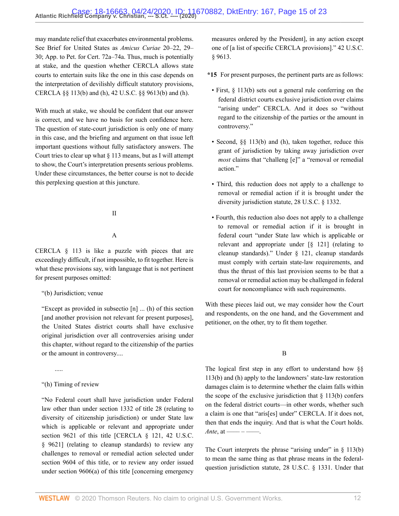may mandate relief that exacerbates environmental problems. See Brief for United States as *Amicus Curiae* 20–22, 29– 30; App. to Pet. for Cert. 72a–74a. Thus, much is potentially at stake, and the question whether CERCLA allows state courts to entertain suits like the one in this case depends on the interpretation of devilishly difficult statutory provisions, CERCLA §§ 113(b) and (h), [42 U.S.C. §§ 9613\(b\)](http://www.westlaw.com/Link/Document/FullText?findType=L&pubNum=1000546&cite=42USCAS9613&originatingDoc=Idfe0d0cc828311ea8939c1d72268a30f&refType=RB&originationContext=document&vr=3.0&rs=cblt1.0&transitionType=DocumentItem&contextData=(sc.History*oc.Default)#co_pp_a83b000018c76) and [\(h\).](http://www.westlaw.com/Link/Document/FullText?findType=L&pubNum=1000546&cite=42USCAS9613&originatingDoc=Idfe0d0cc828311ea8939c1d72268a30f&refType=RB&originationContext=document&vr=3.0&rs=cblt1.0&transitionType=DocumentItem&contextData=(sc.History*oc.Default)#co_pp_f383000077b35)

With much at stake, we should be confident that our answer is correct, and we have no basis for such confidence here. The question of state-court jurisdiction is only one of many in this case, and the briefing and argument on that issue left important questions without fully satisfactory answers. The Court tries to clear up what  $\S 113$  means, but as I will attempt to show, the Court's interpretation presents serious problems. Under these circumstances, the better course is not to decide this perplexing question at this juncture.

#### II

#### A

CERCLA  $\S$  113 is like a puzzle with pieces that are exceedingly difficult, if not impossible, to fit together. Here is what these provisions say, with language that is not pertinent for present purposes omitted:

#### "(b) Jurisdiction; venue

"Except as provided in subsectio [n] ... (h) of this section [and another provision not relevant for present purposes], the United States district courts shall have exclusive original jurisdiction over all controversies arising under this chapter, without regard to the citizenship of the parties or the amount in controversy....

.....

#### "(h) Timing of review

"No Federal court shall have jurisdiction under Federal law other than under section 1332 of title 28 (relating to diversity of citizenship jurisdiction) or under State law which is applicable or relevant and appropriate under [section 9621](http://www.westlaw.com/Link/Document/FullText?findType=L&pubNum=1000546&cite=42USCAS9621&originatingDoc=Idfe0d0cc828311ea8939c1d72268a30f&refType=LQ&originationContext=document&vr=3.0&rs=cblt1.0&transitionType=DocumentItem&contextData=(sc.History*oc.Default)) of this title [CERCLA § 121, [42 U.S.C.](http://www.westlaw.com/Link/Document/FullText?findType=L&pubNum=1000546&cite=42USCAS9621&originatingDoc=Idfe0d0cc828311ea8939c1d72268a30f&refType=LQ&originationContext=document&vr=3.0&rs=cblt1.0&transitionType=DocumentItem&contextData=(sc.History*oc.Default)) [§ 9621](http://www.westlaw.com/Link/Document/FullText?findType=L&pubNum=1000546&cite=42USCAS9621&originatingDoc=Idfe0d0cc828311ea8939c1d72268a30f&refType=LQ&originationContext=document&vr=3.0&rs=cblt1.0&transitionType=DocumentItem&contextData=(sc.History*oc.Default))] (relating to cleanup standards) to review any challenges to removal or remedial action selected under [section 9604](http://www.westlaw.com/Link/Document/FullText?findType=L&pubNum=1000546&cite=42USCAS9604&originatingDoc=Idfe0d0cc828311ea8939c1d72268a30f&refType=LQ&originationContext=document&vr=3.0&rs=cblt1.0&transitionType=DocumentItem&contextData=(sc.History*oc.Default)) of this title, or to review any order issued under [section 9606\(a\)](http://www.westlaw.com/Link/Document/FullText?findType=L&pubNum=1000546&cite=42USCAS9606&originatingDoc=Idfe0d0cc828311ea8939c1d72268a30f&refType=RB&originationContext=document&vr=3.0&rs=cblt1.0&transitionType=DocumentItem&contextData=(sc.History*oc.Default)#co_pp_8b3b0000958a4) of this title [concerning emergency measures ordered by the President], in any action except one of [a list of specific CERCLA provisions]." [42 U.S.C.](http://www.westlaw.com/Link/Document/FullText?findType=L&pubNum=1000546&cite=42USCAS9613&originatingDoc=Idfe0d0cc828311ea8939c1d72268a30f&refType=LQ&originationContext=document&vr=3.0&rs=cblt1.0&transitionType=DocumentItem&contextData=(sc.History*oc.Default)) [§ 9613](http://www.westlaw.com/Link/Document/FullText?findType=L&pubNum=1000546&cite=42USCAS9613&originatingDoc=Idfe0d0cc828311ea8939c1d72268a30f&refType=LQ&originationContext=document&vr=3.0&rs=cblt1.0&transitionType=DocumentItem&contextData=(sc.History*oc.Default)).

**\*15** For present purposes, the pertinent parts are as follows:

- First, § 113(b) sets out a general rule conferring on the federal district courts exclusive jurisdiction over claims "arising under" CERCLA. And it does so "without regard to the citizenship of the parties or the amount in controversy."
- Second, §§ 113(b) and (h), taken together, reduce this grant of jurisdiction by taking away jurisdiction over *most* claims that "challeng [e]" a "removal or remedial action."
- Third, this reduction does not apply to a challenge to removal or remedial action if it is brought under the diversity jurisdiction statute, [28 U.S.C. § 1332.](http://www.westlaw.com/Link/Document/FullText?findType=L&pubNum=1000546&cite=28USCAS1332&originatingDoc=Idfe0d0cc828311ea8939c1d72268a30f&refType=LQ&originationContext=document&vr=3.0&rs=cblt1.0&transitionType=DocumentItem&contextData=(sc.History*oc.Default))
- Fourth, this reduction also does not apply to a challenge to removal or remedial action if it is brought in federal court "under State law which is applicable or relevant and appropriate under [§ 121] (relating to cleanup standards)." Under § 121, cleanup standards must comply with certain state-law requirements, and thus the thrust of this last provision seems to be that a removal or remedial action may be challenged in federal court for noncompliance with such requirements.

With these pieces laid out, we may consider how the Court and respondents, on the one hand, and the Government and petitioner, on the other, try to fit them together.

B

The logical first step in any effort to understand how §§ 113(b) and (h) apply to the landowners' state-law restoration damages claim is to determine whether the claim falls within the scope of the exclusive jurisdiction that  $\S$  113(b) confers on the federal district courts—in other words, whether such a claim is one that "aris[es] under" CERCLA. If it does not, then that ends the inquiry. And that is what the Court holds. *Ante*, at ————

The Court interprets the phrase "arising under" in  $\S$  113(b) to mean the same thing as that phrase means in the federalquestion jurisdiction statute, [28 U.S.C. § 1331.](http://www.westlaw.com/Link/Document/FullText?findType=L&pubNum=1000546&cite=28USCAS1331&originatingDoc=Idfe0d0cc828311ea8939c1d72268a30f&refType=LQ&originationContext=document&vr=3.0&rs=cblt1.0&transitionType=DocumentItem&contextData=(sc.History*oc.Default)) Under that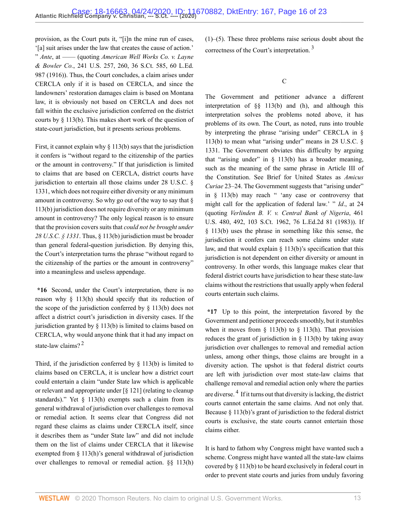provision, as the Court puts it, "[i]n the mine run of cases, '[a] suit arises under the law that creates the cause of action.' " *Ante*, at –––– (quoting *[American Well Works Co. v. Layne](http://www.westlaw.com/Link/Document/FullText?findType=Y&serNum=1916100418&pubNum=0000780&originatingDoc=Idfe0d0cc828311ea8939c1d72268a30f&refType=RP&fi=co_pp_sp_780_260&originationContext=document&vr=3.0&rs=cblt1.0&transitionType=DocumentItem&contextData=(sc.History*oc.Default)#co_pp_sp_780_260) & Bowler Co.*[, 241 U.S. 257, 260, 36 S.Ct. 585, 60 L.Ed.](http://www.westlaw.com/Link/Document/FullText?findType=Y&serNum=1916100418&pubNum=0000780&originatingDoc=Idfe0d0cc828311ea8939c1d72268a30f&refType=RP&fi=co_pp_sp_780_260&originationContext=document&vr=3.0&rs=cblt1.0&transitionType=DocumentItem&contextData=(sc.History*oc.Default)#co_pp_sp_780_260) [987 \(1916\)](http://www.westlaw.com/Link/Document/FullText?findType=Y&serNum=1916100418&pubNum=0000780&originatingDoc=Idfe0d0cc828311ea8939c1d72268a30f&refType=RP&fi=co_pp_sp_780_260&originationContext=document&vr=3.0&rs=cblt1.0&transitionType=DocumentItem&contextData=(sc.History*oc.Default)#co_pp_sp_780_260)). Thus, the Court concludes, a claim arises under CERCLA only if it is based on CERCLA, and since the landowners' restoration damages claim is based on Montana law, it is obviously not based on CERCLA and does not fall within the exclusive jurisdiction conferred on the district courts by § 113(b). This makes short work of the question of state-court jurisdiction, but it presents serious problems.

First, it cannot explain why  $\S 113(b)$  says that the jurisdiction it confers is "without regard to the citizenship of the parties or the amount in controversy." If that jurisdiction is limited to claims that are based on CERCLA, district courts have jurisdiction to entertain all those claims under [28 U.S.C. §](http://www.westlaw.com/Link/Document/FullText?findType=L&pubNum=1000546&cite=28USCAS1331&originatingDoc=Idfe0d0cc828311ea8939c1d72268a30f&refType=LQ&originationContext=document&vr=3.0&rs=cblt1.0&transitionType=DocumentItem&contextData=(sc.History*oc.Default)) [1331](http://www.westlaw.com/Link/Document/FullText?findType=L&pubNum=1000546&cite=28USCAS1331&originatingDoc=Idfe0d0cc828311ea8939c1d72268a30f&refType=LQ&originationContext=document&vr=3.0&rs=cblt1.0&transitionType=DocumentItem&contextData=(sc.History*oc.Default)), which does not require either diversity or any minimum amount in controversy. So why go out of the way to say that § 113(b) jurisdiction does not require diversity or any minimum amount in controversy? The only logical reason is to ensure that the provision covers suits that *could not be brought under [28 U.S.C. § 1331](http://www.westlaw.com/Link/Document/FullText?findType=L&pubNum=1000546&cite=28USCAS1331&originatingDoc=Idfe0d0cc828311ea8939c1d72268a30f&refType=LQ&originationContext=document&vr=3.0&rs=cblt1.0&transitionType=DocumentItem&contextData=(sc.History*oc.Default))*. Thus, § 113(b) jurisdiction must be broader than general federal-question jurisdiction. By denying this, the Court's interpretation turns the phrase "without regard to the citizenship of the parties or the amount in controversy" into a meaningless and useless appendage.

**\*16** Second, under the Court's interpretation, there is no reason why § 113(h) should specify that its reduction of the scope of the jurisdiction conferred by  $\S$  113(b) does not affect a district court's jurisdiction in diversity cases. If the jurisdiction granted by § 113(b) is limited to claims based on CERCLA, why would anyone think that it had any impact on state-law claims?<sup>[2](#page-21-5)</sup>

<span id="page-15-0"></span>Third, if the jurisdiction conferred by  $\S$  113(b) is limited to claims based on CERCLA, it is unclear how a district court could entertain a claim "under State law which is applicable or relevant and appropriate under [§ 121] (relating to cleanup standards)." Yet § 113(h) exempts such a claim from its general withdrawal of jurisdiction over challenges to removal or remedial action. It seems clear that Congress did not regard these claims as claims under CERCLA itself, since it describes them as "under State law" and did not include them on the list of claims under CERCLA that it likewise exempted from § 113(h)'s general withdrawal of jurisdiction over challenges to removal or remedial action. §§ 113(h) (1)–(5). These three problems raise serious doubt about the correctness of the Court's interpretation. [3](#page-21-6)

#### <span id="page-15-1"></span> $\mathcal{C}$

The Government and petitioner advance a different interpretation of §§ 113(b) and (h), and although this interpretation solves the problems noted above, it has problems of its own. The Court, as noted, runs into trouble by interpreting the phrase "arising under" CERCLA in § 113(b) to mean what "arising under" means in [28 U.S.C. §](http://www.westlaw.com/Link/Document/FullText?findType=L&pubNum=1000546&cite=28USCAS1331&originatingDoc=Idfe0d0cc828311ea8939c1d72268a30f&refType=LQ&originationContext=document&vr=3.0&rs=cblt1.0&transitionType=DocumentItem&contextData=(sc.History*oc.Default)) [1331](http://www.westlaw.com/Link/Document/FullText?findType=L&pubNum=1000546&cite=28USCAS1331&originatingDoc=Idfe0d0cc828311ea8939c1d72268a30f&refType=LQ&originationContext=document&vr=3.0&rs=cblt1.0&transitionType=DocumentItem&contextData=(sc.History*oc.Default)). The Government obviates this difficulty by arguing that "arising under" in  $\S$  113(b) has a broader meaning, such as the meaning of the same phrase in Article III of the Constitution. See Brief for United States as *Amicus Curiae* 23–24. The Government suggests that "arising under" in  $§$  113(b) may reach " 'any case or controversy that might call for the application of federal law.' " *Id*., at 24 (quoting *[Verlinden B. V. v. Central Bank of Nigeria](http://www.westlaw.com/Link/Document/FullText?findType=Y&serNum=1983124082&pubNum=0000780&originatingDoc=Idfe0d0cc828311ea8939c1d72268a30f&refType=RP&fi=co_pp_sp_780_492&originationContext=document&vr=3.0&rs=cblt1.0&transitionType=DocumentItem&contextData=(sc.History*oc.Default)#co_pp_sp_780_492)*, 461 [U.S. 480, 492, 103 S.Ct. 1962, 76 L.Ed.2d 81 \(1983\)](http://www.westlaw.com/Link/Document/FullText?findType=Y&serNum=1983124082&pubNum=0000780&originatingDoc=Idfe0d0cc828311ea8939c1d72268a30f&refType=RP&fi=co_pp_sp_780_492&originationContext=document&vr=3.0&rs=cblt1.0&transitionType=DocumentItem&contextData=(sc.History*oc.Default)#co_pp_sp_780_492)). If § 113(b) uses the phrase in something like this sense, the jurisdiction it confers can reach some claims under state law, and that would explain § 113(b)'s specification that this jurisdiction is not dependent on either diversity or amount in controversy. In other words, this language makes clear that federal district courts have jurisdiction to hear these state-law claims without the restrictions that usually apply when federal courts entertain such claims.

**\*17** Up to this point, the interpretation favored by the Government and petitioner proceeds smoothly, but it stumbles when it moves from  $\S$  113(b) to  $\S$  113(h). That provision reduces the grant of jurisdiction in  $\S$  113(b) by taking away jurisdiction over challenges to removal and remedial action unless, among other things, those claims are brought in a diversity action. The upshot is that federal district courts are left with jurisdiction over most state-law claims that challenge removal and remedial action only where the parties are diverse.<sup>[4](#page-22-0)</sup> If it turns out that diversity is lacking, the district courts cannot entertain the same claims. And not only that. Because § 113(b)'s grant of jurisdiction to the federal district courts is exclusive, the state courts cannot entertain those claims either.

<span id="page-15-2"></span>It is hard to fathom why Congress might have wanted such a scheme. Congress might have wanted all the state-law claims covered by § 113(b) to be heard exclusively in federal court in order to prevent state courts and juries from unduly favoring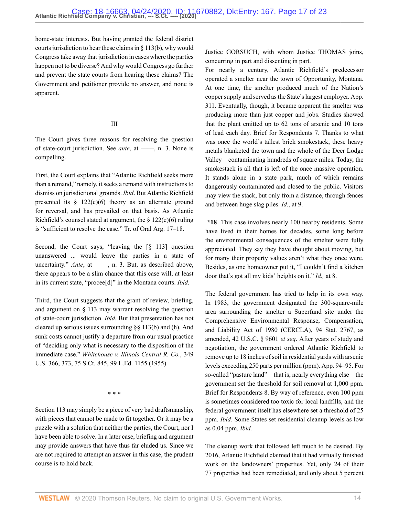home-state interests. But having granted the federal district courts jurisdiction to hear these claims in § 113(b), why would Congress take away that jurisdiction in cases where the parties happen not to be diverse? And why would Congress go further and prevent the state courts from hearing these claims? The Government and petitioner provide no answer, and none is apparent.

#### III

The Court gives three reasons for resolving the question of state-court jurisdiction. See *ante*, at ––––, n. 3. None is compelling.

First, the Court explains that "Atlantic Richfield seeks more than a remand," namely, it seeks a remand with instructions to dismiss on jurisdictional grounds. *Ibid*. But Atlantic Richfield presented its  $\S$  122(e)(6) theory as an alternate ground for reversal, and has prevailed on that basis. As Atlantic Richfield's counsel stated at argument, the  $\S$  122(e)(6) ruling is "sufficient to resolve the case." Tr. of Oral Arg. 17–18.

Second, the Court says, "leaving the [§ 113] question unanswered ... would leave the parties in a state of uncertainty." *Ante*, at ——, n. 3. But, as described above, there appears to be a slim chance that this case will, at least in its current state, "procee[d]" in the Montana courts. *Ibid.*

Third, the Court suggests that the grant of review, briefing, and argument on § 113 may warrant resolving the question of state-court jurisdiction. *Ibid.* But that presentation has not cleared up serious issues surrounding §§ 113(b) and (h). And sunk costs cannot justify a departure from our usual practice of "deciding only what is necessary to the disposition of the immediate case." *[Whitehouse v. Illinois Central R. Co.](http://www.westlaw.com/Link/Document/FullText?findType=Y&serNum=1955121878&pubNum=0000780&originatingDoc=Idfe0d0cc828311ea8939c1d72268a30f&refType=RP&fi=co_pp_sp_780_373&originationContext=document&vr=3.0&rs=cblt1.0&transitionType=DocumentItem&contextData=(sc.History*oc.Default)#co_pp_sp_780_373)*, 349 [U.S. 366, 373, 75 S.Ct. 845, 99 L.Ed. 1155 \(1955\)](http://www.westlaw.com/Link/Document/FullText?findType=Y&serNum=1955121878&pubNum=0000780&originatingDoc=Idfe0d0cc828311ea8939c1d72268a30f&refType=RP&fi=co_pp_sp_780_373&originationContext=document&vr=3.0&rs=cblt1.0&transitionType=DocumentItem&contextData=(sc.History*oc.Default)#co_pp_sp_780_373).

Section 113 may simply be a piece of very bad draftsmanship, with pieces that cannot be made to fit together. Or it may be a puzzle with a solution that neither the parties, the Court, nor I have been able to solve. In a later case, briefing and argument may provide answers that have thus far eluded us. Since we are not required to attempt an answer in this case, the prudent course is to hold back.

\* \* \*

Justice [GORSUCH](http://www.westlaw.com/Link/Document/FullText?findType=h&pubNum=176284&cite=0183411701&originatingDoc=Idfe0d0cc828311ea8939c1d72268a30f&refType=RQ&originationContext=document&vr=3.0&rs=cblt1.0&transitionType=DocumentItem&contextData=(sc.History*oc.Default)), with whom Justice [THOMAS](http://www.westlaw.com/Link/Document/FullText?findType=h&pubNum=176284&cite=0216654601&originatingDoc=Idfe0d0cc828311ea8939c1d72268a30f&refType=RQ&originationContext=document&vr=3.0&rs=cblt1.0&transitionType=DocumentItem&contextData=(sc.History*oc.Default)) joins, concurring in part and dissenting in part.

For nearly a century, Atlantic Richfield's predecessor operated a smelter near the town of Opportunity, Montana. At one time, the smelter produced much of the Nation's [copper](http://www.westlaw.com/Link/Document/FullText?entityType=gdrug&entityId=I0a8c01580ccd11deb055de4196f001f3&originationContext=document&transitionType=DocumentItem&contextData=(sc.Default)&vr=3.0&rs=cblt1.0) supply and served as the State's largest employer. App. 311. Eventually, though, it became apparent the smelter was producing more than just [copper](http://www.westlaw.com/Link/Document/FullText?entityType=gdrug&entityId=I0a8c01580ccd11deb055de4196f001f3&originationContext=document&transitionType=DocumentItem&contextData=(sc.Default)&vr=3.0&rs=cblt1.0) and jobs. Studies showed that the plant emitted up to 62 tons of arsenic and 10 tons of lead each day. Brief for Respondents 7. Thanks to what was once the world's tallest brick smokestack, these heavy metals blanketed the town and the whole of the Deer Lodge Valley—contaminating hundreds of square miles. Today, the smokestack is all that is left of the once massive operation. It stands alone in a state park, much of which remains dangerously contaminated and closed to the public. Visitors may view the stack, but only from a distance, through fences and between huge slag piles. *Id.*, at 9.

**\*18** This case involves nearly 100 nearby residents. Some have lived in their homes for decades, some long before the environmental consequences of the smelter were fully appreciated. They say they have thought about moving, but for many their property values aren't what they once were. Besides, as one homeowner put it, "I couldn't find a kitchen door that's got all my kids' heights on it." *Id.,* at 8.

The federal government has tried to help in its own way. In 1983, the government designated the 300-square-mile area surrounding the smelter a Superfund site under the Comprehensive Environmental Response, Compensation, and Liability Act of 1980 (CERCLA), 94 Stat. 2767, as amended, [42 U.S.C. § 9601](http://www.westlaw.com/Link/Document/FullText?findType=L&pubNum=1000546&cite=42USCAS9601&originatingDoc=Idfe0d0cc828311ea8939c1d72268a30f&refType=LQ&originationContext=document&vr=3.0&rs=cblt1.0&transitionType=DocumentItem&contextData=(sc.History*oc.Default)) *et seq*. After years of study and negotiation, the government ordered Atlantic Richfield to remove up to 18 inches of soil in residential yards with arsenic levels exceeding 250 parts per million (ppm). App. 94–95. For so-called "pasture land"—that is, nearly everything else—the government set the threshold for soil removal at 1,000 ppm. Brief for Respondents 8. By way of reference, even 100 ppm is sometimes considered too toxic for local landfills, and the federal government itself has elsewhere set a threshold of 25 ppm. *Ibid.* Some States set residential cleanup levels as low as 0.04 ppm. *Ibid.*

The cleanup work that followed left much to be desired. By 2016, Atlantic Richfield claimed that it had virtually finished work on the landowners' properties. Yet, only 24 of their 77 properties had been remediated, and only about 5 percent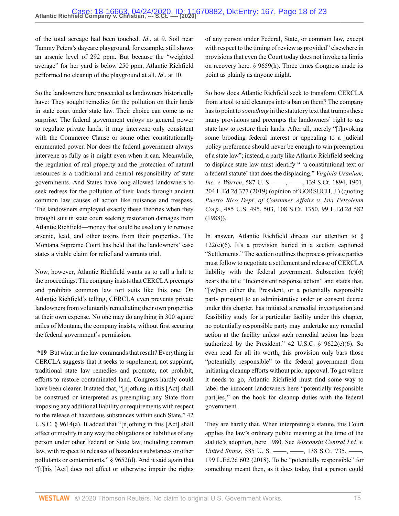of the total acreage had been touched. *Id*., at 9. Soil near Tammy Peters's daycare playground, for example, still shows an arsenic level of 292 ppm. But because the "weighted average" for her yard is below 250 ppm, Atlantic Richfield performed no cleanup of the playground at all. *Id*., at 10.

So the landowners here proceeded as landowners historically have: They sought remedies for the pollution on their lands in state court under state law. Their choice can come as no surprise. The federal government enjoys no general power to regulate private lands; it may intervene only consistent with the Commerce Clause or some other constitutionally enumerated power. Nor does the federal government always intervene as fully as it might even when it can. Meanwhile, the regulation of real property and the protection of natural resources is a traditional and central responsibility of state governments. And States have long allowed landowners to seek redress for the pollution of their lands through ancient common law causes of action like nuisance and trespass. The landowners employed exactly these theories when they brought suit in state court seeking restoration damages from Atlantic Richfield—money that could be used only to remove arsenic, lead, and other toxins from their properties. The Montana Supreme Court has held that the landowners' case states a viable claim for relief and warrants trial.

Now, however, Atlantic Richfield wants us to call a halt to the proceedings. The company insists that CERCLA preempts and prohibits common law tort suits like this one. On Atlantic Richfield's telling, CERCLA even prevents private landowners from voluntarily remediating their own properties at their own expense. No one may do anything in 300 square miles of Montana, the company insists, without first securing the federal government's permission.

**\*19** But what in the law commands that result? Everything in CERCLA suggests that it seeks to supplement, not supplant, traditional state law remedies and promote, not prohibit, efforts to restore contaminated land. Congress hardly could have been clearer. It stated that, "[n]othing in this [Act] shall be construed or interpreted as preempting any State from imposing any additional liability or requirements with respect to the release of hazardous substances within such State." [42](http://www.westlaw.com/Link/Document/FullText?findType=L&pubNum=1000546&cite=42USCAS9614&originatingDoc=Idfe0d0cc828311ea8939c1d72268a30f&refType=RB&originationContext=document&vr=3.0&rs=cblt1.0&transitionType=DocumentItem&contextData=(sc.History*oc.Default)#co_pp_8b3b0000958a4) [U.S.C. § 9614\(a\).](http://www.westlaw.com/Link/Document/FullText?findType=L&pubNum=1000546&cite=42USCAS9614&originatingDoc=Idfe0d0cc828311ea8939c1d72268a30f&refType=RB&originationContext=document&vr=3.0&rs=cblt1.0&transitionType=DocumentItem&contextData=(sc.History*oc.Default)#co_pp_8b3b0000958a4) It added that "[n]othing in this [Act] shall affect or modify in any way the obligations or liabilities of any person under other Federal or State law, including common law, with respect to releases of hazardous substances or other pollutants or contaminants." § 9652(d). And it said again that "[t]his [Act] does not affect or otherwise impair the rights of any person under Federal, State, or common law, except with respect to the timing of review as provided" elsewhere in provisions that even the Court today does not invoke as limits on recovery here. § 9659(h). Three times Congress made its point as plainly as anyone might.

So how does Atlantic Richfield seek to transform CERCLA from a tool to aid cleanups into a ban on them? The company has to point to *something* in the statutory text that trumps these many provisions and preempts the landowners' right to use state law to restore their lands. After all, merely "[i]nvoking some brooding federal interest or appealing to a judicial policy preference should never be enough to win preemption of a state law"; instead, a party like Atlantic Richfield seeking to displace state law must identify " 'a constitutional text or a federal statute' that does the displacing." *[Virginia Uranium,](http://www.westlaw.com/Link/Document/FullText?findType=Y&serNum=2048498591&pubNum=0000780&originatingDoc=Idfe0d0cc828311ea8939c1d72268a30f&refType=RP&originationContext=document&vr=3.0&rs=cblt1.0&transitionType=DocumentItem&contextData=(sc.History*oc.Default)) Inc. v. Warren*, 587 U. S. —–, —–, 139 S.Ct. 1894, 1901, [204 L.Ed.2d 377 \(2019\)](http://www.westlaw.com/Link/Document/FullText?findType=Y&serNum=2048498591&pubNum=0000780&originatingDoc=Idfe0d0cc828311ea8939c1d72268a30f&refType=RP&originationContext=document&vr=3.0&rs=cblt1.0&transitionType=DocumentItem&contextData=(sc.History*oc.Default)) (opinion of GORSUCH, J.) (quoting *[Puerto Rico Dept. of Consumer Affairs v. Isla Petroleum](http://www.westlaw.com/Link/Document/FullText?findType=Y&serNum=1988050116&pubNum=0000780&originatingDoc=Idfe0d0cc828311ea8939c1d72268a30f&refType=RP&fi=co_pp_sp_780_503&originationContext=document&vr=3.0&rs=cblt1.0&transitionType=DocumentItem&contextData=(sc.History*oc.Default)#co_pp_sp_780_503) Corp.*[, 485 U.S. 495, 503, 108 S.Ct. 1350, 99 L.Ed.2d 582](http://www.westlaw.com/Link/Document/FullText?findType=Y&serNum=1988050116&pubNum=0000780&originatingDoc=Idfe0d0cc828311ea8939c1d72268a30f&refType=RP&fi=co_pp_sp_780_503&originationContext=document&vr=3.0&rs=cblt1.0&transitionType=DocumentItem&contextData=(sc.History*oc.Default)#co_pp_sp_780_503) [\(1988\)\)](http://www.westlaw.com/Link/Document/FullText?findType=Y&serNum=1988050116&pubNum=0000780&originatingDoc=Idfe0d0cc828311ea8939c1d72268a30f&refType=RP&fi=co_pp_sp_780_503&originationContext=document&vr=3.0&rs=cblt1.0&transitionType=DocumentItem&contextData=(sc.History*oc.Default)#co_pp_sp_780_503).

In answer, Atlantic Richfield directs our attention to § 122(e)(6). It's a provision buried in a section captioned "Settlements." The section outlines the process private parties must follow to negotiate a settlement and release of CERCLA liability with the federal government. Subsection (e)(6) bears the title "Inconsistent response action" and states that, "[w]hen either the President, or a potentially responsible party pursuant to an administrative order or consent decree under this chapter, has initiated a remedial investigation and feasibility study for a particular facility under this chapter, no potentially responsible party may undertake any remedial action at the facility unless such remedial action has been authorized by the President."  $42 \text{ U.S.C. }$  §  $9622(e)(6)$ . So even read for all its worth, this provision only bars those "potentially responsible" to the federal government from initiating cleanup efforts without prior approval. To get where it needs to go, Atlantic Richfield must find some way to label the innocent landowners here "potentially responsible part[ies]" on the hook for cleanup duties with the federal government.

They are hardly that. When interpreting a statute, this Court applies the law's ordinary public meaning at the time of the statute's adoption, here 1980. See *[Wisconsin Central Ltd.](http://www.westlaw.com/Link/Document/FullText?findType=Y&serNum=2042850505&pubNum=0000780&originatingDoc=Idfe0d0cc828311ea8939c1d72268a30f&refType=RP&originationContext=document&vr=3.0&rs=cblt1.0&transitionType=DocumentItem&contextData=(sc.History*oc.Default)) v. United States*[, 585 U. S. ––––, ––––, 138 S.Ct. 735, ––––,](http://www.westlaw.com/Link/Document/FullText?findType=Y&serNum=2042850505&pubNum=0000780&originatingDoc=Idfe0d0cc828311ea8939c1d72268a30f&refType=RP&originationContext=document&vr=3.0&rs=cblt1.0&transitionType=DocumentItem&contextData=(sc.History*oc.Default)) [199 L.Ed.2d 602 \(2018\).](http://www.westlaw.com/Link/Document/FullText?findType=Y&serNum=2042850505&pubNum=0000780&originatingDoc=Idfe0d0cc828311ea8939c1d72268a30f&refType=RP&originationContext=document&vr=3.0&rs=cblt1.0&transitionType=DocumentItem&contextData=(sc.History*oc.Default)) To be "potentially responsible" for something meant then, as it does today, that a person could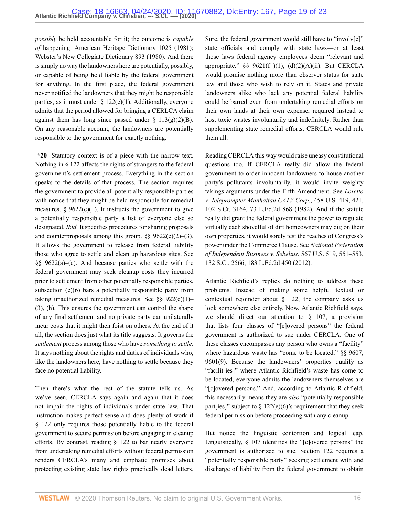*possibly* be held accountable for it; the outcome is *capable of* happening. American Heritage Dictionary 1025 (1981); Webster's New Collegiate Dictionary 893 (1980). And there is simply no way the landowners here are potentially, possibly, or capable of being held liable by the federal government for anything. In the first place, the federal government never notified the landowners that they might be responsible parties, as it must under  $\S$  122(e)(1). Additionally, everyone admits that the period allowed for bringing a CERLCA claim against them has long since passed under  $\S$  113(g)(2)(B). On any reasonable account, the landowners are potentially responsible to the government for exactly nothing.

**\*20** Statutory context is of a piece with the narrow text. Nothing in § 122 affects the rights of strangers to the federal government's settlement process. Everything in the section speaks to the details of that process. The section requires the government to provide all potentially responsible parties with notice that they might be held responsible for remedial measures.  $\S 9622(e)(1)$ . It instructs the government to give a potentially responsible party a list of everyone else so designated. *Ibid.* It specifies procedures for sharing proposals and counterproposals among this group.  $\S\S 9622(e)(2)$ –(3). It allows the government to release from federal liability those who agree to settle and clean up hazardous sites. See [§§ 9622\(a\)](http://www.westlaw.com/Link/Document/FullText?findType=L&pubNum=1000546&cite=42USCAS9622&originatingDoc=Idfe0d0cc828311ea8939c1d72268a30f&refType=RB&originationContext=document&vr=3.0&rs=cblt1.0&transitionType=DocumentItem&contextData=(sc.History*oc.Default)#co_pp_8b3b0000958a4)[–\(c\)](http://www.westlaw.com/Link/Document/FullText?findType=L&pubNum=1000546&cite=42USCAS9622&originatingDoc=Idfe0d0cc828311ea8939c1d72268a30f&refType=RE&originationContext=document&vr=3.0&rs=cblt1.0&transitionType=DocumentItem&contextData=(sc.History*oc.Default)#co_pp_4b24000003ba5). And because parties who settle with the federal government may seek cleanup costs they incurred prior to settlement from other potentially responsible parties, subsection (e)(6) bars a potentially responsible party from taking unauthorized remedial measures. See §§ 922(e)(1)– (3), (h). This ensures the government can control the shape of any final settlement and no private party can unilaterally incur costs that it might then foist on others. At the end of it all, the section does just what its title suggests. It governs the *settlement* process among those who have *something to settle*. It says nothing about the rights and duties of individuals who, like the landowners here, have nothing to settle because they face no potential liability.

Then there's what the rest of the statute tells us. As we've seen, CERCLA says again and again that it does not impair the rights of individuals under state law. That instruction makes perfect sense and does plenty of work if § 122 only requires those potentially liable to the federal government to secure permission before engaging in cleanup efforts. By contrast, reading § 122 to bar nearly everyone from undertaking remedial efforts without federal permission renders CERCLA's many and emphatic promises about protecting existing state law rights practically dead letters.

Sure, the federal government would still have to "involv[e]" state officials and comply with state laws—or at least those laws federal agency employees deem "relevant and appropriate." §§  $9621(f)(1)$ ,  $(d)(2)(A)(ii)$ . But CERCLA would promise nothing more than observer status for state law and those who wish to rely on it. States and private landowners alike who lack any potential federal liability could be barred even from undertaking remedial efforts on their own lands at their own expense, required instead to host toxic wastes involuntarily and indefinitely. Rather than supplementing state remedial efforts, CERCLA would rule them all.

Reading CERCLA this way would raise uneasy constitutional questions too. If CERCLA really did allow the federal government to order innocent landowners to house another party's pollutants involuntarily, it would invite weighty takings arguments under the Fifth Amendment. See *[Loretto](http://www.westlaw.com/Link/Document/FullText?findType=Y&serNum=1982129338&pubNum=0000780&originatingDoc=Idfe0d0cc828311ea8939c1d72268a30f&refType=RP&fi=co_pp_sp_780_421&originationContext=document&vr=3.0&rs=cblt1.0&transitionType=DocumentItem&contextData=(sc.History*oc.Default)#co_pp_sp_780_421) [v. Teleprompter Manhattan CATV Corp.](http://www.westlaw.com/Link/Document/FullText?findType=Y&serNum=1982129338&pubNum=0000780&originatingDoc=Idfe0d0cc828311ea8939c1d72268a30f&refType=RP&fi=co_pp_sp_780_421&originationContext=document&vr=3.0&rs=cblt1.0&transitionType=DocumentItem&contextData=(sc.History*oc.Default)#co_pp_sp_780_421)*, 458 U.S. 419, 421, [102 S.Ct. 3164, 73 L.Ed.2d 868 \(1982\).](http://www.westlaw.com/Link/Document/FullText?findType=Y&serNum=1982129338&pubNum=0000780&originatingDoc=Idfe0d0cc828311ea8939c1d72268a30f&refType=RP&fi=co_pp_sp_780_421&originationContext=document&vr=3.0&rs=cblt1.0&transitionType=DocumentItem&contextData=(sc.History*oc.Default)#co_pp_sp_780_421) And if the statute really did grant the federal government the power to regulate virtually each shovelful of dirt homeowners may dig on their own properties, it would sorely test the reaches of Congress's power under the Commerce Clause. See *[National Federation](http://www.westlaw.com/Link/Document/FullText?findType=Y&serNum=2027995535&pubNum=0000780&originatingDoc=Idfe0d0cc828311ea8939c1d72268a30f&refType=RP&fi=co_pp_sp_780_551&originationContext=document&vr=3.0&rs=cblt1.0&transitionType=DocumentItem&contextData=(sc.History*oc.Default)#co_pp_sp_780_551) [of Independent Business v. Sebelius](http://www.westlaw.com/Link/Document/FullText?findType=Y&serNum=2027995535&pubNum=0000780&originatingDoc=Idfe0d0cc828311ea8939c1d72268a30f&refType=RP&fi=co_pp_sp_780_551&originationContext=document&vr=3.0&rs=cblt1.0&transitionType=DocumentItem&contextData=(sc.History*oc.Default)#co_pp_sp_780_551)*, 567 U.S. 519, 551–553, [132 S.Ct. 2566, 183 L.Ed.2d 450 \(2012\)](http://www.westlaw.com/Link/Document/FullText?findType=Y&serNum=2027995535&pubNum=0000780&originatingDoc=Idfe0d0cc828311ea8939c1d72268a30f&refType=RP&fi=co_pp_sp_780_551&originationContext=document&vr=3.0&rs=cblt1.0&transitionType=DocumentItem&contextData=(sc.History*oc.Default)#co_pp_sp_780_551).

Atlantic Richfield's replies do nothing to address these problems. Instead of making some helpful textual or contextual rejoinder about  $\S$  122, the company asks us look somewhere else entirely. Now, Atlantic Richfield says, we should direct our attention to § 107, a provision that lists four classes of "[c]overed persons" the federal government is authorized to sue under CERCLA. One of these classes encompasses any person who owns a "facility" where hazardous waste has "come to be located." [§§ 9607](http://www.westlaw.com/Link/Document/FullText?findType=L&pubNum=1000546&cite=42USCAS9607&originatingDoc=Idfe0d0cc828311ea8939c1d72268a30f&refType=LQ&originationContext=document&vr=3.0&rs=cblt1.0&transitionType=DocumentItem&contextData=(sc.History*oc.Default)), [9601\(9\).](http://www.westlaw.com/Link/Document/FullText?findType=L&pubNum=1000546&cite=42USCAS9601&originatingDoc=Idfe0d0cc828311ea8939c1d72268a30f&refType=RB&originationContext=document&vr=3.0&rs=cblt1.0&transitionType=DocumentItem&contextData=(sc.History*oc.Default)#co_pp_e5e400002dc26) Because the landowners' properties qualify as "facilit[ies]" where Atlantic Richfield's waste has come to be located, everyone admits the landowners themselves are "[c]overed persons." And, according to Atlantic Richfield, this necessarily means they are *also* "potentially responsible part [ies]" subject to  $\S 122(e)(6)$ 's requirement that they seek federal permission before proceeding with any cleanup.

But notice the linguistic contortion and logical leap. Linguistically,  $\frac{1}{2}$  107 identifies the "[c]overed persons" the government is authorized to sue. Section 122 requires a "potentially responsible party" seeking settlement with and discharge of liability from the federal government to obtain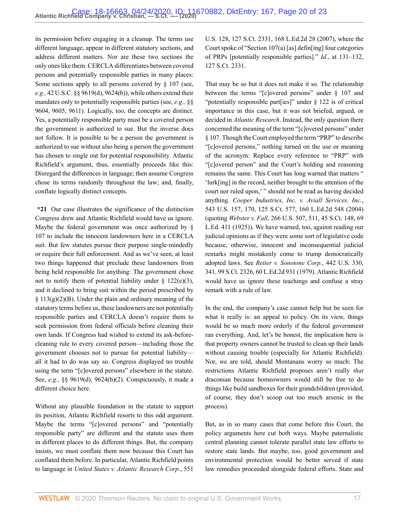its permission before engaging in a cleanup. The terms use different language, appear in different statutory sections, and address different matters. Nor are these two sections the only ones like them. CERCLA differentiates between covered persons and potentially responsible parties in many places: Some sections apply to all persons covered by § 107 (see, *e.g.,* [42 U.S.C. §§ 9619\(d\),](http://www.westlaw.com/Link/Document/FullText?findType=L&pubNum=1000546&cite=42USCAS9619&originatingDoc=Idfe0d0cc828311ea8939c1d72268a30f&refType=RB&originationContext=document&vr=3.0&rs=cblt1.0&transitionType=DocumentItem&contextData=(sc.History*oc.Default)#co_pp_5ba1000067d06) [9624\(b\)\)](http://www.westlaw.com/Link/Document/FullText?findType=L&pubNum=1000546&cite=42USCAS9624&originatingDoc=Idfe0d0cc828311ea8939c1d72268a30f&refType=RB&originationContext=document&vr=3.0&rs=cblt1.0&transitionType=DocumentItem&contextData=(sc.History*oc.Default)#co_pp_a83b000018c76), while others extend their mandates only to potentially responsible parties (see, *e.g.,* [§§](http://www.westlaw.com/Link/Document/FullText?findType=L&pubNum=1000546&cite=42USCAS9604&originatingDoc=Idfe0d0cc828311ea8939c1d72268a30f&refType=LQ&originationContext=document&vr=3.0&rs=cblt1.0&transitionType=DocumentItem&contextData=(sc.History*oc.Default)) [9604](http://www.westlaw.com/Link/Document/FullText?findType=L&pubNum=1000546&cite=42USCAS9604&originatingDoc=Idfe0d0cc828311ea8939c1d72268a30f&refType=LQ&originationContext=document&vr=3.0&rs=cblt1.0&transitionType=DocumentItem&contextData=(sc.History*oc.Default)), [9605,](http://www.westlaw.com/Link/Document/FullText?findType=L&pubNum=1000546&cite=42USCAS9605&originatingDoc=Idfe0d0cc828311ea8939c1d72268a30f&refType=LQ&originationContext=document&vr=3.0&rs=cblt1.0&transitionType=DocumentItem&contextData=(sc.History*oc.Default)) [9611](http://www.westlaw.com/Link/Document/FullText?findType=L&pubNum=1000546&cite=42USCAS9611&originatingDoc=Idfe0d0cc828311ea8939c1d72268a30f&refType=LQ&originationContext=document&vr=3.0&rs=cblt1.0&transitionType=DocumentItem&contextData=(sc.History*oc.Default))). Logically, too, the concepts are distinct. Yes, a potentially responsible party must be a covered person the government is authorized to sue. But the inverse does not follow. It is possible to be a person the government is authorized to sue without also being a person the government has chosen to single out for potential responsibility. Atlantic Richfield's argument, thus, essentially proceeds like this: Disregard the differences in language; then assume Congress chose its terms randomly throughout the law; and, finally, conflate logically distinct concepts.

**\*21** Our case illustrates the significance of the distinction Congress drew and Atlantic Richfield would have us ignore. Maybe the federal government was once authorized by  $\delta$ 107 to include the innocent landowners here in a CERCLA suit. But few statutes pursue their purpose single-mindedly or require their full enforcement. And as we've seen, at least two things happened that preclude these landowners from being held responsible for anything: The government chose not to notify them of potential liability under  $\S$  122(e)(3), and it declined to bring suit within the period prescribed by  $§ 113(g)(2)(B)$ . Under the plain and ordinary meaning of the statutory terms before us, these landowners are not potentially responsible parties and CERCLA doesn't require them to seek permission from federal officials before cleaning their own lands. If Congress had wished to extend its ask-beforecleaning rule to every covered person—including those the government chooses not to pursue for potential liability all it had to do was say so. Congress displayed no trouble using the term "[c]overed persons" elsewhere in the statute. See, *e.g.,* [§§ 9619\(d\)](http://www.westlaw.com/Link/Document/FullText?findType=L&pubNum=1000546&cite=42USCAS9619&originatingDoc=Idfe0d0cc828311ea8939c1d72268a30f&refType=RB&originationContext=document&vr=3.0&rs=cblt1.0&transitionType=DocumentItem&contextData=(sc.History*oc.Default)#co_pp_5ba1000067d06), [9624\(b\)\(2\)](http://www.westlaw.com/Link/Document/FullText?findType=L&pubNum=1000546&cite=42USCAS9624&originatingDoc=Idfe0d0cc828311ea8939c1d72268a30f&refType=RB&originationContext=document&vr=3.0&rs=cblt1.0&transitionType=DocumentItem&contextData=(sc.History*oc.Default)#co_pp_c0ae00006c482). Conspicuously, it made a different choice here.

Without any plausible foundation in the statute to support its position, Atlantic Richfield resorts to this odd argument. Maybe the terms "[c]overed persons" and "potentially responsible party" are different and the statute uses them in different places to do different things. But, the company insists, we must conflate them now because this Court has conflated them before. In particular, Atlantic Richfield points to language in *[United States v. Atlantic Research Corp.](http://www.westlaw.com/Link/Document/FullText?findType=Y&serNum=2012447172&pubNum=0000708&originatingDoc=Idfe0d0cc828311ea8939c1d72268a30f&refType=RP&originationContext=document&vr=3.0&rs=cblt1.0&transitionType=DocumentItem&contextData=(sc.History*oc.Default))*, 551

[U.S. 128, 127 S.Ct. 2331, 168 L.Ed.2d 28 \(2007\)](http://www.westlaw.com/Link/Document/FullText?findType=Y&serNum=2012447172&pubNum=0000708&originatingDoc=Idfe0d0cc828311ea8939c1d72268a30f&refType=RP&originationContext=document&vr=3.0&rs=cblt1.0&transitionType=DocumentItem&contextData=(sc.History*oc.Default)), where the Court spoke of "Section 107(a) [as] defin[ing] four categories of PRPs [potentially responsible parties]." *Id*[., at 131–132,](http://www.westlaw.com/Link/Document/FullText?findType=Y&serNum=2012447172&pubNum=0000708&originatingDoc=Idfe0d0cc828311ea8939c1d72268a30f&refType=RP&originationContext=document&vr=3.0&rs=cblt1.0&transitionType=DocumentItem&contextData=(sc.History*oc.Default)) [127 S.Ct. 2331.](http://www.westlaw.com/Link/Document/FullText?findType=Y&serNum=2012447172&pubNum=0000708&originatingDoc=Idfe0d0cc828311ea8939c1d72268a30f&refType=RP&originationContext=document&vr=3.0&rs=cblt1.0&transitionType=DocumentItem&contextData=(sc.History*oc.Default))

That may be so but it does not make it so. The relationship between the terms "[c]overed persons" under § 107 and "potentially responsible part[ies]" under § 122 is of critical importance in this case, but it was not briefed, argued, or decided in *[Atlantic Research](http://www.westlaw.com/Link/Document/FullText?findType=Y&serNum=2012447172&pubNum=0000780&originatingDoc=Idfe0d0cc828311ea8939c1d72268a30f&refType=RP&originationContext=document&vr=3.0&rs=cblt1.0&transitionType=DocumentItem&contextData=(sc.History*oc.Default))*. Instead, the only question there concerned the meaning of the term "[c]overed persons" under § 107. Though the Court employed the term "PRP" to describe "[c]overed persons," nothing turned on the use or meaning of the acronym: Replace every reference to "PRP" with "[c]overed person" and the Court's holding and reasoning remains the same. This Court has long warned that matters " 'lurk[ing] in the record, neither brought to the attention of the court nor ruled upon,' " should not be read as having decided anything. *[Cooper Industries, Inc. v. Aviall Services, Inc.](http://www.westlaw.com/Link/Document/FullText?findType=Y&serNum=2005746190&pubNum=0000780&originatingDoc=Idfe0d0cc828311ea8939c1d72268a30f&refType=RP&fi=co_pp_sp_780_170&originationContext=document&vr=3.0&rs=cblt1.0&transitionType=DocumentItem&contextData=(sc.History*oc.Default)#co_pp_sp_780_170)*, [543 U.S. 157, 170, 125 S.Ct. 577, 160 L.Ed.2d 548 \(2004\)](http://www.westlaw.com/Link/Document/FullText?findType=Y&serNum=2005746190&pubNum=0000780&originatingDoc=Idfe0d0cc828311ea8939c1d72268a30f&refType=RP&fi=co_pp_sp_780_170&originationContext=document&vr=3.0&rs=cblt1.0&transitionType=DocumentItem&contextData=(sc.History*oc.Default)#co_pp_sp_780_170) (quoting *Webster v. Fall*[, 266 U.S. 507, 511, 45 S.Ct. 148, 69](http://www.westlaw.com/Link/Document/FullText?findType=Y&serNum=1925122334&pubNum=0000780&originatingDoc=Idfe0d0cc828311ea8939c1d72268a30f&refType=RP&fi=co_pp_sp_780_511&originationContext=document&vr=3.0&rs=cblt1.0&transitionType=DocumentItem&contextData=(sc.History*oc.Default)#co_pp_sp_780_511) [L.Ed. 411 \(1925\)\)](http://www.westlaw.com/Link/Document/FullText?findType=Y&serNum=1925122334&pubNum=0000780&originatingDoc=Idfe0d0cc828311ea8939c1d72268a30f&refType=RP&fi=co_pp_sp_780_511&originationContext=document&vr=3.0&rs=cblt1.0&transitionType=DocumentItem&contextData=(sc.History*oc.Default)#co_pp_sp_780_511). We have warned, too, against reading our judicial opinions as if they were some sort of legislative code because, otherwise, innocent and inconsequential judicial remarks might mistakenly come to trump democratically adopted laws. See *[Reiter v. Sonotone Corp.](http://www.westlaw.com/Link/Document/FullText?findType=Y&serNum=1979135137&pubNum=0000780&originatingDoc=Idfe0d0cc828311ea8939c1d72268a30f&refType=RP&fi=co_pp_sp_780_341&originationContext=document&vr=3.0&rs=cblt1.0&transitionType=DocumentItem&contextData=(sc.History*oc.Default)#co_pp_sp_780_341)*, 442 U.S. 330, [341, 99 S.Ct. 2326, 60 L.Ed.2d 931 \(1979\)](http://www.westlaw.com/Link/Document/FullText?findType=Y&serNum=1979135137&pubNum=0000780&originatingDoc=Idfe0d0cc828311ea8939c1d72268a30f&refType=RP&fi=co_pp_sp_780_341&originationContext=document&vr=3.0&rs=cblt1.0&transitionType=DocumentItem&contextData=(sc.History*oc.Default)#co_pp_sp_780_341). Atlantic Richfield would have us ignore these teachings and confuse a stray remark with a rule of law.

In the end, the company's case cannot help but be seen for what it really is: an appeal to policy. On its view, things would be so much more orderly if the federal government ran everything. And, let's be honest, the implication here is that property owners cannot be trusted to clean up their lands without causing trouble (especially for Atlantic Richfield). Nor, we are told, should Montanans worry so much: The restrictions Atlantic Richfield proposes aren't really *that* draconian because homeowners would still be free to do things like build sandboxes for their grandchildren (provided, of course, they don't scoop out too much arsenic in the process).

But, as in so many cases that come before this Court, the policy arguments here cut both ways. Maybe paternalistic central planning cannot tolerate parallel state law efforts to restore state lands. But maybe, too, good government and environmental protection would be better served if state law remedies proceeded alongside federal efforts. State and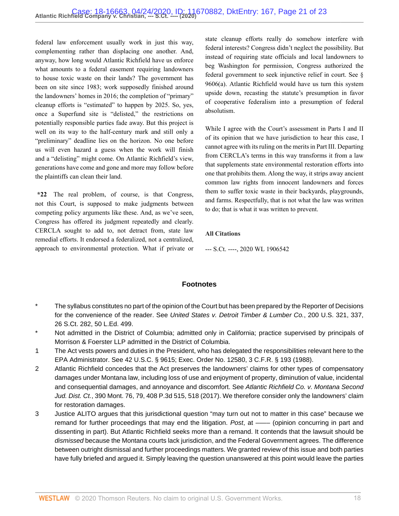federal law enforcement usually work in just this way, complementing rather than displacing one another. And, anyway, how long would Atlantic Richfield have us enforce what amounts to a federal easement requiring landowners to house toxic waste on their lands? The government has been on site since 1983; work supposedly finished around the landowners' homes in 2016; the completion of "primary" cleanup efforts is "estimated" to happen by 2025. So, yes, once a Superfund site is "delisted," the restrictions on potentially responsible parties fade away. But this project is well on its way to the half-century mark and still only a "preliminary" deadline lies on the horizon. No one before us will even hazard a guess when the work will finish and a "delisting" might come. On Atlantic Richfield's view, generations have come and gone and more may follow before the plaintiffs can clean their land.

**\*22** The real problem, of course, is that Congress, not this Court, is supposed to make judgments between competing policy arguments like these. And, as we've seen, Congress has offered its judgment repeatedly and clearly. CERCLA sought to add to, not detract from, state law remedial efforts. It endorsed a federalized, not a centralized, approach to environmental protection. What if private or state cleanup efforts really do somehow interfere with federal interests? Congress didn't neglect the possibility. But instead of requiring state officials and local landowners to beg Washington for permission, Congress authorized the federal government to seek injunctive relief in court. See [§](http://www.westlaw.com/Link/Document/FullText?findType=L&pubNum=1000546&cite=42USCAS9606&originatingDoc=Idfe0d0cc828311ea8939c1d72268a30f&refType=RB&originationContext=document&vr=3.0&rs=cblt1.0&transitionType=DocumentItem&contextData=(sc.History*oc.Default)#co_pp_8b3b0000958a4) [9606\(a\)](http://www.westlaw.com/Link/Document/FullText?findType=L&pubNum=1000546&cite=42USCAS9606&originatingDoc=Idfe0d0cc828311ea8939c1d72268a30f&refType=RB&originationContext=document&vr=3.0&rs=cblt1.0&transitionType=DocumentItem&contextData=(sc.History*oc.Default)#co_pp_8b3b0000958a4). Atlantic Richfield would have us turn this system upside down, recasting the statute's presumption in favor of cooperative federalism into a presumption of federal absolutism.

While I agree with the Court's assessment in Parts I and II of its opinion that we have jurisdiction to hear this case, I cannot agree with its ruling on the merits in Part III. Departing from CERCLA's terms in this way transforms it from a law that supplements state environmental restoration efforts into one that prohibits them. Along the way, it strips away ancient common law rights from innocent landowners and forces them to suffer toxic waste in their backyards, playgrounds, and farms. Respectfully, that is not what the law was written to do; that is what it was written to prevent.

#### **All Citations**

--- S.Ct. ----, 2020 WL 1906542

### **Footnotes**

- <span id="page-20-0"></span>The syllabus constitutes no part of the opinion of the Court but has been prepared by the Reporter of Decisions for the convenience of the reader. See [United States v. Detroit Timber & Lumber Co.](http://www.westlaw.com/Link/Document/FullText?findType=Y&serNum=1906101604&pubNum=0000780&originatingDoc=Idfe0d0cc828311ea8939c1d72268a30f&refType=RP&fi=co_pp_sp_780_337&originationContext=document&vr=3.0&rs=cblt1.0&transitionType=DocumentItem&contextData=(sc.History*oc.Default)#co_pp_sp_780_337), 200 U.S. 321, 337, [26 S.Ct. 282, 50 L.Ed. 499.](http://www.westlaw.com/Link/Document/FullText?findType=Y&serNum=1906101604&pubNum=0000780&originatingDoc=Idfe0d0cc828311ea8939c1d72268a30f&refType=RP&fi=co_pp_sp_780_337&originationContext=document&vr=3.0&rs=cblt1.0&transitionType=DocumentItem&contextData=(sc.History*oc.Default)#co_pp_sp_780_337)
- <span id="page-20-1"></span>[\\*](#page-5-0) Not admitted in the District of Columbia; admitted only in California; practice supervised by principals of Morrison & Foerster LLP admitted in the District of Columbia.
- <span id="page-20-2"></span>[1](#page-6-0) The Act vests powers and duties in the President, who has delegated the responsibilities relevant here to the EPA Administrator. See [42 U.S.C. § 9615;](http://www.westlaw.com/Link/Document/FullText?findType=L&pubNum=1000546&cite=42USCAS9615&originatingDoc=Idfe0d0cc828311ea8939c1d72268a30f&refType=LQ&originationContext=document&vr=3.0&rs=cblt1.0&transitionType=DocumentItem&contextData=(sc.History*oc.Default)) [Exec. Order No. 12580](http://www.westlaw.com/Link/Document/FullText?findType=Y&pubNum=0001043&cite=EXECORDERNO12580&originatingDoc=Idfe0d0cc828311ea8939c1d72268a30f&refType=CA&originationContext=document&vr=3.0&rs=cblt1.0&transitionType=DocumentItem&contextData=(sc.History*oc.Default)), 3 C.F.R. § 193 (1988).
- <span id="page-20-3"></span>[2](#page-7-0) Atlantic Richfield concedes that the Act preserves the landowners' claims for other types of compensatory damages under Montana law, including loss of use and enjoyment of property, diminution of value, incidental and consequential damages, and annoyance and discomfort. See [Atlantic Richfield Co. v. Montana Second](http://www.westlaw.com/Link/Document/FullText?findType=Y&serNum=2043501510&pubNum=0004645&originatingDoc=Idfe0d0cc828311ea8939c1d72268a30f&refType=RP&fi=co_pp_sp_4645_518&originationContext=document&vr=3.0&rs=cblt1.0&transitionType=DocumentItem&contextData=(sc.History*oc.Default)#co_pp_sp_4645_518) Jud. Dist. Ct.[, 390 Mont. 76, 79, 408 P.3d 515, 518 \(2017\).](http://www.westlaw.com/Link/Document/FullText?findType=Y&serNum=2043501510&pubNum=0004645&originatingDoc=Idfe0d0cc828311ea8939c1d72268a30f&refType=RP&fi=co_pp_sp_4645_518&originationContext=document&vr=3.0&rs=cblt1.0&transitionType=DocumentItem&contextData=(sc.History*oc.Default)#co_pp_sp_4645_518) We therefore consider only the landowners' claim for restoration damages.
- <span id="page-20-4"></span>[3](#page-8-0) Justice ALITO argues that this jurisdictional question "may turn out not to matter in this case" because we remand for further proceedings that may end the litigation. Post, at —— (opinion concurring in part and dissenting in part). But Atlantic Richfield seeks more than a remand. It contends that the lawsuit should be dismissed because the Montana courts lack jurisdiction, and the Federal Government agrees. The difference between outright dismissal and further proceedings matters. We granted review of this issue and both parties have fully briefed and argued it. Simply leaving the question unanswered at this point would leave the parties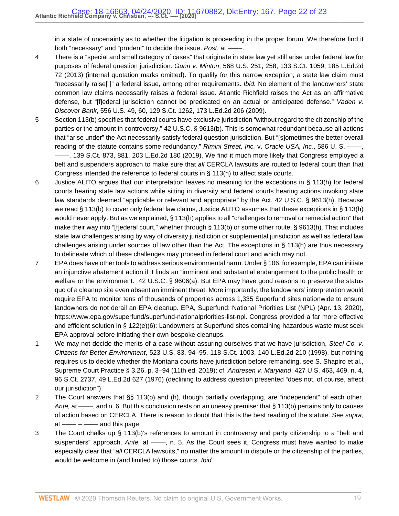in a state of uncertainty as to whether the litigation is proceeding in the proper forum. We therefore find it both "necessary" and "prudent" to decide the issue. Post, at  $-$ 

- <span id="page-21-0"></span>[4](#page-8-1) There is a "special and small category of cases" that originate in state law yet still arise under federal law for purposes of federal question jurisdiction. Gunn v. Minton[, 568 U.S. 251, 258, 133 S.Ct. 1059, 185 L.Ed.2d](http://www.westlaw.com/Link/Document/FullText?findType=Y&serNum=2029898029&pubNum=0000780&originatingDoc=Idfe0d0cc828311ea8939c1d72268a30f&refType=RP&fi=co_pp_sp_780_258&originationContext=document&vr=3.0&rs=cblt1.0&transitionType=DocumentItem&contextData=(sc.History*oc.Default)#co_pp_sp_780_258) [72 \(2013\)](http://www.westlaw.com/Link/Document/FullText?findType=Y&serNum=2029898029&pubNum=0000780&originatingDoc=Idfe0d0cc828311ea8939c1d72268a30f&refType=RP&fi=co_pp_sp_780_258&originationContext=document&vr=3.0&rs=cblt1.0&transitionType=DocumentItem&contextData=(sc.History*oc.Default)#co_pp_sp_780_258) (internal quotation marks omitted). To qualify for this narrow exception, a state law claim must "necessarily raise[]" a federal issue, among other requirements. [Ibid.](http://www.westlaw.com/Link/Document/FullText?findType=Y&serNum=2029898029&pubNum=0000780&originatingDoc=Idfe0d0cc828311ea8939c1d72268a30f&refType=RP&originationContext=document&vr=3.0&rs=cblt1.0&transitionType=DocumentItem&contextData=(sc.History*oc.Default)) No element of the landowners' state common law claims necessarily raises a federal issue. Atlantic Richfield raises the Act as an affirmative defense, but "[f]ederal jurisdiction cannot be predicated on an actual or anticipated defense." [Vaden v.](http://www.westlaw.com/Link/Document/FullText?findType=Y&serNum=2018291954&pubNum=0000780&originatingDoc=Idfe0d0cc828311ea8939c1d72268a30f&refType=RP&fi=co_pp_sp_780_60&originationContext=document&vr=3.0&rs=cblt1.0&transitionType=DocumentItem&contextData=(sc.History*oc.Default)#co_pp_sp_780_60) Discover Bank[, 556 U.S. 49, 60, 129 S.Ct. 1262, 173 L.Ed.2d 206 \(2009\)](http://www.westlaw.com/Link/Document/FullText?findType=Y&serNum=2018291954&pubNum=0000780&originatingDoc=Idfe0d0cc828311ea8939c1d72268a30f&refType=RP&fi=co_pp_sp_780_60&originationContext=document&vr=3.0&rs=cblt1.0&transitionType=DocumentItem&contextData=(sc.History*oc.Default)#co_pp_sp_780_60).
- <span id="page-21-1"></span>[5](#page-8-2) Section 113(b) specifies that federal courts have exclusive jurisdiction "without regard to the citizenship of the parties or the amount in controversy." [42 U.S.C. § 9613\(b\)](http://www.westlaw.com/Link/Document/FullText?findType=L&pubNum=1000546&cite=42USCAS9613&originatingDoc=Idfe0d0cc828311ea8939c1d72268a30f&refType=RB&originationContext=document&vr=3.0&rs=cblt1.0&transitionType=DocumentItem&contextData=(sc.History*oc.Default)#co_pp_a83b000018c76). This is somewhat redundant because all actions that "arise under" the Act necessarily satisfy federal question jurisdiction. But "[s]ometimes the better overall reading of the statute contains some redundancy." [Rimini Street, Inc.](http://www.westlaw.com/Link/Document/FullText?findType=Y&serNum=2047675160&pubNum=0000780&originatingDoc=Idfe0d0cc828311ea8939c1d72268a30f&refType=RP&fi=co_pp_sp_780____&originationContext=document&vr=3.0&rs=cblt1.0&transitionType=DocumentItem&contextData=(sc.History*oc.Default)#co_pp_sp_780____) v. Oracle USA, Inc., 586 U. S. -[––––, 139 S.Ct. 873, 881, 203 L.Ed.2d 180 \(2019\)](http://www.westlaw.com/Link/Document/FullText?findType=Y&serNum=2047675160&pubNum=0000780&originatingDoc=Idfe0d0cc828311ea8939c1d72268a30f&refType=RP&fi=co_pp_sp_780____&originationContext=document&vr=3.0&rs=cblt1.0&transitionType=DocumentItem&contextData=(sc.History*oc.Default)#co_pp_sp_780____). We find it much more likely that Congress employed a belt and suspenders approach to make sure that all CERCLA lawsuits are routed to federal court than that Congress intended the reference to federal courts in § 113(h) to affect state courts.
- <span id="page-21-2"></span>[6](#page-9-0) Justice ALITO argues that our interpretation leaves no meaning for the exceptions in § 113(h) for federal courts hearing state law actions while sitting in diversity and federal courts hearing actions invoking state law standards deemed "applicable or relevant and appropriate" by the Act. [42 U.S.C. § 9613\(h\).](http://www.westlaw.com/Link/Document/FullText?findType=L&pubNum=1000546&cite=42USCAS9613&originatingDoc=Idfe0d0cc828311ea8939c1d72268a30f&refType=RB&originationContext=document&vr=3.0&rs=cblt1.0&transitionType=DocumentItem&contextData=(sc.History*oc.Default)#co_pp_f383000077b35) Because we read § 113(b) to cover only federal law claims, Justice ALITO assumes that these exceptions in § 113(h) would never apply. But as we explained, § 113(h) applies to all "challenges to removal or remedial action" that make their way into "[f]ederal court," whether through § 113(b) or some other route. [§ 9613\(h\)](http://www.westlaw.com/Link/Document/FullText?findType=L&pubNum=1000546&cite=42USCAS9613&originatingDoc=Idfe0d0cc828311ea8939c1d72268a30f&refType=RB&originationContext=document&vr=3.0&rs=cblt1.0&transitionType=DocumentItem&contextData=(sc.History*oc.Default)#co_pp_f383000077b35). That includes state law challenges arising by way of diversity jurisdiction or supplemental jurisdiction as well as federal law challenges arising under sources of law other than the Act. The exceptions in § 113(h) are thus necessary to delineate which of these challenges may proceed in federal court and which may not.
- <span id="page-21-3"></span>[7](#page-10-0) EPA does have other tools to address serious environmental harm. Under § 106, for example, EPA can initiate an injunctive abatement action if it finds an "imminent and substantial endangerment to the public health or welfare or the environment." [42 U.S.C. § 9606\(a\).](http://www.westlaw.com/Link/Document/FullText?findType=L&pubNum=1000546&cite=42USCAS9606&originatingDoc=Idfe0d0cc828311ea8939c1d72268a30f&refType=RB&originationContext=document&vr=3.0&rs=cblt1.0&transitionType=DocumentItem&contextData=(sc.History*oc.Default)#co_pp_8b3b0000958a4) But EPA may have good reasons to preserve the status quo of a cleanup site even absent an imminent threat. More importantly, the landowners' interpretation would require EPA to monitor tens of thousands of properties across 1,335 Superfund sites nationwide to ensure landowners do not derail an EPA cleanup. EPA, Superfund: National Priorities List (NPL) (Apr. 13, 2020), https://www.epa.gov/superfund/superfund-nationalpriorities-list-npl. Congress provided a far more effective and efficient solution in § 122(e)(6): Landowners at Superfund sites containing hazardous waste must seek EPA approval before initiating their own bespoke cleanups.
- <span id="page-21-4"></span>[1](#page-13-0) We may not decide the merits of a case without assuring ourselves that we have jurisdiction, [Steel Co. v.](http://www.westlaw.com/Link/Document/FullText?findType=Y&serNum=1998062036&pubNum=0000780&originatingDoc=Idfe0d0cc828311ea8939c1d72268a30f&refType=RP&fi=co_pp_sp_780_94&originationContext=document&vr=3.0&rs=cblt1.0&transitionType=DocumentItem&contextData=(sc.History*oc.Default)#co_pp_sp_780_94) Citizens for Better Environment[, 523 U.S. 83, 94–95, 118 S.Ct. 1003, 140 L.Ed.2d 210 \(1998\)](http://www.westlaw.com/Link/Document/FullText?findType=Y&serNum=1998062036&pubNum=0000780&originatingDoc=Idfe0d0cc828311ea8939c1d72268a30f&refType=RP&fi=co_pp_sp_780_94&originationContext=document&vr=3.0&rs=cblt1.0&transitionType=DocumentItem&contextData=(sc.History*oc.Default)#co_pp_sp_780_94), but nothing requires us to decide whether the Montana courts have jurisdiction before remanding, see S. Shapiro et al., Supreme Court Practice § 3.26, p. 3–94 (11th ed. 2019); cf. Andresen v. Maryland[, 427 U.S. 463, 469, n. 4,](http://www.westlaw.com/Link/Document/FullText?findType=Y&serNum=1976142437&pubNum=0000780&originatingDoc=Idfe0d0cc828311ea8939c1d72268a30f&refType=RP&fi=co_pp_sp_780_469&originationContext=document&vr=3.0&rs=cblt1.0&transitionType=DocumentItem&contextData=(sc.History*oc.Default)#co_pp_sp_780_469) [96 S.Ct. 2737, 49 L.Ed.2d 627 \(1976\)](http://www.westlaw.com/Link/Document/FullText?findType=Y&serNum=1976142437&pubNum=0000780&originatingDoc=Idfe0d0cc828311ea8939c1d72268a30f&refType=RP&fi=co_pp_sp_780_469&originationContext=document&vr=3.0&rs=cblt1.0&transitionType=DocumentItem&contextData=(sc.History*oc.Default)#co_pp_sp_780_469) (declining to address question presented "does not, of course, affect our jurisdiction").
- <span id="page-21-5"></span>[2](#page-15-0) The Court answers that §§ 113(b) and (h), though partially overlapping, are "independent" of each other. Ante, at  $-\,$ , and n. 6. But this conclusion rests on an uneasy premise: that § 113(b) pertains only to causes of action based on CERCLA. There is reason to doubt that this is the best reading of the statute. See supra,  $at$  —— $-$  – – – and this page.
- <span id="page-21-6"></span>[3](#page-15-1) The Court chalks up § 113(b)'s references to amount in controversy and party citizenship to a "belt and suspenders" approach. Ante, at  $\longrightarrow$ , n. 5. As the Court sees it, Congress must have wanted to make especially clear that "all CERCLA lawsuits," no matter the amount in dispute or the citizenship of the parties, would be welcome in (and limited to) those courts. Ibid.